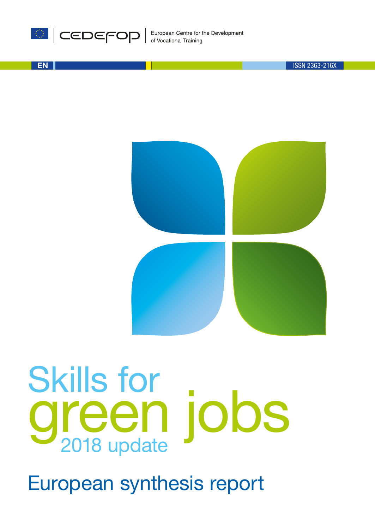

EN

ISSN 2363-216X



# Skills for 2018 update green jobs

European synthesis report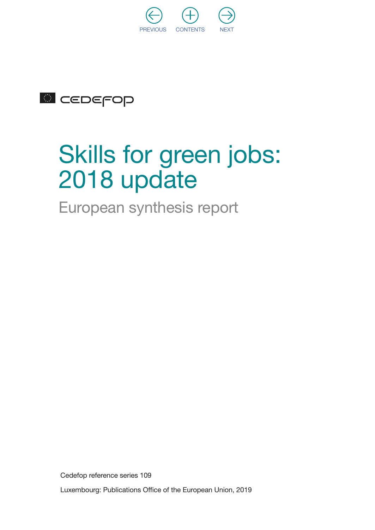

## **CEDEFOP**

## Skills for green jobs: 2018 update

European synthesis report

Cedefop reference series 109

Luxembourg: Publications Office of the European Union, 2019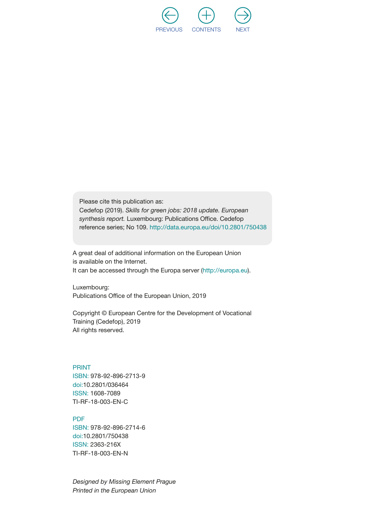

Please cite this publication as: Cedefop (2019). *Skills for green jobs: 2018 update. European synthesis report.* Luxembourg: Publications Office. Cedefop reference series; No 109. [http://data.europa.eu/doi/1](http://data.europa.eu/doi/10.2801/750438)0.2801/750438

A great deal of additional information on the European Union is available on the Internet. It can be accessed through the Europa server (<http://europa.eu>).

Luxembourg: Publications Office of the European Union, 2019

Copyright © European Centre for the Development of Vocational Training (Cedefop), 2019 All rights reserved.

PRINT ISBN: 978-92-896-2713-9 doi:10.2801/036464 ISSN: 1608-7089 TI-RF-18-003-EN-C

#### PDF

ISBN: 978-92-896-2714-6 doi:10.2801/750438 ISSN: 2363-216X TI-RF-18-003-EN-N

*Designed by Missing Element Prague Printed in the European Union*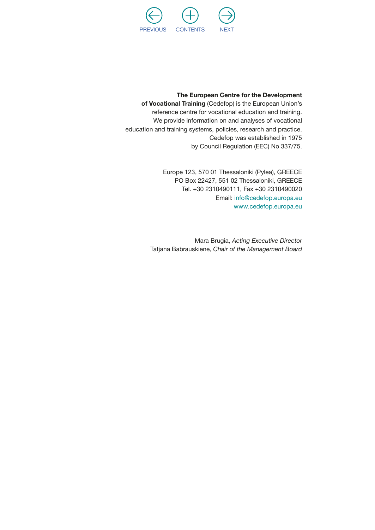

#### The European Centre for the Development

of Vocational Training (Cedefop) is the European Union's reference centre for vocational education and training. We provide information on and analyses of vocational education and training systems, policies, research and practice. Cedefop was established in 1975 by Council Regulation (EEC) No 337/75.

> Europe 123, 570 01 Thessaloniki (Pylea), GREECE PO Box 22427, 551 02 Thessaloniki, GREECE Tel. +30 2310490111, Fax +30 2310490020 Email: [info@cedefop.europa.eu](mailto:info@cedefop.europa.eu) [www.cedefop.europa.eu](http://www.cedefop.europa.eu)

Mara Brugia, *Acting Executive Director* Tatjana Babrauskiene, *Chair of the Management Board*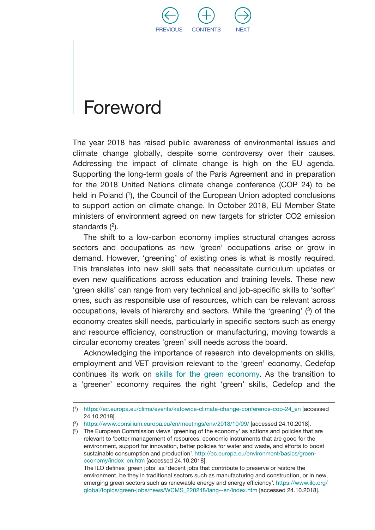

## <span id="page-5-0"></span>Foreword

The year 2018 has raised public awareness of environmental issues and climate change globally, despite some controversy over their causes. Addressing the impact of climate change is high on the EU agenda. Supporting the long-term goals of the Paris Agreement and in preparation for the 2018 United Nations climate change conference (COP 24) to be held in Poland (1), the Council of the European Union adopted conclusions to support action on climate change. In October 2018, EU Member State ministers of environment agreed on new targets for stricter CO2 emission standards (2).

The shift to a low-carbon economy implies structural changes across sectors and occupations as new 'green' occupations arise or grow in demand. However, 'greening' of existing ones is what is mostly required. This translates into new skill sets that necessitate curriculum updates or even new qualifications across education and training levels. These new 'green skills' can range from very technical and job-specific skills to 'softer' ones, such as responsible use of resources, which can be relevant across occupations, levels of hierarchy and sectors. While the 'greening' (3) of the economy creates skill needs, particularly in specific sectors such as energy and resource efficiency, construction or manufacturing, moving towards a circular economy creates 'green' skill needs across the board.

Acknowledging the importance of research into developments on skills, employment and VET provision relevant to the 'green' economy, Cedefop continues its work on [skills for the green economy](http://www.cedefop.europa.eu/en/events-and-projects/projects/skills-green-economy). As the transition to a 'greener' economy requires the right 'green' skills, Cedefop and the

<sup>(</sup> 1) [https://ec.europa.eu/clima/events/katowice-climate-change-conference-cop-24\\_en](https://ec.europa.eu/clima/events/katowice-climate-change-conference-cop-24_en) [accessed 24.10.2018].

<sup>(</sup>²) <https://www.consilium.europa.eu/en/meetings/env/2018/10/09/> [accessed 24.10.2018].

<sup>(</sup> 3) The European Commission views 'greening of the economy' as actions and policies that are relevant to 'better management of resources, economic instruments that are good for the environment, support for innovation, better policies for water and waste, and efforts to boost sustainable consumption and production'. [http://ec.europa.eu/environment/basics/green](http://ec.europa.eu/environment/basics/green-economy/index_en.htm)[economy/index\\_en.htm](http://ec.europa.eu/environment/basics/green-economy/index_en.htm) [accessed 24.10.2018].

The ILO defines 'green jobs' as 'decent jobs that contribute to preserve or restore the environment, be they in traditional sectors such as manufacturing and construction, or in new, emerging green sectors such as renewable energy and energy efficiency'. [https://www.ilo.org/](https://www.ilo.org/global/topics/green-jobs/news/WCMS_220248/lang--en/index.htm) [global/topics/green-jobs/news/WCMS\\_220248/lang--en/index.htm](https://www.ilo.org/global/topics/green-jobs/news/WCMS_220248/lang--en/index.htm) [accessed 24.10.2018].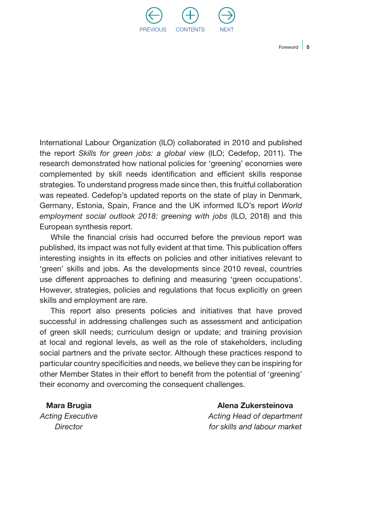

 $Foreword \, 5$ 

International Labour Organization (ILO) collaborated in 2010 and published the report *Skills for green jobs: a global view*  (ILO; Cedefop, 2011). The research demonstrated how national policies for 'greening' economies were complemented by skill needs identification and efficient skills response strategies. To understand progress made since then, this fruitful collaboration was repeated. Cedefop's updated reports on the state of play in Denmark, Germany, Estonia, Spain, France and the UK informed ILO's report *World employment social outlook 2018: greening with jobs* (ILO, 2018) and this European synthesis report.

While the financial crisis had occurred before the previous report was published, its impact was not fully evident at that time. This publication offers interesting insights in its effects on policies and other initiatives relevant to 'green' skills and jobs. As the developments since 2010 reveal, countries use different approaches to defining and measuring 'green occupations'. However, strategies, policies and regulations that focus explicitly on green skills and employment are rare.

This report also presents policies and initiatives that have proved successful in addressing challenges such as assessment and anticipation of green skill needs; curriculum design or update; and training provision at local and regional levels, as well as the role of stakeholders, including social partners and the private sector. Although these practices respond to particular country specificities and needs, we believe they can be inspiring for other Member States in their effort to benefit from the potential of 'greening' their economy and overcoming the consequent challenges.

Mara Brugia

*Acting Executive Director*

Alena Zukersteinova

*Acting Head of department for skills and labour market*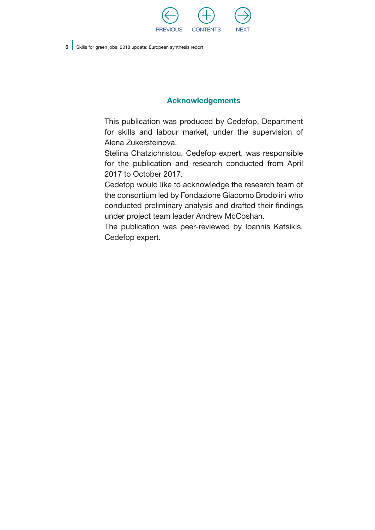

#### Acknowledgements

This publication was produced by Cedefop, Department for skills and labour market, under the supervision of Alena Zukersteinova.

Stelina Chatzichristou, Cedefop expert, was responsible for the publication and research conducted from April 2017 to October 2017.

Cedefop would like to acknowledge the research team of the consortium led by Fondazione Giacomo Brodolini who conducted preliminary analysis and drafted their findings under project team leader Andrew McCoshan.

The publication was peer-reviewed by Ioannis Katsikis, Cedefop expert.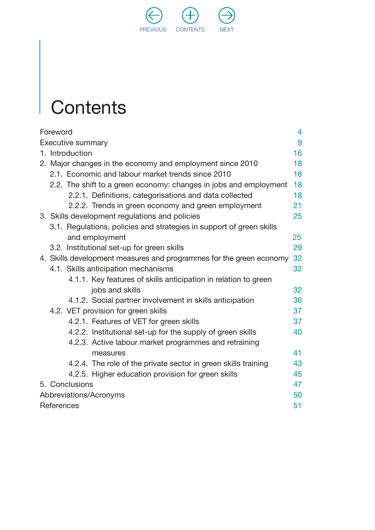

# **Contents**

|                                     | Foreword                                                             | 4  |  |  |
|-------------------------------------|----------------------------------------------------------------------|----|--|--|
| 9<br>Executive summary              |                                                                      |    |  |  |
|                                     | 1. Introduction                                                      | 16 |  |  |
|                                     | 2. Major changes in the economy and employment since 2010            | 18 |  |  |
|                                     | 2.1. Economic and labour market trends since 2010                    | 18 |  |  |
|                                     | 2.2. The shift to a green economy: changes in jobs and employment    | 18 |  |  |
|                                     | 2.2.1. Definitions, categorisations and data collected               | 18 |  |  |
|                                     | 2.2.2. Trends in green economy and green employment                  | 21 |  |  |
|                                     | 3. Skills development regulations and policies                       | 25 |  |  |
|                                     | 3.1. Regulations, policies and strategies in support of green skills |    |  |  |
|                                     | and employment                                                       | 25 |  |  |
|                                     | 3.2. Institutional set-up for green skills                           | 29 |  |  |
|                                     | 4. Skills development measures and programmes for the green economy  | 32 |  |  |
|                                     | 4.1. Skills anticipation mechanisms                                  | 32 |  |  |
|                                     | 4.1.1. Key features of skills anticipation in relation to green      |    |  |  |
|                                     | jobs and skills                                                      | 32 |  |  |
|                                     | 4.1.2. Social partner involvement in skills anticipation             | 36 |  |  |
| 4.2. VET provision for green skills |                                                                      | 37 |  |  |
|                                     | 4.2.1. Features of VET for green skills                              | 37 |  |  |
|                                     | 4.2.2. Institutional set-up for the supply of green skills           | 40 |  |  |
|                                     | 4.2.3. Active labour market programmes and retraining                |    |  |  |
|                                     | measures                                                             | 41 |  |  |
|                                     | 4.2.4. The role of the private sector in green skills training       | 43 |  |  |
|                                     | 4.2.5. Higher education provision for green skills                   | 45 |  |  |
|                                     | 5. Conclusions<br>47                                                 |    |  |  |
|                                     | Abbreviations/Acronyms<br>50                                         |    |  |  |
|                                     | References<br>51                                                     |    |  |  |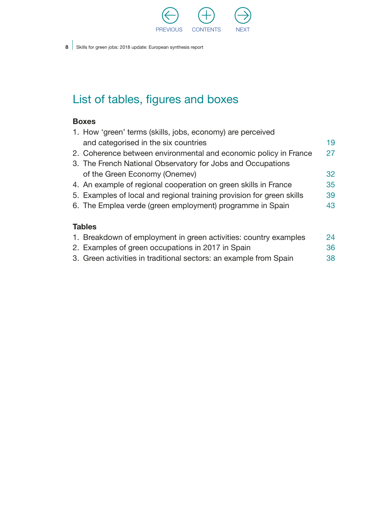

### List of tables, figures and boxes

#### Boxes

|               | 1. How 'green' terms (skills, jobs, economy) are perceived                                          |    |  |  |
|---------------|-----------------------------------------------------------------------------------------------------|----|--|--|
|               | and categorised in the six countries                                                                | 19 |  |  |
|               | 2. Coherence between environmental and economic policy in France                                    | 27 |  |  |
|               | 3. The French National Observatory for Jobs and Occupations                                         |    |  |  |
|               | of the Green Economy (Onemev)                                                                       | 32 |  |  |
|               | 4. An example of regional cooperation on green skills in France                                     | 35 |  |  |
|               | 5. Examples of local and regional training provision for green skills                               | 39 |  |  |
|               | 6. The Emplea verde (green employment) programme in Spain                                           | 43 |  |  |
| <b>Tables</b> |                                                                                                     |    |  |  |
|               | di i Dan el celebrario e freguesia canona estaba estre establecente establecente este a legal estre |    |  |  |

#### [1. Breakdown of employment in green activities: country examples](#page-25-0) 24 [2. Examples of green occupations in 2017 in Spain](#page-37-0) 36

3. [Green activities in traditional sectors: an example from Spain](#page-39-0) 38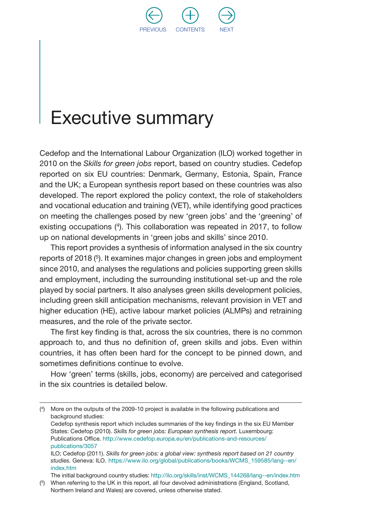

## <span id="page-10-0"></span>Executive summary

Cedefop and the International Labour Organization (ILO) worked together in 2010 on the *Skills for green jobs* report, based on country studies. Cedefop reported on six EU countries: Denmark, Germany, Estonia, Spain, France and the UK; a European synthesis report based on these countries was also developed. The report explored the policy context, the role of stakeholders and vocational education and training (VET), while identifying good practices on meeting the challenges posed by new 'green jobs' and the 'greening' of existing occupations (4). This collaboration was repeated in 2017, to follow up on national developments in 'green jobs and skills' since 2010.

This report provides a synthesis of information analysed in the six country reports of 2018 (<sup>5</sup>). It examines major changes in green jobs and employment since 2010, and analyses the regulations and policies supporting green skills and employment, including the surrounding institutional set-up and the role played by social partners. It also analyses green skills development policies, including green skill anticipation mechanisms, relevant provision in VET and higher education (HE), active labour market policies (ALMPs) and retraining measures, and the role of the private sector.

The first key finding is that, across the six countries, there is no common approach to, and thus no definition of, green skills and jobs. Even within countries, it has often been hard for the concept to be pinned down, and sometimes definitions continue to evolve.

How 'green' terms (skills, jobs, economy) are perceived and categorised in the six countries is detailed below.

<sup>(</sup> 4) More on the outputs of the 2009-10 project is available in the following publications and background studies:

Cedefop synthesis report which includes summaries of the key findings in the six EU Member States: Cedefop (2010). *Skills for green jobs: European synthesis report.* Luxembourg: Publications Office. [http://www.cedefop.europa.eu/en/publications-and-resources/](http://www.cedefop.europa.eu/en/publications-and-resources/publications/3057) [publications/3057](http://www.cedefop.europa.eu/en/publications-and-resources/publications/3057)

ILO; Cedefop (2011). *Skills for green jobs: a global view: synthesis report based on 21 country studies.* Geneva: ILO. [https://www.ilo.org/global/publications/books/WCMS\\_159585/lang--en/](https://www.ilo.org/global/publications/books/WCMS_159585/lang--en/index.htm) [index.htm](https://www.ilo.org/global/publications/books/WCMS_159585/lang--en/index.htm)

The initial background country studies: [http://ilo.org/skills/inst/WCMS\\_144268/lang--en/index.htm](http://ilo.org/skills/inst/WCMS_144268/lang--en/index.htm)

<sup>(</sup> 5) When referring to the UK in this report, all four devolved administrations (England, Scotland, Northern Ireland and Wales) are covered, unless otherwise stated.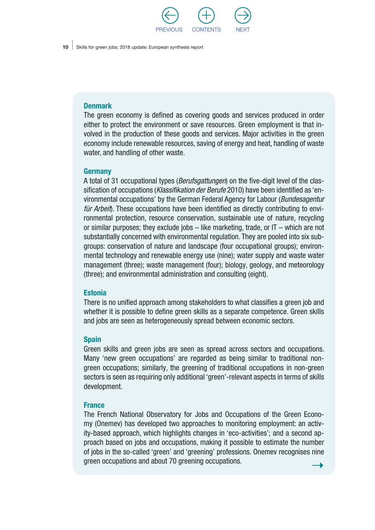

#### **Denmark**

The green economy is defined as covering goods and services produced in order either to protect the environment or save resources. Green employment is that involved in the production of these goods and services. Major activities in the green economy include renewable resources, saving of energy and heat, handling of waste water, and handling of other waste.

#### Germany

A total of 31 occupational types (*Berufsgattungen*) on the five-digit level of the classification of occupations (*Klassifikation der Berufe* 2010) have been identified as 'environmental occupations' by the German Federal Agency for Labour (*Bundesagentur für Arbeit*). These occupations have been identified as directly contributing to environmental protection, resource conservation, sustainable use of nature, recycling or similar purposes; they exclude jobs – like marketing, trade, or IT – which are not substantially concerned with environmental regulation. They are pooled into six subgroups: conservation of nature and landscape (four occupational groups); environmental technology and renewable energy use (nine); water supply and waste water management (three); waste management (four); biology, geology, and meteorology (three); and environmental administration and consulting (eight).

#### **Estonia**

There is no unified approach among stakeholders to what classifies a green job and whether it is possible to define green skills as a separate competence. Green skills and jobs are seen as heterogeneously spread between economic sectors.

#### Spain

Green skills and green jobs are seen as spread across sectors and occupations. Many 'new green occupations' are regarded as being similar to traditional nongreen occupations; similarly, the greening of traditional occupations in non-green sectors is seen as requiring only additional 'green'-relevant aspects in terms of skills development.

#### **France**

The French National Observatory for Jobs and Occupations of the Green Economy (Onemev) has developed two approaches to monitoring employment: an activity-based approach, which highlights changes in 'eco-activities'; and a second approach based on jobs and occupations, making it possible to estimate the number of jobs in the so-called 'green' and 'greening' professions. Onemev recognises nine green occupations and about 70 greening occupations.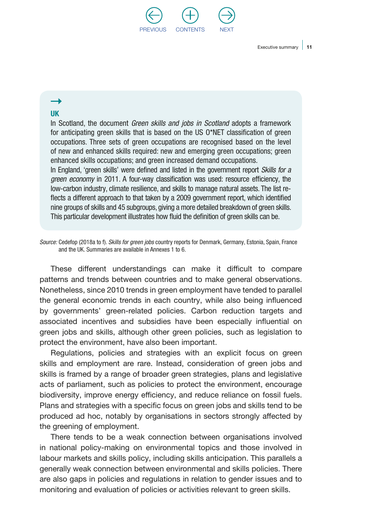

#### UK

In Scotland, the document *Green skills and jobs in Scotland* adopts a framework for anticipating green skills that is based on the US O\*NET classification of green occupations. Three sets of green occupations are recognised based on the level of new and enhanced skills required: new and emerging green occupations; green enhanced skills occupations; and green increased demand occupations.

In England, 'green skills' were defined and listed in the government report *Skills for a green economy* in 2011. A four-way classification was used: resource efficiency, the low-carbon industry, climate resilience, and skills to manage natural assets. The list reflects a different approach to that taken by a 2009 government report, which identified nine groups of skills and 45 subgroups, giving a more detailed breakdown of green skills. This particular development illustrates how fluid the definition of green skills can be.

*Source:* Cedefop (2018a to f). *Skills for green jobs* country reports for Denmark, Germany, Estonia, Spain, France and the UK. Summaries are available in Annexes 1 to 6.

These different understandings can make it difficult to compare patterns and trends between countries and to make general observations. Nonetheless, since 2010 trends in green employment have tended to parallel the general economic trends in each country, while also being influenced by governments' green-related policies. Carbon reduction targets and associated incentives and subsidies have been especially influential on green jobs and skills, although other green policies, such as legislation to protect the environment, have also been important.

Regulations, policies and strategies with an explicit focus on green skills and employment are rare. Instead, consideration of green jobs and skills is framed by a range of broader green strategies, plans and legislative acts of parliament, such as policies to protect the environment, encourage biodiversity, improve energy efficiency, and reduce reliance on fossil fuels. Plans and strategies with a specific focus on green jobs and skills tend to be produced ad hoc, notably by organisations in sectors strongly affected by the greening of employment.

There tends to be a weak connection between organisations involved in national policy-making on environmental topics and those involved in labour markets and skills policy, including skills anticipation. This parallels a generally weak connection between environmental and skills policies. There are also gaps in policies and regulations in relation to gender issues and to monitoring and evaluation of policies or activities relevant to green skills.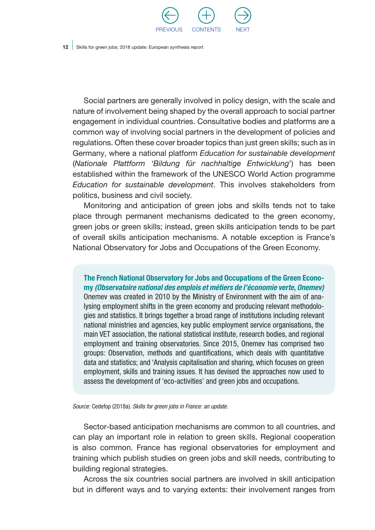

Social partners are generally involved in policy design, with the scale and nature of involvement being shaped by the overall approach to social partner engagement in individual countries. Consultative bodies and platforms are a common way of involving social partners in the development of policies and regulations. Often these cover broader topics than just green skills; such as in Germany, where a national platform *Education for sustainable development*  (*Nationale Plattform 'Bildung für nachhaltige Entwicklung*') has been established within the framework of the UNESCO World Action programme *Education for sustainable development*. This involves stakeholders from politics, business and civil society.

Monitoring and anticipation of green jobs and skills tends not to take place through permanent mechanisms dedicated to the green economy, green jobs or green skills; instead, green skills anticipation tends to be part of overall skills anticipation mechanisms. A notable exception is France's National Observatory for Jobs and Occupations of the Green Economy.

The French National Observatory for Jobs and Occupations of the Green Economy *(Observatoire national des emplois et métiers de l'économie verte, Onemev)* Onemev was created in 2010 by the Ministry of Environment with the aim of analysing employment shifts in the green economy and producing relevant methodologies and statistics. It brings together a broad range of institutions including relevant national ministries and agencies, key public employment service organisations, the main VET association, the national statistical institute, research bodies, and regional employment and training observatories. Since 2015, Onemev has comprised two groups: Observation, methods and quantifications, which deals with quantitative data and statistics; and 'Analysis capitalisation and sharing, which focuses on green employment, skills and training issues. It has devised the approaches now used to assess the development of 'eco-activities' and green jobs and occupations.

*Source:* Cedefop (2018a). *Skills for green jobs in France: an update.*

Sector-based anticipation mechanisms are common to all countries, and can play an important role in relation to green skills. Regional cooperation is also common. France has regional observatories for employment and training which publish studies on green jobs and skill needs, contributing to building regional strategies.

Across the six countries social partners are involved in skill anticipation but in different ways and to varying extents: their involvement ranges from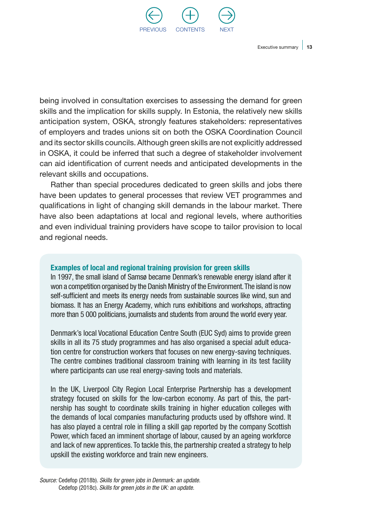

being involved in consultation exercises to assessing the demand for green skills and the implication for skills supply. In Estonia, the relatively new skills anticipation system, OSKA, strongly features stakeholders: representatives of employers and trades unions sit on both the OSKA Coordination Council and its sector skills councils. Although green skills are not explicitly addressed in OSKA, it could be inferred that such a degree of stakeholder involvement can aid identification of current needs and anticipated developments in the relevant skills and occupations.

Rather than special procedures dedicated to green skills and jobs there have been updates to general processes that review VET programmes and qualifications in light of changing skill demands in the labour market. There have also been adaptations at local and regional levels, where authorities and even individual training providers have scope to tailor provision to local and regional needs.

#### Examples of local and regional training provision for green skills

In 1997, the small island of Samsø became Denmark's renewable energy island after it won a competition organised by the Danish Ministry of the Environment. The island is now self-sufficient and meets its energy needs from sustainable sources like wind, sun and biomass. It has an Energy Academy, which runs exhibitions and workshops, attracting more than 5 000 politicians, journalists and students from around the world every year.

Denmark's local Vocational Education Centre South (EUC Syd) aims to provide green skills in all its 75 study programmes and has also organised a special adult education centre for construction workers that focuses on new energy-saving techniques. The centre combines traditional classroom training with learning in its test facility where participants can use real energy-saving tools and materials.

In the UK, Liverpool City Region Local Enterprise Partnership has a development strategy focused on skills for the low-carbon economy. As part of this, the partnership has sought to coordinate skills training in higher education colleges with the demands of local companies manufacturing products used by offshore wind. It has also played a central role in filling a skill gap reported by the company Scottish Power, which faced an imminent shortage of labour, caused by an ageing workforce and lack of new apprentices. To tackle this, the partnership created a strategy to help upskill the existing workforce and train new engineers.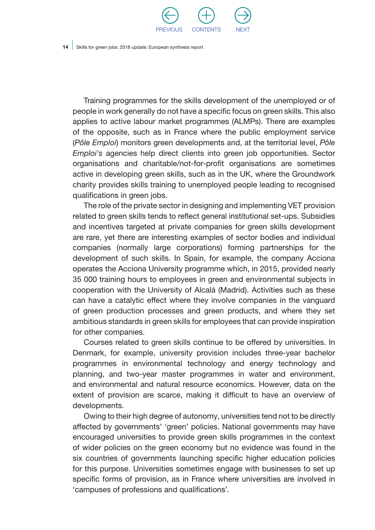

Training programmes for the skills development of the unemployed or of people in work generally do not have a specific focus on green skills. This also applies to active labour market programmes (ALMPs). There are examples of the opposite, such as in France where the public employment service (*Pôle Emploi*) monitors green developments and, at the territorial level, *Pôle Emploi's* agencies help direct clients into green job opportunities. Sector organisations and charitable/not-for-profit organisations are sometimes active in developing green skills, such as in the UK, where the Groundwork charity provides skills training to unemployed people leading to recognised qualifications in green jobs.

The role of the private sector in designing and implementing VET provision related to green skills tends to reflect general institutional set-ups. Subsidies and incentives targeted at private companies for green skills development are rare, yet there are interesting examples of sector bodies and individual companies (normally large corporations) forming partnerships for the development of such skills. In Spain, for example, the company Acciona operates the Acciona University programme which, in 2015, provided nearly 35 000 training hours to employees in green and environmental subjects in cooperation with the University of Alcalá (Madrid). Activities such as these can have a catalytic effect where they involve companies in the vanguard of green production processes and green products, and where they set ambitious standards in green skills for employees that can provide inspiration for other companies.

Courses related to green skills continue to be offered by universities. In Denmark, for example, university provision includes three-year bachelor programmes in environmental technology and energy technology and planning, and two-year master programmes in water and environment, and environmental and natural resource economics. However, data on the extent of provision are scarce, making it difficult to have an overview of developments.

Owing to their high degree of autonomy, universities tend not to be directly affected by governments' 'green' policies. National governments may have encouraged universities to provide green skills programmes in the context of wider policies on the green economy but no evidence was found in the six countries of governments launching specific higher education policies for this purpose. Universities sometimes engage with businesses to set up specific forms of provision, as in France where universities are involved in 'campuses of professions and qualifications'.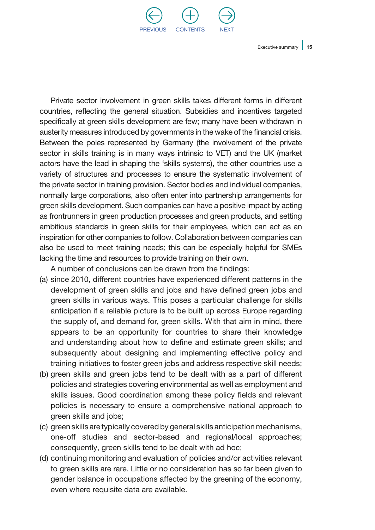

Private sector involvement in green skills takes different forms in different countries, reflecting the general situation. Subsidies and incentives targeted specifically at green skills development are few; many have been withdrawn in austerity measures introduced by governments in the wake of the financial crisis. Between the poles represented by Germany (the involvement of the private sector in skills training is in many ways intrinsic to VET) and the UK (market actors have the lead in shaping the 'skills systems), the other countries use a variety of structures and processes to ensure the systematic involvement of the private sector in training provision. Sector bodies and individual companies, normally large corporations, also often enter into partnership arrangements for green skills development. Such companies can have a positive impact by acting as frontrunners in green production processes and green products, and setting ambitious standards in green skills for their employees, which can act as an inspiration for other companies to follow. Collaboration between companies can also be used to meet training needs; this can be especially helpful for SMEs lacking the time and resources to provide training on their own.

A number of conclusions can be drawn from the findings:

- (a) since 2010, different countries have experienced different patterns in the development of green skills and jobs and have defined green jobs and green skills in various ways. This poses a particular challenge for skills anticipation if a reliable picture is to be built up across Europe regarding the supply of, and demand for, green skills. With that aim in mind, there appears to be an opportunity for countries to share their knowledge and understanding about how to define and estimate green skills; and subsequently about designing and implementing effective policy and training initiatives to foster green jobs and address respective skill needs;
- (b) green skills and green jobs tend to be dealt with as a part of different policies and strategies covering environmental as well as employment and skills issues. Good coordination among these policy fields and relevant policies is necessary to ensure a comprehensive national approach to green skills and jobs;
- (c) green skills are typically covered by general skills anticipation mechanisms, one-off studies and sector-based and regional/local approaches; consequently, green skills tend to be dealt with ad hoc;
- (d) continuing monitoring and evaluation of policies and/or activities relevant to green skills are rare. Little or no consideration has so far been given to gender balance in occupations affected by the greening of the economy, even where requisite data are available.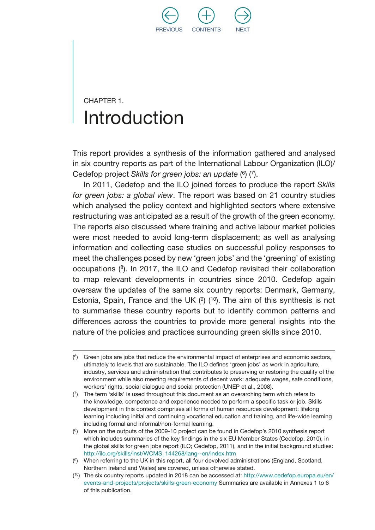

## <span id="page-17-0"></span>CHAPTER 1. Introduction

This report provides a synthesis of the information gathered and analysed in six country reports as part of the International Labour Organization (ILO)/ Cedefop project *Skills for green jobs: an update* ( 6) (7).

In 2011, Cedefop and the ILO joined forces to produce the report *Skills for green jobs: a global view*. The report was based on 21 country studies which analysed the policy context and highlighted sectors where extensive restructuring was anticipated as a result of the growth of the green economy. The reports also discussed where training and active labour market policies were most needed to avoid long-term displacement; as well as analysing information and collecting case studies on successful policy responses to meet the challenges posed by new 'green jobs' and the 'greening' of existing occupations (8). In 2017, the ILO and Cedefop revisited their collaboration to map relevant developments in countries since 2010. Cedefop again oversaw the updates of the same six country reports: Denmark, Germany, Estonia, Spain, France and the UK  $(9)$  (<sup>10</sup>). The aim of this synthesis is not to summarise these country reports but to identify common patterns and differences across the countries to provide more general insights into the nature of the policies and practices surrounding green skills since 2010.

<sup>(</sup> 6) Green jobs are jobs that reduce the environmental impact of enterprises and economic sectors, ultimately to levels that are sustainable. The ILO defines 'green jobs' as work in agriculture, industry, services and administration that contributes to preserving or restoring the quality of the environment while also meeting requirements of decent work: adequate wages, safe conditions, workers' rights, social dialogue and social protection (UNEP et al., 2008).

<sup>(</sup> 7) The term 'skills' is used throughout this document as an overarching term which refers to the knowledge, competence and experience needed to perform a specific task or job. Skills development in this context comprises all forms of human resources development: lifelong learning including initial and continuing vocational education and training, and life-wide learning including formal and informal/non-formal learning.

<sup>(</sup> 8) More on the outputs of the 2009-10 project can be found in Cedefop's 2010 synthesis report which includes summaries of the key findings in the six EU Member States (Cedefop, 2010), in the global skills for green jobs report (ILO; Cedefop, 2011), and in the initial background studies: http://ilo.org/skills/inst/WCMS\_144268/lang--en/index.htm

<sup>(</sup> 9) When referring to the UK in this report, all four devolved administrations (England, Scotland, Northern Ireland and Wales) are covered, unless otherwise stated.

<sup>(</sup> 10) The six country reports updated in 2018 can be accessed at: [http://www.cedefop.europa.eu/en/](http://www.cedefop.europa.eu/en/events-and-projects/projects/skills-green-economy) [events-and-projects/projects/skills-green-economy](http://www.cedefop.europa.eu/en/events-and-projects/projects/skills-green-economy) Summaries are available in Annexes 1 to 6 of this publication.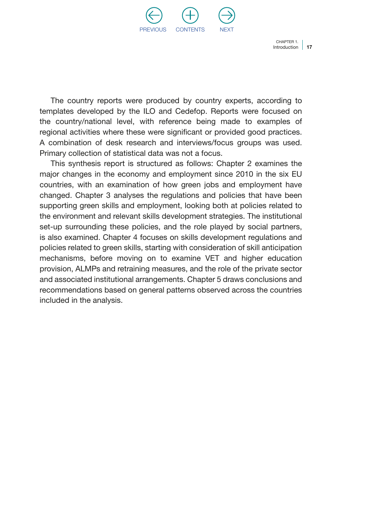

Introduction | 17 Chapter 1.

The country reports were produced by country experts, according to templates developed by the ILO and Cedefop. Reports were focused on the country/national level, with reference being made to examples of regional activities where these were significant or provided good practices. A combination of desk research and interviews/focus groups was used. Primary collection of statistical data was not a focus.

This synthesis report is structured as follows: Chapter 2 examines the major changes in the economy and employment since 2010 in the six EU countries, with an examination of how green jobs and employment have changed. Chapter 3 analyses the regulations and policies that have been supporting green skills and employment, looking both at policies related to the environment and relevant skills development strategies. The institutional set-up surrounding these policies, and the role played by social partners, is also examined. Chapter 4 focuses on skills development regulations and policies related to green skills, starting with consideration of skill anticipation mechanisms, before moving on to examine VET and higher education provision, ALMPs and retraining measures, and the role of the private sector and associated institutional arrangements. Chapter 5 draws conclusions and recommendations based on general patterns observed across the countries included in the analysis.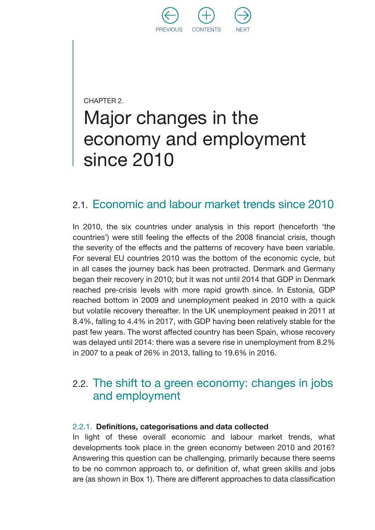

<span id="page-19-0"></span>CHAPTER 2.

## Major changes in the economy and employment since 2010

#### 2.1. Economic and labour market trends since 2010

In 2010, the six countries under analysis in this report (henceforth 'the countries') were still feeling the effects of the 2008 financial crisis, though the severity of the effects and the patterns of recovery have been variable. For several EU countries 2010 was the bottom of the economic cycle, but in all cases the journey back has been protracted. Denmark and Germany began their recovery in 2010; but it was not until 2014 that GDP in Denmark reached pre-crisis levels with more rapid growth since. In Estonia, GDP reached bottom in 2009 and unemployment peaked in 2010 with a quick but volatile recovery thereafter. In the UK unemployment peaked in 2011 at 8.4%, falling to 4.4% in 2017, with GDP having been relatively stable for the past few years. The worst affected country has been Spain, whose recovery was delayed until 2014: there was a severe rise in unemployment from 8.2% in 2007 to a peak of 26% in 2013, falling to 19.6% in 2016.

#### 2.2. The shift to a green economy: changes in jobs and employment

#### 2.2.1. Definitions, categorisations and data collected

In light of these overall economic and labour market trends, what developments took place in the green economy between 2010 and 2016? Answering this question can be challenging, primarily because there seems to be no common approach to, or definition of, what green skills and jobs are (as shown in Box 1). There are different approaches to data classification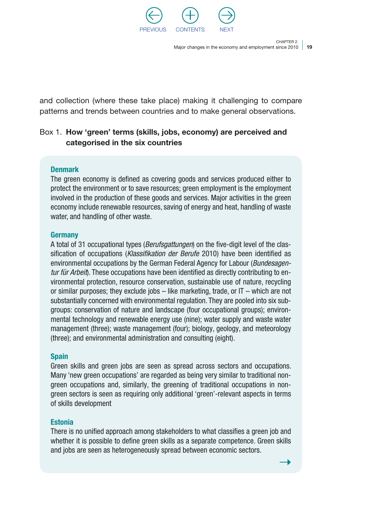

Major changes in the economy and employment since 2010 | 19

CHAPTER 2.

<span id="page-20-0"></span>and collection (where these take place) making it challenging to compare patterns and trends between countries and to make general observations.

#### Box 1. How 'green' terms (skills, jobs, economy) are perceived and categorised in the six countries

#### **Denmark**

The green economy is defined as covering goods and services produced either to protect the environment or to save resources; green employment is the employment involved in the production of these goods and services. Major activities in the green economy include renewable resources, saving of energy and heat, handling of waste water, and handling of other waste.

#### Germany

A total of 31 occupational types (*Berufsgattungen*) on the five-digit level of the classification of occupations (*Klassifikation der Berufe* 2010) have been identified as environmental occupations by the German Federal Agency for Labour (*Bundesagentur für Arbeit*). These occupations have been identified as directly contributing to environmental protection, resource conservation, sustainable use of nature, recycling or similar purposes; they exclude jobs  $-$  like marketing, trade, or  $IT -$  which are not substantially concerned with environmental regulation. They are pooled into six subgroups: conservation of nature and landscape (four occupational groups); environmental technology and renewable energy use (nine); water supply and waste water management (three); waste management (four); biology, geology, and meteorology (three); and environmental administration and consulting (eight).

#### **Spain**

Green skills and green jobs are seen as spread across sectors and occupations. Many 'new green occupations' are regarded as being very similar to traditional nongreen occupations and, similarly, the greening of traditional occupations in nongreen sectors is seen as requiring only additional 'green'-relevant aspects in terms of skills development

#### Estonia

There is no unified approach among stakeholders to what classifies a green job and whether it is possible to define green skills as a separate competence. Green skills and jobs are seen as heterogeneously spread between economic sectors.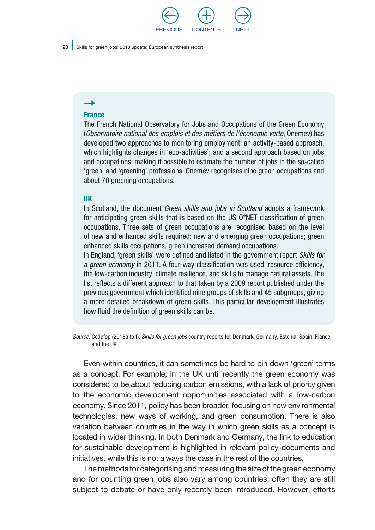

#### $\rightarrow$

#### **France**

The French National Observatory for Jobs and Occupations of the Green Economy (*Observatoire national des emplois et des métiers de l'économie verte*, Onemev) has developed two approaches to monitoring employment: an activity-based approach, which highlights changes in 'eco-activities'; and a second approach based on jobs and occupations, making it possible to estimate the number of jobs in the so-called 'green' and 'greening' professions. Onemev recognises nine green occupations and about 70 greening occupations.

#### UK

In Scotland, the document *Green skills and jobs in Scotland* adopts a framework for anticipating green skills that is based on the US O\*NET classification of green occupations. Three sets of green occupations are recognised based on the level of new and enhanced skills required: new and emerging green occupations; green enhanced skills occupations; green increased demand occupations.

In England, 'green skills' were defined and listed in the government report *Skills for a green economy* in 2011. A four-way classification was used: resource efficiency, the low-carbon industry, climate resilience, and skills to manage natural assets. The list reflects a different approach to that taken by a 2009 report published under the previous government which identified nine groups of skills and 45 subgroups, giving a more detailed breakdown of green skills. This particular development illustrates how fluid the definition of green skills can be.

*Source:* Cedefop (2018a to f). *Skills for green jobs* country reports for Denmark, Germany, Estonia, Spain, France and the UK.

Even within countries, it can sometimes be hard to pin down 'green' terms as a concept. For example, in the UK until recently the green economy was considered to be about reducing carbon emissions, with a lack of priority given to the economic development opportunities associated with a low-carbon economy. Since 2011, policy has been broader, focusing on new environmental technologies, new ways of working, and green consumption. There is also variation between countries in the way in which green skills as a concept is located in wider thinking. In both Denmark and Germany, the link to education for sustainable development is highlighted in relevant policy documents and initiatives, while this is not always the case in the rest of the countries.

The methods for categorising and measuring the size of the green economy and for counting green jobs also vary among countries; often they are still subject to debate or have only recently been introduced. However, efforts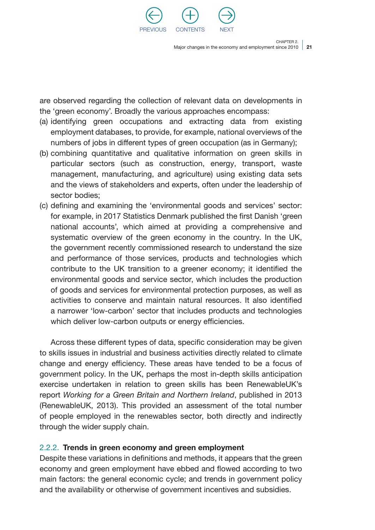

Major changes in the economy and employment since 2010 | 21

CHAPTER 2.

<span id="page-22-0"></span>are observed regarding the collection of relevant data on developments in the 'green economy'. Broadly the various approaches encompass:

- (a) identifying green occupations and extracting data from existing employment databases, to provide, for example, national overviews of the numbers of jobs in different types of green occupation (as in Germany);
- (b) combining quantitative and qualitative information on green skills in particular sectors (such as construction, energy, transport, waste management, manufacturing, and agriculture) using existing data sets and the views of stakeholders and experts, often under the leadership of sector bodies;
- (c) defining and examining the 'environmental goods and services' sector: for example, in 2017 Statistics Denmark published the first Danish 'green national accounts', which aimed at providing a comprehensive and systematic overview of the green economy in the country. In the UK, the government recently commissioned research to understand the size and performance of those services, products and technologies which contribute to the UK transition to a greener economy; it identified the environmental goods and service sector, which includes the production of goods and services for environmental protection purposes, as well as activities to conserve and maintain natural resources. It also identified a narrower 'low-carbon' sector that includes products and technologies which deliver low-carbon outputs or energy efficiencies.

Across these different types of data, specific consideration may be given to skills issues in industrial and business activities directly related to climate change and energy efficiency. These areas have tended to be a focus of government policy. In the UK, perhaps the most in-depth skills anticipation exercise undertaken in relation to green skills has been RenewableUK's report *Working for a Green Britain and Northern Ireland*, published in 2013 (RenewableUK, 2013). This provided an assessment of the total number of people employed in the renewables sector, both directly and indirectly through the wider supply chain.

#### 2.2.2. Trends in green economy and green employment

Despite these variations in definitions and methods, it appears that the green economy and green employment have ebbed and flowed according to two main factors: the general economic cycle; and trends in government policy and the availability or otherwise of government incentives and subsidies.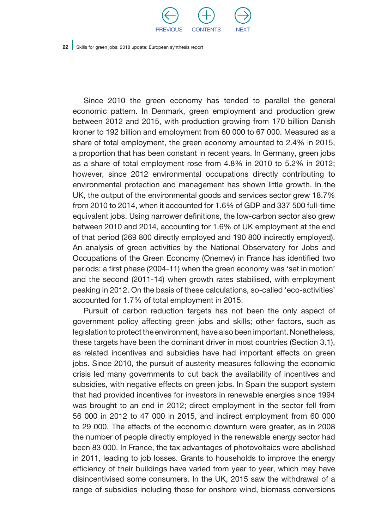

Since 2010 the green economy has tended to parallel the general economic pattern. In Denmark, green employment and production grew between 2012 and 2015, with production growing from 170 billion Danish kroner to 192 billion and employment from 60 000 to 67 000. Measured as a share of total employment, the green economy amounted to 2.4% in 2015, a proportion that has been constant in recent years. In Germany, green jobs as a share of total employment rose from 4.8% in 2010 to 5.2% in 2012; however, since 2012 environmental occupations directly contributing to environmental protection and management has shown little growth. In the UK, the output of the environmental goods and services sector grew 18.7% from 2010 to 2014, when it accounted for 1.6% of GDP and 337 500 full-time equivalent jobs. Using narrower definitions, the low-carbon sector also grew between 2010 and 2014, accounting for 1.6% of UK employment at the end of that period (269 800 directly employed and 190 800 indirectly employed). An analysis of green activities by the National Observatory for Jobs and Occupations of the Green Economy (Onemev) in France has identified two periods: a first phase (2004-11) when the green economy was 'set in motion' and the second (2011-14) when growth rates stabilised, with employment peaking in 2012. On the basis of these calculations, so-called 'eco-activities' accounted for 1.7% of total employment in 2015.

Pursuit of carbon reduction targets has not been the only aspect of government policy affecting green jobs and skills; other factors, such as legislation to protect the environment, have also been important. Nonetheless, these targets have been the dominant driver in most countries (Section 3.1), as related incentives and subsidies have had important effects on green jobs. Since 2010, the pursuit of austerity measures following the economic crisis led many governments to cut back the availability of incentives and subsidies, with negative effects on green jobs. In Spain the support system that had provided incentives for investors in renewable energies since 1994 was brought to an end in 2012; direct employment in the sector fell from 56 000 in 2012 to 47 000 in 2015, and indirect employment from 60 000 to 29 000. The effects of the economic downturn were greater, as in 2008 the number of people directly employed in the renewable energy sector had been 83 000. In France, the tax advantages of photovoltaics were abolished in 2011, leading to job losses. Grants to households to improve the energy efficiency of their buildings have varied from year to year, which may have disincentivised some consumers. In the UK, 2015 saw the withdrawal of a range of subsidies including those for onshore wind, biomass conversions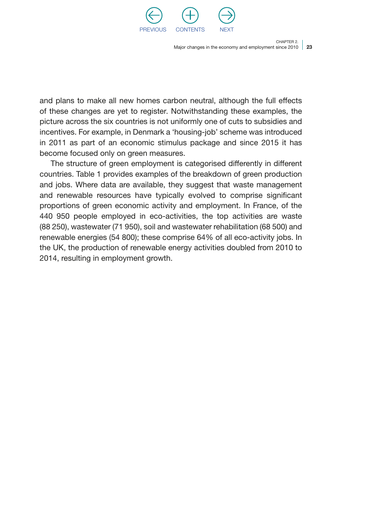

Major changes in the economy and employment since 2010 | 23

CHAPTER 2.

and plans to make all new homes carbon neutral, although the full effects of these changes are yet to register. Notwithstanding these examples, the picture across the six countries is not uniformly one of cuts to subsidies and incentives. For example, in Denmark a 'housing-job' scheme was introduced in 2011 as part of an economic stimulus package and since 2015 it has become focused only on green measures.

The structure of green employment is categorised differently in different countries. Table 1 provides examples of the breakdown of green production and jobs. Where data are available, they suggest that waste management and renewable resources have typically evolved to comprise significant proportions of green economic activity and employment. In France, of the 440 950 people employed in eco-activities, the top activities are waste (88 250), wastewater (71 950), soil and wastewater rehabilitation (68 500) and renewable energies (54 800); these comprise 64% of all eco-activity jobs. In the UK, the production of renewable energy activities doubled from 2010 to 2014, resulting in employment growth.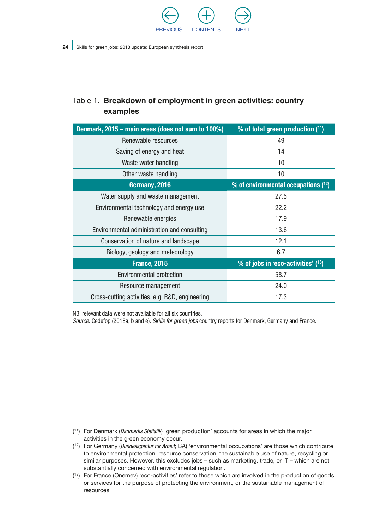

#### <span id="page-25-0"></span>Table 1. Breakdown of employment in green activities: country examples

| Denmark, 2015 - main areas (does not sum to 100%) | % of total green production (11)                |  |
|---------------------------------------------------|-------------------------------------------------|--|
| Renewable resources                               | 49                                              |  |
| Saving of energy and heat                         | 14                                              |  |
| Waste water handling                              | 10                                              |  |
| Other waste handling                              | 10                                              |  |
| Germany, 2016                                     | % of environmental occupations (12)             |  |
| Water supply and waste management                 | 27.5                                            |  |
| Environmental technology and energy use           | 22.2                                            |  |
| Renewable energies                                | 17.9                                            |  |
| Environmental administration and consulting       | 13.6                                            |  |
| Conservation of nature and landscape              | 12.1                                            |  |
| Biology, geology and meteorology                  | 6.7                                             |  |
| <b>France, 2015</b>                               | % of jobs in 'eco-activities' ( <sup>13</sup> ) |  |
| <b>Environmental protection</b>                   | 58.7                                            |  |
| Resource management                               | 24.0                                            |  |
| Cross-cutting activities, e.g. R&D, engineering   | 17.3                                            |  |

NB: relevant data were not available for all six countries.

*Source:* Cedefop (2018a, b and e). *Skills for green jobs* country reports for Denmark, Germany and France.

( 11) For Denmark (*Danmarks Statistik*) 'green production' accounts for areas in which the major activities in the green economy occur.

<sup>(</sup> 12) For Germany (*Bundesagentur für Arbeit*; BA) 'environmental occupations' are those which contribute to environmental protection, resource conservation, the sustainable use of nature, recycling or similar purposes. However, this excludes jobs – such as marketing, trade, or IT – which are not substantially concerned with environmental regulation.

<sup>(</sup> 13) For France (Onemev) 'eco-activities' refer to those which are involved in the production of goods or services for the purpose of protecting the environment, or the sustainable management of resources.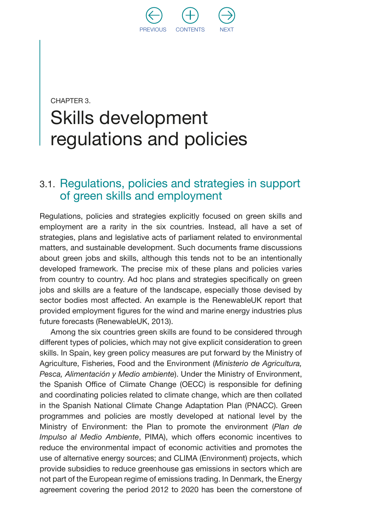

## <span id="page-26-0"></span>CHAPTER 3. Skills development regulations and policies

#### 3.1. Regulations, policies and strategies in support of green skills and employment

Regulations, policies and strategies explicitly focused on green skills and employment are a rarity in the six countries. Instead, all have a set of strategies, plans and legislative acts of parliament related to environmental matters, and sustainable development. Such documents frame discussions about green jobs and skills, although this tends not to be an intentionally developed framework. The precise mix of these plans and policies varies from country to country. Ad hoc plans and strategies specifically on green jobs and skills are a feature of the landscape, especially those devised by sector bodies most affected. An example is the RenewableUK report that provided employment figures for the wind and marine energy industries plus future forecasts (RenewableUK, 2013).

Among the six countries green skills are found to be considered through different types of policies, which may not give explicit consideration to green skills. In Spain, key green policy measures are put forward by the Ministry of Agriculture, Fisheries, Food and the Environment (*Ministerio de Agricultura, Pesca, Alimentación y Medio ambiente*). Under the Ministry of Environment, the Spanish Office of Climate Change (OECC) is responsible for defining and coordinating policies related to climate change, which are then collated in the Spanish National Climate Change Adaptation Plan (PNACC). Green programmes and policies are mostly developed at national level by the Ministry of Environment: the Plan to promote the environment (*Plan de Impulso al Medio Ambiente*, PIMA), which offers economic incentives to reduce the environmental impact of economic activities and promotes the use of alternative energy sources; and CLIMA (Environment) projects, which provide subsidies to reduce greenhouse gas emissions in sectors which are not part of the European regime of emissions trading. In Denmark, the Energy agreement covering the period 2012 to 2020 has been the cornerstone of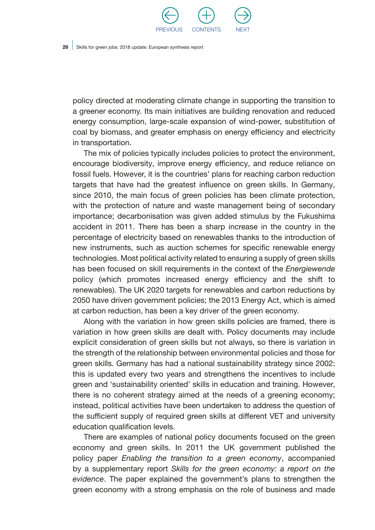

policy directed at moderating climate change in supporting the transition to a greener economy. Its main initiatives are building renovation and reduced energy consumption, large-scale expansion of wind-power, substitution of coal by biomass, and greater emphasis on energy efficiency and electricity in transportation.

The mix of policies typically includes policies to protect the environment, encourage biodiversity, improve energy efficiency, and reduce reliance on fossil fuels. However, it is the countries' plans for reaching carbon reduction targets that have had the greatest influence on green skills. In Germany, since 2010, the main focus of green policies has been climate protection, with the protection of nature and waste management being of secondary importance; decarbonisation was given added stimulus by the Fukushima accident in 2011. There has been a sharp increase in the country in the percentage of electricity based on renewables thanks to the introduction of new instruments, such as auction schemes for specific renewable energy technologies. Most political activity related to ensuring a supply of green skills has been focused on skill requirements in the context of the *Energiewende*  policy (which promotes increased energy efficiency and the shift to renewables). The UK 2020 targets for renewables and carbon reductions by 2050 have driven government policies; the 2013 Energy Act, which is aimed at carbon reduction, has been a key driver of the green economy.

Along with the variation in how green skills policies are framed, there is variation in how green skills are dealt with. Policy documents may include explicit consideration of green skills but not always, so there is variation in the strength of the relationship between environmental policies and those for green skills. Germany has had a national sustainability strategy since 2002: this is updated every two years and strengthens the incentives to include green and 'sustainability oriented' skills in education and training. However, there is no coherent strategy aimed at the needs of a greening economy; instead, political activities have been undertaken to address the question of the sufficient supply of required green skills at different VET and university education qualification levels.

There are examples of national policy documents focused on the green economy and green skills. In 2011 the UK government published the policy paper *Enabling the transition to a green economy*, accompanied by a supplementary report *Skills for the green economy: a report on the evidence*. The paper explained the government's plans to strengthen the green economy with a strong emphasis on the role of business and made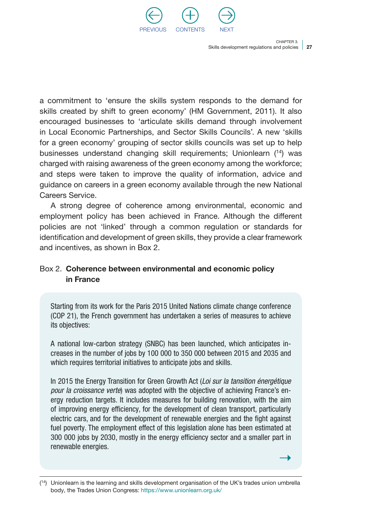

<span id="page-28-0"></span>a commitment to 'ensure the skills system responds to the demand for skills created by shift to green economy' (HM Government, 2011). It also encouraged businesses to 'articulate skills demand through involvement in Local Economic Partnerships, and Sector Skills Councils'. A new 'skills for a green economy' grouping of sector skills councils was set up to help businesses understand changing skill requirements; Unionlearn (14) was charged with raising awareness of the green economy among the workforce; and steps were taken to improve the quality of information, advice and guidance on careers in a green economy available through the new National Careers Service.

A strong degree of coherence among environmental, economic and employment policy has been achieved in France. Although the different policies are not 'linked' through a common regulation or standards for identification and development of green skills, they provide a clear framework and incentives, as shown in Box 2.

#### Box 2. Coherence between environmental and economic policy in France

Starting from its work for the Paris 2015 United Nations climate change conference (COP 21), the French government has undertaken a series of measures to achieve its objectives:

A national low-carbon strategy (SNBC) has been launched, which anticipates increases in the number of jobs by 100 000 to 350 000 between 2015 and 2035 and which requires territorial initiatives to anticipate jobs and skills.

In 2015 the Energy Transition for Green Growth Act (*Loi sur la tansition énergétique pour la croissance verte*) was adopted with the objective of achieving France's energy reduction targets. It includes measures for building renovation, with the aim of improving energy efficiency, for the development of clean transport, particularly electric cars, and for the development of renewable energies and the fight against fuel poverty. The employment effect of this legislation alone has been estimated at 300 000 jobs by 2030, mostly in the energy efficiency sector and a smaller part in renewable energies.

<sup>(</sup> 14) Unionlearn is the learning and skills development organisation of the UK's trades union umbrella body, the Trades Union Congress:<https://www.unionlearn.org.uk/>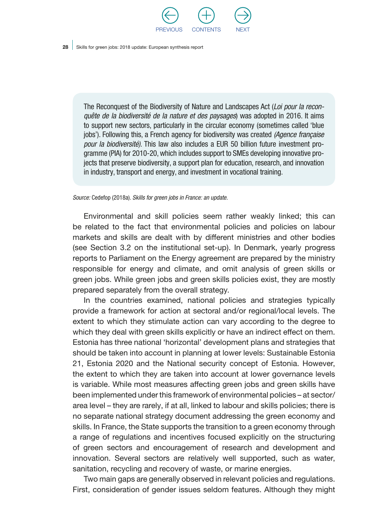

The Reconquest of the Biodiversity of Nature and Landscapes Act (*Loi pour la reconquête de la biodiversité de la nature et des paysages*) was adopted in 2016. It aims to support new sectors, particularly in the circular economy (sometimes called 'blue jobs'). Following this, a French agency for biodiversity was created *(Agence française pour la biodiversité)*. This law also includes a EUR 50 billion future investment programme (PIA) for 2010-20, which includes support to SMEs developing innovative projects that preserve biodiversity, a support plan for education, research, and innovation in industry, transport and energy, and investment in vocational training.

*Source:* Cedefop (2018a). *Skills for green jobs in France: an update.*

Environmental and skill policies seem rather weakly linked; this can be related to the fact that environmental policies and policies on labour markets and skills are dealt with by different ministries and other bodies (see Section 3.2 on the institutional set-up). In Denmark, yearly progress reports to Parliament on the Energy agreement are prepared by the ministry responsible for energy and climate, and omit analysis of green skills or green jobs. While green jobs and green skills policies exist, they are mostly prepared separately from the overall strategy.

In the countries examined, national policies and strategies typically provide a framework for action at sectoral and/or regional/local levels. The extent to which they stimulate action can vary according to the degree to which they deal with green skills explicitly or have an indirect effect on them. Estonia has three national 'horizontal' development plans and strategies that should be taken into account in planning at lower levels: Sustainable Estonia 21, Estonia 2020 and the National security concept of Estonia. However, the extent to which they are taken into account at lower governance levels is variable. While most measures affecting green jobs and green skills have been implemented under this framework of environmental policies – at sector/ area level – they are rarely, if at all, linked to labour and skills policies; there is no separate national strategy document addressing the green economy and skills. In France, the State supports the transition to a green economy through a range of regulations and incentives focused explicitly on the structuring of green sectors and encouragement of research and development and innovation. Several sectors are relatively well supported, such as water, sanitation, recycling and recovery of waste, or marine energies.

Two main gaps are generally observed in relevant policies and regulations. First, consideration of gender issues seldom features. Although they might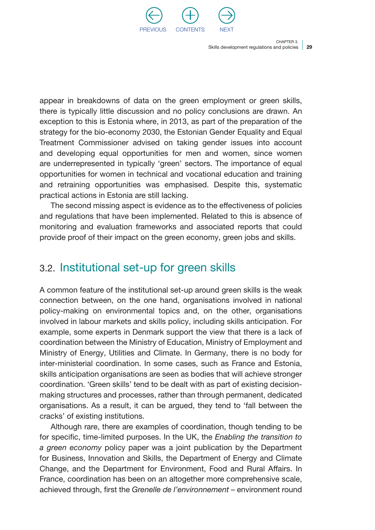

<span id="page-30-0"></span>appear in breakdowns of data on the green employment or green skills, there is typically little discussion and no policy conclusions are drawn. An exception to this is Estonia where, in 2013, as part of the preparation of the strategy for the bio-economy 2030, the Estonian Gender Equality and Equal Treatment Commissioner advised on taking gender issues into account and developing equal opportunities for men and women, since women are underrepresented in typically 'green' sectors. The importance of equal opportunities for women in technical and vocational education and training and retraining opportunities was emphasised. Despite this, systematic practical actions in Estonia are still lacking.

The second missing aspect is evidence as to the effectiveness of policies and regulations that have been implemented. Related to this is absence of monitoring and evaluation frameworks and associated reports that could provide proof of their impact on the green economy, green jobs and skills.

#### 3.2. Institutional set-up for green skills

A common feature of the institutional set-up around green skills is the weak connection between, on the one hand, organisations involved in national policy-making on environmental topics and, on the other, organisations involved in labour markets and skills policy, including skills anticipation. For example, some experts in Denmark support the view that there is a lack of coordination between the Ministry of Education, Ministry of Employment and Ministry of Energy, Utilities and Climate. In Germany, there is no body for inter-ministerial coordination. In some cases, such as France and Estonia, skills anticipation organisations are seen as bodies that will achieve stronger coordination. 'Green skills' tend to be dealt with as part of existing decisionmaking structures and processes, rather than through permanent, dedicated organisations. As a result, it can be argued, they tend to 'fall between the cracks' of existing institutions.

Although rare, there are examples of coordination, though tending to be for specific, time-limited purposes. In the UK, the *Enabling the transition to a green economy* policy paper was a joint publication by the Department for Business, Innovation and Skills, the Department of Energy and Climate Change, and the Department for Environment, Food and Rural Affairs. In France, coordination has been on an altogether more comprehensive scale, achieved through, first the *Grenelle de l'environnement* – environment round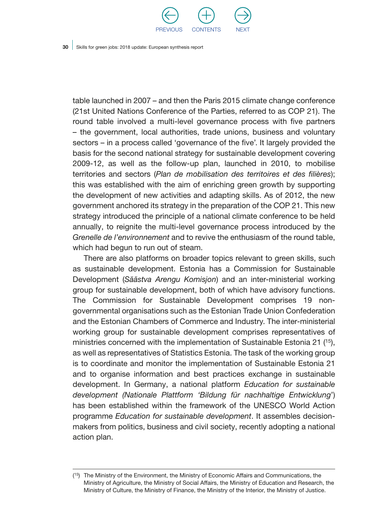

table launched in 2007 – and then the Paris 2015 climate change conference (21st United Nations Conference of the Parties, referred to as COP 21). The round table involved a multi-level governance process with five partners – the government, local authorities, trade unions, business and voluntary sectors – in a process called 'governance of the five'. It largely provided the basis for the second national strategy for sustainable development covering 2009-12, as well as the follow-up plan, launched in 2010, to mobilise territories and sectors (*Plan de mobilisation des territoires et des filières*); this was established with the aim of enriching green growth by supporting the development of new activities and adapting skills. As of 2012, the new government anchored its strategy in the preparation of the COP 21. This new strategy introduced the principle of a national climate conference to be held annually, to reignite the multi-level governance process introduced by the *Grenelle de l'environnement* and to revive the enthusiasm of the round table, which had begun to run out of steam.

There are also platforms on broader topics relevant to green skills, such as sustainable development. Estonia has a Commission for Sustainable Development (*Säästva Arengu Komisjon*) and an inter-ministerial working group for sustainable development, both of which have advisory functions. The Commission for Sustainable Development comprises 19 nongovernmental organisations such as the Estonian Trade Union Confederation and the Estonian Chambers of Commerce and Industry. The inter-ministerial working group for sustainable development comprises representatives of ministries concerned with the implementation of Sustainable Estonia 21  $(15)$ , as well as representatives of Statistics Estonia. The task of the working group is to coordinate and monitor the implementation of Sustainable Estonia 21 and to organise information and best practices exchange in sustainable development. In Germany, a national platform *Education for sustainable development (Nationale Plattform 'Bildung für nachhaltige Entwicklung*') has been established within the framework of the UNESCO World Action programme *Education for sustainable development*. It assembles decisionmakers from politics, business and civil society, recently adopting a national action plan.

<sup>(</sup> 15) The Ministry of the Environment, the Ministry of Economic Affairs and Communications, the Ministry of Agriculture, the Ministry of Social Affairs, the Ministry of Education and Research, the Ministry of Culture, the Ministry of Finance, the Ministry of the Interior, the Ministry of Justice.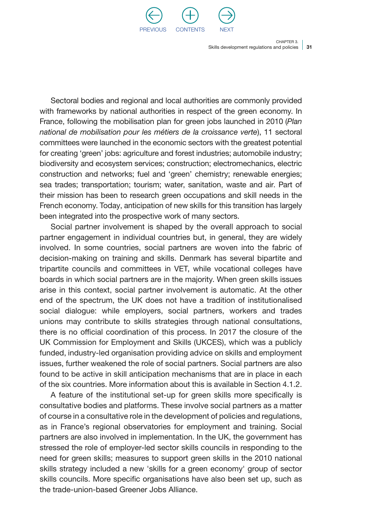

Sectoral bodies and regional and local authorities are commonly provided with frameworks by national authorities in respect of the green economy. In France, following the mobilisation plan for green jobs launched in 2010 (*Plan national de mobilisation pour les métiers de la croissance verte*), 11 sectoral committees were launched in the economic sectors with the greatest potential for creating 'green' jobs: agriculture and forest industries; automobile industry; biodiversity and ecosystem services; construction; electromechanics, electric construction and networks; fuel and 'green' chemistry; renewable energies; sea trades; transportation; tourism; water, sanitation, waste and air. Part of their mission has been to research green occupations and skill needs in the French economy. Today, anticipation of new skills for this transition has largely been integrated into the prospective work of many sectors.

Social partner involvement is shaped by the overall approach to social partner engagement in individual countries but, in general, they are widely involved. In some countries, social partners are woven into the fabric of decision-making on training and skills. Denmark has several bipartite and tripartite councils and committees in VET, while vocational colleges have boards in which social partners are in the majority. When green skills issues arise in this context, social partner involvement is automatic. At the other end of the spectrum, the UK does not have a tradition of institutionalised social dialogue: while employers, social partners, workers and trades unions may contribute to skills strategies through national consultations, there is no official coordination of this process. In 2017 the closure of the UK Commission for Employment and Skills (UKCES), which was a publicly funded, industry-led organisation providing advice on skills and employment issues, further weakened the role of social partners. Social partners are also found to be active in skill anticipation mechanisms that are in place in each of the six countries. More information about this is available in Section 4.1.2.

A feature of the institutional set-up for green skills more specifically is consultative bodies and platforms. These involve social partners as a matter of course in a consultative role in the development of policies and regulations, as in France's regional observatories for employment and training. Social partners are also involved in implementation. In the UK, the government has stressed the role of employer-led sector skills councils in responding to the need for green skills; measures to support green skills in the 2010 national skills strategy included a new 'skills for a green economy' group of sector skills councils. More specific organisations have also been set up, such as the trade-union-based Greener Jobs Alliance.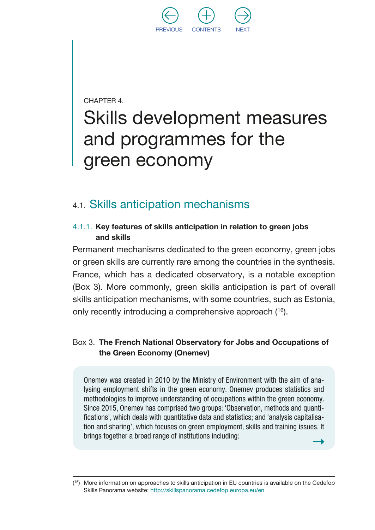

<span id="page-33-0"></span>CHAPTER 4.

## Skills development measures and programmes for the green economy

#### 4.1. Skills anticipation mechanisms

#### 4.1.1. Key features of skills anticipation in relation to green jobs and skills

Permanent mechanisms dedicated to the green economy, green jobs or green skills are currently rare among the countries in the synthesis. France, which has a dedicated observatory, is a notable exception (Box 3). More commonly, green skills anticipation is part of overall skills anticipation mechanisms, with some countries, such as Estonia, only recently introducing a comprehensive approach (16).

#### Box 3. The French National Observatory for Jobs and Occupations of the Green Economy (Onemev)

Onemev was created in 2010 by the Ministry of Environment with the aim of analysing employment shifts in the green economy. Onemev produces statistics and methodologies to improve understanding of occupations within the green economy. Since 2015, Onemev has comprised two groups: 'Observation, methods and quantifications', which deals with quantitative data and statistics; and 'analysis capitalisation and sharing', which focuses on green employment, skills and training issues. It brings together a broad range of institutions including:

 $(16)$  More information on approaches to skills anticipation in EU countries is available on the Cedefop Skills Panorama website:<http://skillspanorama.cedefop.europa.eu/en>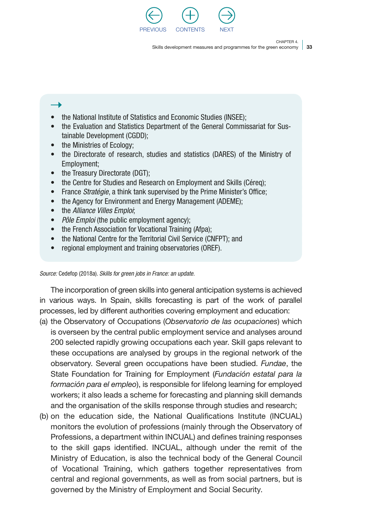

33 Skills development measures and programmes for the green economy

Chapter 4.

#### • the National Institute of Statistics and Economic Studies (INSEE):

- the Evaluation and Statistics Department of the General Commissariat for Sustainable Development (CGDD);
- the Ministries of Ecology;
- the Directorate of research, studies and statistics (DARES) of the Ministry of Employment;
- the Treasury Directorate (DGT):
- the Centre for Studies and Research on Employment and Skills (Céreq);
- France *Stratégie*, a think tank supervised by the Prime Minister's Office;
- the Agency for Environment and Energy Management (ADEME);
- the *Alliance Villes Emploi*;
- *Pôle Emploi* (the public employment agency);
- the French Association for Vocational Training (Afpa);
- the National Centre for the Territorial Civil Service (CNFPT); and
- regional employment and training observatories (OREF).

*Source:* Cedefop (2018a). *Skills for green jobs in France: an update.*

The incorporation of green skills into general anticipation systems is achieved in various ways. In Spain, skills forecasting is part of the work of parallel processes, led by different authorities covering employment and education:

- (a) the Observatory of Occupations (*Observatorio de las ocupaciones*) which is overseen by the central public employment service and analyses around 200 selected rapidly growing occupations each year. Skill gaps relevant to these occupations are analysed by groups in the regional network of the observatory. Several green occupations have been studied. *Fundae*, the State Foundation for Training for Employment (*Fundación estatal para la formación para el empleo*), is responsible for lifelong learning for employed workers; it also leads a scheme for forecasting and planning skill demands and the organisation of the skills response through studies and research;
- (b) on the education side, the National Qualifications Institute (INCUAL) monitors the evolution of professions (mainly through the Observatory of Professions, a department within INCUAL) and defines training responses to the skill gaps identified. INCUAL, although under the remit of the Ministry of Education, is also the technical body of the General Council of Vocational Training, which gathers together representatives from central and regional governments, as well as from social partners, but is governed by the Ministry of Employment and Social Security.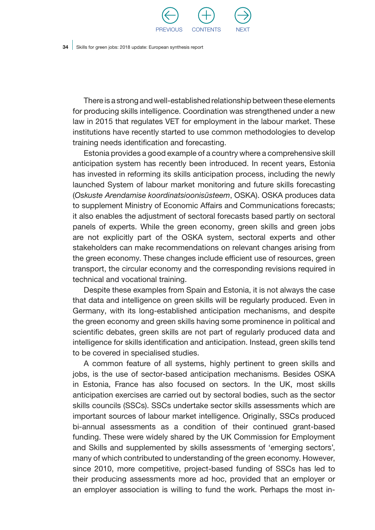

There is a strong and well-established relationship between these elements for producing skills intelligence. Coordination was strengthened under a new law in 2015 that regulates VET for employment in the labour market. These institutions have recently started to use common methodologies to develop training needs identification and forecasting.

Estonia provides a good example of a country where a comprehensive skill anticipation system has recently been introduced. In recent years, Estonia has invested in reforming its skills anticipation process, including the newly launched System of labour market monitoring and future skills forecasting (*Oskuste Arendamise koordinatsioonisüsteem*, OSKA). OSKA produces data to supplement Ministry of Economic Affairs and Communications forecasts; it also enables the adjustment of sectoral forecasts based partly on sectoral panels of experts. While the green economy, green skills and green jobs are not explicitly part of the OSKA system, sectoral experts and other stakeholders can make recommendations on relevant changes arising from the green economy. These changes include efficient use of resources, green transport, the circular economy and the corresponding revisions required in technical and vocational training.

Despite these examples from Spain and Estonia, it is not always the case that data and intelligence on green skills will be regularly produced. Even in Germany, with its long-established anticipation mechanisms, and despite the green economy and green skills having some prominence in political and scientific debates, green skills are not part of regularly produced data and intelligence for skills identification and anticipation. Instead, green skills tend to be covered in specialised studies.

A common feature of all systems, highly pertinent to green skills and jobs, is the use of sector-based anticipation mechanisms. Besides OSKA in Estonia, France has also focused on sectors. In the UK, most skills anticipation exercises are carried out by sectoral bodies, such as the sector skills councils (SSCs). SSCs undertake sector skills assessments which are important sources of labour market intelligence. Originally, SSCs produced bi-annual assessments as a condition of their continued grant-based funding. These were widely shared by the UK Commission for Employment and Skills and supplemented by skills assessments of 'emerging sectors', many of which contributed to understanding of the green economy. However, since 2010, more competitive, project-based funding of SSCs has led to their producing assessments more ad hoc, provided that an employer or an employer association is willing to fund the work. Perhaps the most in-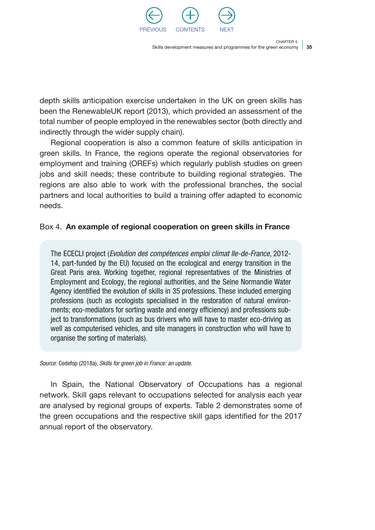

35 Skills development measures and programmes for the green economy

CHAPTER 4

depth skills anticipation exercise undertaken in the UK on green skills has been the RenewableUK report (2013), which provided an assessment of the total number of people employed in the renewables sector (both directly and indirectly through the wider supply chain).

Regional cooperation is also a common feature of skills anticipation in green skills. In France, the regions operate the regional observatories for employment and training (OREFs) which regularly publish studies on green jobs and skill needs; these contribute to building regional strategies. The regions are also able to work with the professional branches, the social partners and local authorities to build a training offer adapted to economic needs.

### Box 4. An example of regional cooperation on green skills in France

The ECECLI project (*Evolution des compétences emploi climat Ile-de-France*, 2012- 14, part-funded by the EU) focused on the ecological and energy transition in the Great Paris area. Working together, regional representatives of the Ministries of Employment and Ecology, the regional authorities, and the Seine Normandie Water Agency identified the evolution of skills in 35 professions. These included emerging professions (such as ecologists specialised in the restoration of natural environments; eco-mediators for sorting waste and energy efficiency) and professions subject to transformations (such as bus drivers who will have to master eco-driving as well as computerised vehicles, and site managers in construction who will have to organise the sorting of materials).

*Source:* Cedefop (2018a). *Skills for green job in France: an update.*

In Spain, the National Observatory of Occupations has a regional network. Skill gaps relevant to occupations selected for analysis each year are analysed by regional groups of experts. Table 2 demonstrates some of the green occupations and the respective skill gaps identified for the 2017 annual report of the observatory.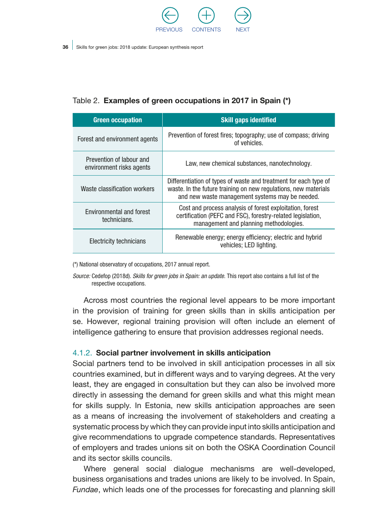

### Table 2. Examples of green occupations in 2017 in Spain (\*)

| <b>Green occupation</b>                              | <b>Skill gaps identified</b>                                                                                                                                                           |
|------------------------------------------------------|----------------------------------------------------------------------------------------------------------------------------------------------------------------------------------------|
| Forest and environment agents                        | Prevention of forest fires; topography; use of compass; driving<br>of vehicles.                                                                                                        |
| Prevention of labour and<br>environment risks agents | Law, new chemical substances, nanotechnology.                                                                                                                                          |
| Waste classification workers                         | Differentiation of types of waste and treatment for each type of<br>waste. In the future training on new regulations, new materials<br>and new waste management systems may be needed. |
| <b>Fnvironmental and forest</b><br>technicians.      | Cost and process analysis of forest exploitation, forest<br>certification (PEFC and FSC), forestry-related legislation,<br>management and planning methodologies.                      |
| Electricity technicians                              | Renewable energy; energy efficiency; electric and hybrid<br>vehicles; LED lighting.                                                                                                    |

(\*) National observatory of occupations, 2017 annual report.

*Source:* Cedefop (2018d). *Skills for green jobs in Spain: an update.* This report also contains a full list of the respective occupations.

Across most countries the regional level appears to be more important in the provision of training for green skills than in skills anticipation per se. However, regional training provision will often include an element of intelligence gathering to ensure that provision addresses regional needs.

#### 4.1.2. Social partner involvement in skills anticipation

Social partners tend to be involved in skill anticipation processes in all six countries examined, but in different ways and to varying degrees. At the very least, they are engaged in consultation but they can also be involved more directly in assessing the demand for green skills and what this might mean for skills supply. In Estonia, new skills anticipation approaches are seen as a means of increasing the involvement of stakeholders and creating a systematic process by which they can provide input into skills anticipation and give recommendations to upgrade competence standards. Representatives of employers and trades unions sit on both the OSKA Coordination Council and its sector skills councils.

Where general social dialogue mechanisms are well-developed, business organisations and trades unions are likely to be involved. In Spain, *Fundae*, which leads one of the processes for forecasting and planning skill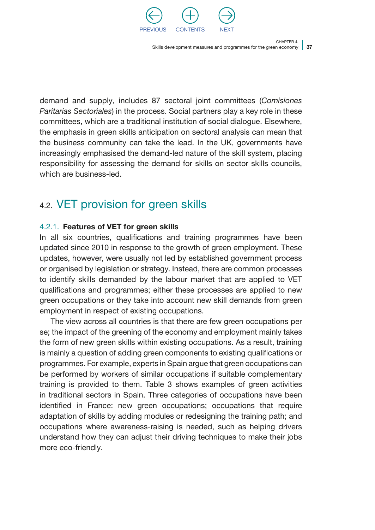

37 Skills development measures and programmes for the green economy

CHAPTER 4

demand and supply, includes 87 sectoral joint committees (*Comisiones Paritarias Sectoriales*) in the process. Social partners play a key role in these committees, which are a traditional institution of social dialogue. Elsewhere, the emphasis in green skills anticipation on sectoral analysis can mean that the business community can take the lead. In the UK, governments have increasingly emphasised the demand-led nature of the skill system, placing responsibility for assessing the demand for skills on sector skills councils, which are business-led.

## 4.2. VET provision for green skills

### 4.2.1. Features of VET for green skills

In all six countries, qualifications and training programmes have been updated since 2010 in response to the growth of green employment. These updates, however, were usually not led by established government process or organised by legislation or strategy. Instead, there are common processes to identify skills demanded by the labour market that are applied to VET qualifications and programmes; either these processes are applied to new green occupations or they take into account new skill demands from green employment in respect of existing occupations.

The view across all countries is that there are few green occupations per se; the impact of the greening of the economy and employment mainly takes the form of new green skills within existing occupations. As a result, training is mainly a question of adding green components to existing qualifications or programmes. For example, experts in Spain argue that green occupations can be performed by workers of similar occupations if suitable complementary training is provided to them. Table 3 shows examples of green activities in traditional sectors in Spain. Three categories of occupations have been identified in France: new green occupations; occupations that require adaptation of skills by adding modules or redesigning the training path; and occupations where awareness-raising is needed, such as helping drivers understand how they can adjust their driving techniques to make their jobs more eco-friendly.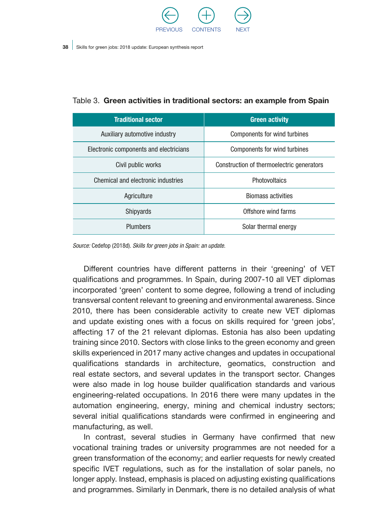

| <b>Traditional sector</b>              | <b>Green activity</b>                     |  |
|----------------------------------------|-------------------------------------------|--|
| Auxiliary automotive industry          | Components for wind turbines              |  |
| Electronic components and electricians | Components for wind turbines              |  |
| Civil public works                     | Construction of thermoelectric generators |  |
| Chemical and electronic industries     | <b>Photovoltaics</b>                      |  |
| Agriculture                            | <b>Biomass activities</b>                 |  |
| Shipyards                              | Offshore wind farms                       |  |
| Plumbers                               | Solar thermal energy                      |  |

Table 3. Green activities in traditional sectors: an example from Spain

*Source:* Cedefop (2018d). *Skills for green jobs in Spain: an update.*

Different countries have different patterns in their 'greening' of VET qualifications and programmes. In Spain, during 2007-10 all VET diplomas incorporated 'green' content to some degree, following a trend of including transversal content relevant to greening and environmental awareness. Since 2010, there has been considerable activity to create new VET diplomas and update existing ones with a focus on skills required for 'green jobs', affecting 17 of the 21 relevant diplomas. Estonia has also been updating training since 2010. Sectors with close links to the green economy and green skills experienced in 2017 many active changes and updates in occupational qualifications standards in architecture, geomatics, construction and real estate sectors, and several updates in the transport sector. Changes were also made in log house builder qualification standards and various engineering-related occupations. In 2016 there were many updates in the automation engineering, energy, mining and chemical industry sectors; several initial qualifications standards were confirmed in engineering and manufacturing, as well.

In contrast, several studies in Germany have confirmed that new vocational training trades or university programmes are not needed for a green transformation of the economy; and earlier requests for newly created specific IVET regulations, such as for the installation of solar panels, no longer apply. Instead, emphasis is placed on adjusting existing qualifications and programmes. Similarly in Denmark, there is no detailed analysis of what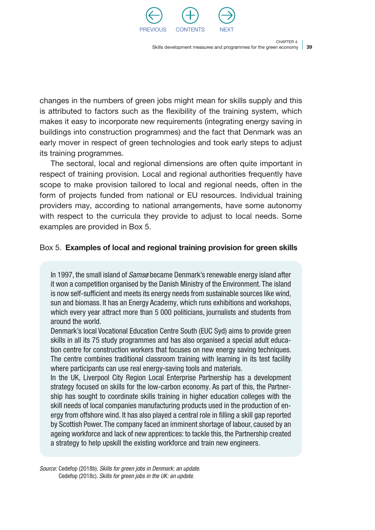

39 Skills development measures and programmes for the green economy

CHAPTER 4

changes in the numbers of green jobs might mean for skills supply and this is attributed to factors such as the flexibility of the training system, which makes it easy to incorporate new requirements (integrating energy saving in buildings into construction programmes) and the fact that Denmark was an early mover in respect of green technologies and took early steps to adjust its training programmes.

The sectoral, local and regional dimensions are often quite important in respect of training provision. Local and regional authorities frequently have scope to make provision tailored to local and regional needs, often in the form of projects funded from national or EU resources. Individual training providers may, according to national arrangements, have some autonomy with respect to the curricula they provide to adjust to local needs. Some examples are provided in Box 5.

### Box 5. Examples of local and regional training provision for green skills

In 1997, the small island of *Samsø* became Denmark's renewable energy island after it won a competition organised by the Danish Ministry of the Environment. The island is now self-sufficient and meets its energy needs from sustainable sources like wind, sun and biomass. It has an Energy Academy, which runs exhibitions and workshops, which every year attract more than 5 000 politicians, journalists and students from around the world.

Denmark's local Vocational Education Centre South (EUC Syd) aims to provide green skills in all its 75 study programmes and has also organised a special adult education centre for construction workers that focuses on new energy saving techniques. The centre combines traditional classroom training with learning in its test facility where participants can use real energy-saving tools and materials.

In the UK, Liverpool City Region Local Enterprise Partnership has a development strategy focused on skills for the low-carbon economy. As part of this, the Partnership has sought to coordinate skills training in higher education colleges with the skill needs of local companies manufacturing products used in the production of energy from offshore wind. It has also played a central role in filling a skill gap reported by Scottish Power. The company faced an imminent shortage of labour, caused by an ageing workforce and lack of new apprentices: to tackle this, the Partnership created a strategy to help upskill the existing workforce and train new engineers.

*Source:* Cedefop (2018b). *Skills for green jobs in Denmark: an update.* Cedefop (2018c). *Skills for green jobs in the UK: an update.*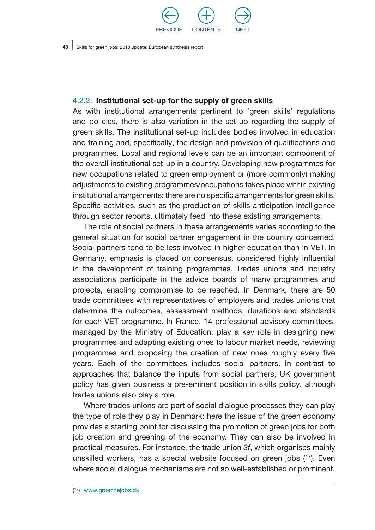

### 4.2.2. Institutional set-up for the supply of green skills

As with institutional arrangements pertinent to 'green skills' regulations and policies, there is also variation in the set-up regarding the supply of green skills. The institutional set-up includes bodies involved in education and training and, specifically, the design and provision of qualifications and programmes. Local and regional levels can be an important component of the overall institutional set-up in a country. Developing new programmes for new occupations related to green employment or (more commonly) making adjustments to existing programmes/occupations takes place within existing institutional arrangements: there are no specific arrangements for green skills. Specific activities, such as the production of skills anticipation intelligence through sector reports, ultimately feed into these existing arrangements.

The role of social partners in these arrangements varies according to the general situation for social partner engagement in the country concerned. Social partners tend to be less involved in higher education than in VET. In Germany, emphasis is placed on consensus, considered highly influential in the development of training programmes. Trades unions and industry associations participate in the advice boards of many programmes and projects, enabling compromise to be reached. In Denmark, there are 50 trade committees with representatives of employers and trades unions that determine the outcomes, assessment methods, durations and standards for each VET programme. In France, 14 professional advisory committees, managed by the Ministry of Education, play a key role in designing new programmes and adapting existing ones to labour market needs, reviewing programmes and proposing the creation of new ones roughly every five years. Each of the committees includes social partners. In contrast to approaches that balance the inputs from social partners, UK government policy has given business a pre-eminent position in skills policy, although trades unions also play a role.

Where trades unions are part of social dialogue processes they can play the type of role they play in Denmark: here the issue of the green economy provides a starting point for discussing the promotion of green jobs for both job creation and greening of the economy. They can also be involved in practical measures. For instance, the trade union *3f*, which organises mainly unskilled workers, has a special website focused on green jobs  $(17)$ . Even where social dialogue mechanisms are not so well-established or prominent,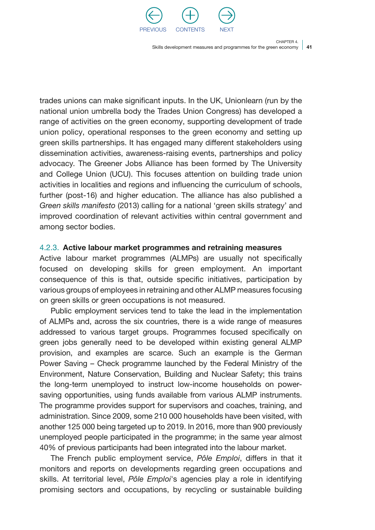

41 Skills development measures and programmes for the green economy

CHAPTER 4

trades unions can make significant inputs. In the UK, Unionlearn (run by the national union umbrella body the Trades Union Congress) has developed a range of activities on the green economy, supporting development of trade union policy, operational responses to the green economy and setting up green skills partnerships. It has engaged many different stakeholders using dissemination activities, awareness-raising events, partnerships and policy advocacy. The Greener Jobs Alliance has been formed by The University and College Union (UCU). This focuses attention on building trade union activities in localities and regions and influencing the curriculum of schools, further (post-16) and higher education. The alliance has also published a *Green skills manifesto* (2013) calling for a national 'green skills strategy' and improved coordination of relevant activities within central government and among sector bodies.

### 4.2.3. Active labour market programmes and retraining measures

Active labour market programmes (ALMPs) are usually not specifically focused on developing skills for green employment. An important consequence of this is that, outside specific initiatives, participation by various groups of employees in retraining and other ALMP measures focusing on green skills or green occupations is not measured.

Public employment services tend to take the lead in the implementation of ALMPs and, across the six countries, there is a wide range of measures addressed to various target groups. Programmes focused specifically on green jobs generally need to be developed within existing general ALMP provision, and examples are scarce. Such an example is the German Power Saving – Check programme launched by the Federal Ministry of the Environment, Nature Conservation, Building and Nuclear Safety; this trains the long-term unemployed to instruct low-income households on powersaving opportunities, using funds available from various ALMP instruments. The programme provides support for supervisors and coaches, training, and administration. Since 2009, some 210 000 households have been visited, with another 125 000 being targeted up to 2019. In 2016, more than 900 previously unemployed people participated in the programme; in the same year almost 40% of previous participants had been integrated into the labour market.

The French public employment service, *Pôle Emploi*, differs in that it monitors and reports on developments regarding green occupations and skills. At territorial level, *Pôle Emploi*'s agencies play a role in identifying promising sectors and occupations, by recycling or sustainable building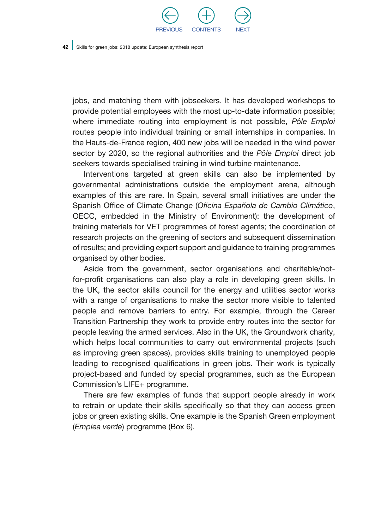

jobs, and matching them with jobseekers. It has developed workshops to provide potential employees with the most up-to-date information possible; where immediate routing into employment is not possible, *Pôle Emploi* routes people into individual training or small internships in companies. In the Hauts-de-France region, 400 new jobs will be needed in the wind power sector by 2020, so the regional authorities and the *Pôle Emploi* direct job seekers towards specialised training in wind turbine maintenance.

Interventions targeted at green skills can also be implemented by governmental administrations outside the employment arena, although examples of this are rare. In Spain, several small initiatives are under the Spanish Office of Climate Change (*Oficina Española de Cambio Climático*, OECC, embedded in the Ministry of Environment): the development of training materials for VET programmes of forest agents; the coordination of research projects on the greening of sectors and subsequent dissemination of results; and providing expert support and guidance to training programmes organised by other bodies.

Aside from the government, sector organisations and charitable/notfor-profit organisations can also play a role in developing green skills. In the UK, the sector skills council for the energy and utilities sector works with a range of organisations to make the sector more visible to talented people and remove barriers to entry. For example, through the Career Transition Partnership they work to provide entry routes into the sector for people leaving the armed services. Also in the UK, the Groundwork charity, which helps local communities to carry out environmental projects (such as improving green spaces), provides skills training to unemployed people leading to recognised qualifications in green jobs. Their work is typically project-based and funded by special programmes, such as the European Commission's LIFE+ programme.

There are few examples of funds that support people already in work to retrain or update their skills specifically so that they can access green jobs or green existing skills. One example is the Spanish Green employment (*Emplea verde*) programme (Box 6).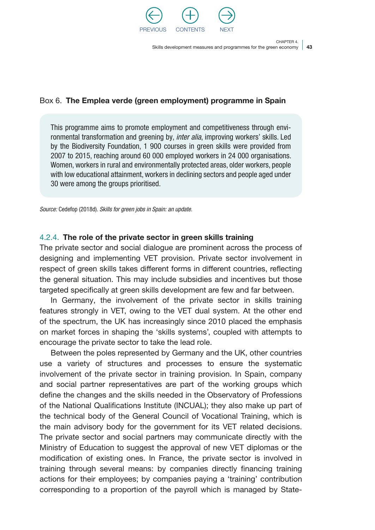

43 Skills development measures and programmes for the green economy

CHAPTER 4

### Box 6. The Emplea verde (green employment) programme in Spain

This programme aims to promote employment and competitiveness through environmental transformation and greening by, *inter alia*, improving workers' skills. Led by the Biodiversity Foundation, 1 900 courses in green skills were provided from 2007 to 2015, reaching around 60 000 employed workers in 24 000 organisations. Women, workers in rural and environmentally protected areas, older workers, people with low educational attainment, workers in declining sectors and people aged under 30 were among the groups prioritised.

*Source:* Cedefop (2018d). *Skills for green jobs in Spain: an update.*

### 4.2.4. The role of the private sector in green skills training

The private sector and social dialogue are prominent across the process of designing and implementing VET provision. Private sector involvement in respect of green skills takes different forms in different countries, reflecting the general situation. This may include subsidies and incentives but those targeted specifically at green skills development are few and far between.

In Germany, the involvement of the private sector in skills training features strongly in VET, owing to the VET dual system. At the other end of the spectrum, the UK has increasingly since 2010 placed the emphasis on market forces in shaping the 'skills systems', coupled with attempts to encourage the private sector to take the lead role.

Between the poles represented by Germany and the UK, other countries use a variety of structures and processes to ensure the systematic involvement of the private sector in training provision. In Spain, company and social partner representatives are part of the working groups which define the changes and the skills needed in the Observatory of Professions of the National Qualifications Institute (INCUAL); they also make up part of the technical body of the General Council of Vocational Training, which is the main advisory body for the government for its VET related decisions. The private sector and social partners may communicate directly with the Ministry of Education to suggest the approval of new VET diplomas or the modification of existing ones. In France, the private sector is involved in training through several means: by companies directly financing training actions for their employees; by companies paying a 'training' contribution corresponding to a proportion of the payroll which is managed by State-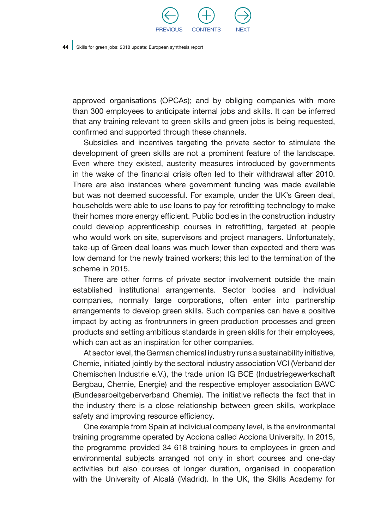

approved organisations (OPCAs); and by obliging companies with more than 300 employees to anticipate internal jobs and skills. It can be inferred that any training relevant to green skills and green jobs is being requested, confirmed and supported through these channels.

Subsidies and incentives targeting the private sector to stimulate the development of green skills are not a prominent feature of the landscape. Even where they existed, austerity measures introduced by governments in the wake of the financial crisis often led to their withdrawal after 2010. There are also instances where government funding was made available but was not deemed successful. For example, under the UK's Green deal, households were able to use loans to pay for retrofitting technology to make their homes more energy efficient. Public bodies in the construction industry could develop apprenticeship courses in retrofitting, targeted at people who would work on site, supervisors and project managers. Unfortunately, take-up of Green deal loans was much lower than expected and there was low demand for the newly trained workers; this led to the termination of the scheme in 2015.

There are other forms of private sector involvement outside the main established institutional arrangements. Sector bodies and individual companies, normally large corporations, often enter into partnership arrangements to develop green skills. Such companies can have a positive impact by acting as frontrunners in green production processes and green products and setting ambitious standards in green skills for their employees, which can act as an inspiration for other companies.

At sector level, the German chemical industry runs a sustainability initiative, Chemie, initiated jointly by the sectoral industry association VCI (Verband der Chemischen Industrie e.V.), the trade union IG BCE (Industriegewerkschaft Bergbau, Chemie, Energie) and the respective employer association BAVC (Bundesarbeitgeberverband Chemie). The initiative reflects the fact that in the industry there is a close relationship between green skills, workplace safety and improving resource efficiency.

One example from Spain at individual company level, is the environmental training programme operated by Acciona called Acciona University. In 2015, the programme provided 34 618 training hours to employees in green and environmental subjects arranged not only in short courses and one-day activities but also courses of longer duration, organised in cooperation with the University of Alcalá (Madrid). In the UK, the Skills Academy for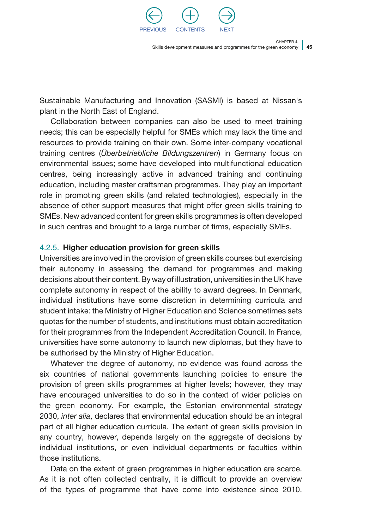

45 Skills development measures and programmes for the green economy

CHAPTER 4

Sustainable Manufacturing and Innovation (SASMI) is based at Nissan's plant in the North East of England.

Collaboration between companies can also be used to meet training needs; this can be especially helpful for SMEs which may lack the time and resources to provide training on their own. Some inter-company vocational training centres (*Überbetriebliche Bildungszentren*) in Germany focus on environmental issues; some have developed into multifunctional education centres, being increasingly active in advanced training and continuing education, including master craftsman programmes. They play an important role in promoting green skills (and related technologies), especially in the absence of other support measures that might offer green skills training to SMEs. New advanced content for green skills programmes is often developed in such centres and brought to a large number of firms, especially SMEs.

### 4.2.5. Higher education provision for green skills

Universities are involved in the provision of green skills courses but exercising their autonomy in assessing the demand for programmes and making decisions about their content. By way of illustration, universities in the UK have complete autonomy in respect of the ability to award degrees. In Denmark, individual institutions have some discretion in determining curricula and student intake: the Ministry of Higher Education and Science sometimes sets quotas for the number of students, and institutions must obtain accreditation for their programmes from the Independent Accreditation Council. In France, universities have some autonomy to launch new diplomas, but they have to be authorised by the Ministry of Higher Education.

Whatever the degree of autonomy, no evidence was found across the six countries of national governments launching policies to ensure the provision of green skills programmes at higher levels; however, they may have encouraged universities to do so in the context of wider policies on the green economy. For example, the Estonian environmental strategy 2030, *inter alia*, declares that environmental education should be an integral part of all higher education curricula. The extent of green skills provision in any country, however, depends largely on the aggregate of decisions by individual institutions, or even individual departments or faculties within those institutions.

Data on the extent of green programmes in higher education are scarce. As it is not often collected centrally, it is difficult to provide an overview of the types of programme that have come into existence since 2010.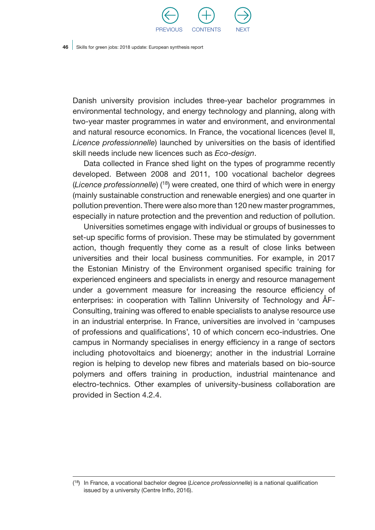

Danish university provision includes three-year bachelor programmes in environmental technology, and energy technology and planning, along with two-year master programmes in water and environment, and environmental and natural resource economics. In France, the vocational licences (level II, *Licence professionnelle*) launched by universities on the basis of identified skill needs include new licences such as *Eco-design*.

Data collected in France shed light on the types of programme recently developed. Between 2008 and 2011, 100 vocational bachelor degrees (*Licence professionnelle*) (18) were created, one third of which were in energy (mainly sustainable construction and renewable energies) and one quarter in pollution prevention. There were also more than 120 new master programmes, especially in nature protection and the prevention and reduction of pollution.

Universities sometimes engage with individual or groups of businesses to set-up specific forms of provision. These may be stimulated by government action, though frequently they come as a result of close links between universities and their local business communities. For example, in 2017 the Estonian Ministry of the Environment organised specific training for experienced engineers and specialists in energy and resource management under a government measure for increasing the resource efficiency of enterprises: in cooperation with Tallinn University of Technology and ÅF-Consulting, training was offered to enable specialists to analyse resource use in an industrial enterprise. In France, universities are involved in 'campuses of professions and qualifications', 10 of which concern eco-industries. One campus in Normandy specialises in energy efficiency in a range of sectors including photovoltaics and bioenergy; another in the industrial Lorraine region is helping to develop new fibres and materials based on bio-source polymers and offers training in production, industrial maintenance and electro-technics. Other examples of university-business collaboration are provided in Section 4.2.4.

<sup>(</sup> 18) In France, a vocational bachelor degree (*Licence professionnelle*) is a national qualification issued by a university (Centre Inffo, 2016).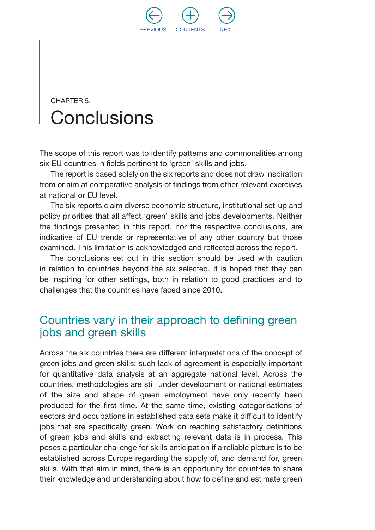

## CHAPTER 5. **Conclusions**

The scope of this report was to identify patterns and commonalities among six EU countries in fields pertinent to 'green' skills and jobs.

The report is based solely on the six reports and does not draw inspiration from or aim at comparative analysis of findings from other relevant exercises at national or EU level.

The six reports claim diverse economic structure, institutional set-up and policy priorities that all affect 'green' skills and jobs developments. Neither the findings presented in this report, nor the respective conclusions, are indicative of EU trends or representative of any other country but those examined. This limitation is acknowledged and reflected across the report.

The conclusions set out in this section should be used with caution in relation to countries beyond the six selected. It is hoped that they can be inspiring for other settings, both in relation to good practices and to challenges that the countries have faced since 2010.

### Countries vary in their approach to defining green jobs and green skills

Across the six countries there are different interpretations of the concept of green jobs and green skills: such lack of agreement is especially important for quantitative data analysis at an aggregate national level. Across the countries, methodologies are still under development or national estimates of the size and shape of green employment have only recently been produced for the first time. At the same time, existing categorisations of sectors and occupations in established data sets make it difficult to identify jobs that are specifically green. Work on reaching satisfactory definitions of green jobs and skills and extracting relevant data is in process. This poses a particular challenge for skills anticipation if a reliable picture is to be established across Europe regarding the supply of, and demand for, green skills. With that aim in mind, there is an opportunity for countries to share their knowledge and understanding about how to define and estimate green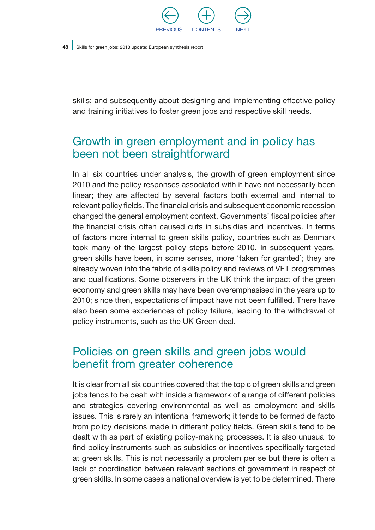

skills; and subsequently about designing and implementing effective policy and training initiatives to foster green jobs and respective skill needs.

## Growth in green employment and in policy has been not been straightforward

In all six countries under analysis, the growth of green employment since 2010 and the policy responses associated with it have not necessarily been linear; they are affected by several factors both external and internal to relevant policy fields. The financial crisis and subsequent economic recession changed the general employment context. Governments' fiscal policies after the financial crisis often caused cuts in subsidies and incentives. In terms of factors more internal to green skills policy, countries such as Denmark took many of the largest policy steps before 2010. In subsequent years, green skills have been, in some senses, more 'taken for granted'; they are already woven into the fabric of skills policy and reviews of VET programmes and qualifications. Some observers in the UK think the impact of the green economy and green skills may have been overemphasised in the years up to 2010; since then, expectations of impact have not been fulfilled. There have also been some experiences of policy failure, leading to the withdrawal of policy instruments, such as the UK Green deal.

## Policies on green skills and green jobs would benefit from greater coherence

It is clear from all six countries covered that the topic of green skills and green jobs tends to be dealt with inside a framework of a range of different policies and strategies covering environmental as well as employment and skills issues. This is rarely an intentional framework; it tends to be formed de facto from policy decisions made in different policy fields. Green skills tend to be dealt with as part of existing policy-making processes. It is also unusual to find policy instruments such as subsidies or incentives specifically targeted at green skills. This is not necessarily a problem per se but there is often a lack of coordination between relevant sections of government in respect of green skills. In some cases a national overview is yet to be determined. There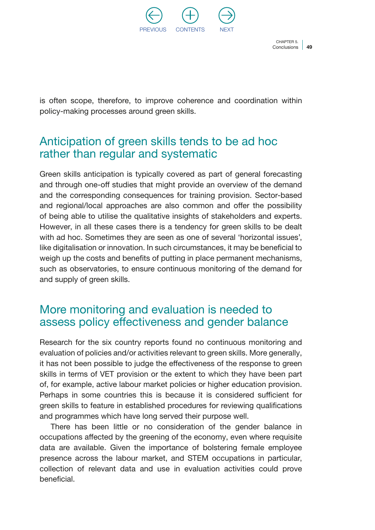

Conclusions | 49 CHAPTER 5

is often scope, therefore, to improve coherence and coordination within policy-making processes around green skills.

## Anticipation of green skills tends to be ad hoc rather than regular and systematic

Green skills anticipation is typically covered as part of general forecasting and through one-off studies that might provide an overview of the demand and the corresponding consequences for training provision. Sector-based and regional/local approaches are also common and offer the possibility of being able to utilise the qualitative insights of stakeholders and experts. However, in all these cases there is a tendency for green skills to be dealt with ad hoc. Sometimes they are seen as one of several 'horizontal issues', like digitalisation or innovation. In such circumstances, it may be beneficial to weigh up the costs and benefits of putting in place permanent mechanisms, such as observatories, to ensure continuous monitoring of the demand for and supply of green skills.

## More monitoring and evaluation is needed to assess policy effectiveness and gender balance

Research for the six country reports found no continuous monitoring and evaluation of policies and/or activities relevant to green skills. More generally, it has not been possible to judge the effectiveness of the response to green skills in terms of VET provision or the extent to which they have been part of, for example, active labour market policies or higher education provision. Perhaps in some countries this is because it is considered sufficient for green skills to feature in established procedures for reviewing qualifications and programmes which have long served their purpose well.

There has been little or no consideration of the gender balance in occupations affected by the greening of the economy, even where requisite data are available. Given the importance of bolstering female employee presence across the labour market, and STEM occupations in particular, collection of relevant data and use in evaluation activities could prove beneficial.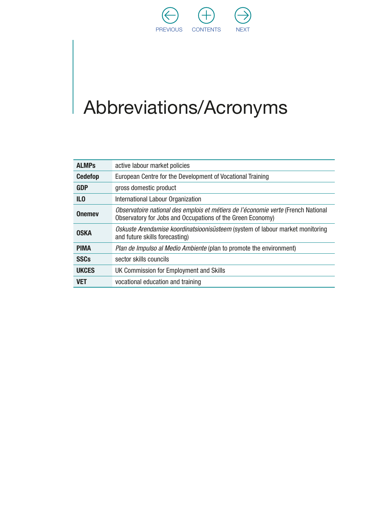

# Abbreviations/Acronyms

| <b>ALMPs</b>    | active labour market policies                                                                                                                   |
|-----------------|-------------------------------------------------------------------------------------------------------------------------------------------------|
| <b>Cedefop</b>  | European Centre for the Development of Vocational Training                                                                                      |
| <b>GDP</b>      | gross domestic product                                                                                                                          |
| IL <sub>0</sub> | International Labour Organization                                                                                                               |
| <b>Onemey</b>   | Observatoire national des emplois et métiers de l'économie verte (French National<br>Observatory for Jobs and Occupations of the Green Economy) |
| <b>OSKA</b>     | Oskuste Arendamise koordinatsioonisüsteem (system of labour market monitoring<br>and future skills forecasting)                                 |
| <b>PIMA</b>     | Plan de Impulso al Medio Ambiente (plan to promote the environment)                                                                             |
| <b>SSCs</b>     | sector skills councils                                                                                                                          |
| <b>UKCES</b>    | UK Commission for Employment and Skills                                                                                                         |
| <b>VET</b>      | vocational education and training                                                                                                               |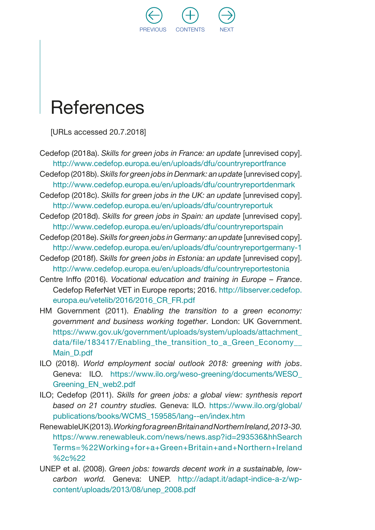

## **References**

[URLs accessed 20.7.2018]

- Cedefop (2018a). *Skills for green jobs in France: an update* [unrevised copy]. <http://www.cedefop.europa.eu/en/uploads/dfu/countryreportfrance>
- Cedefop (2018b). *Skills for green jobs in Denmark: an update* [unrevised copy]. <http://www.cedefop.europa.eu/en/uploads/dfu/countryreportdenmark>
- Cedefop (2018c). *Skills for green jobs in the UK: an update* [unrevised copy]. <http://www.cedefop.europa.eu/en/uploads/dfu/countryreportuk>
- Cedefop (2018d). *Skills for green jobs in Spain: an update* [unrevised copy]. <http://www.cedefop.europa.eu/en/uploads/dfu/countryreportspain>
- Cedefop (2018e). *Skills for green jobs in Germany: an update* [unrevised copy]. <http://www.cedefop.europa.eu/en/uploads/dfu/countryreportgermany-1>
- Cedefop (2018f). *Skills for green jobs in Estonia: an update* [unrevised copy]. <http://www.cedefop.europa.eu/en/uploads/dfu/countryreportestonia>
- Centre Inffo (2016). *Vocational education and training in Europe France*. Cedefop ReferNet VET in Europe reports; 2016. [http://libserver.cedefop.](http://libserver.cedefop.europa.eu/vetelib/2016/2016_CR_FR.pdf) europa.eu/vetelib/2016/2016 CR\_FR.pdf
- HM Government (2011). *Enabling the transition to a green economy: government and business working together*. London: UK Government. [https://www.gov.uk/government/uploads/system/uploads/attachment\\_](https://www.gov.uk/government/uploads/system/uploads/attachment_data/file/183417/Enabling_the_transition_to_a_Green_Economy__Main_D.pdf) data/file/183417/Enabling the transition to a Green Economy [Main\\_D.pdf](https://www.gov.uk/government/uploads/system/uploads/attachment_data/file/183417/Enabling_the_transition_to_a_Green_Economy__Main_D.pdf)
- ILO (2018). *World employment social outlook 2018: greening with jobs*. Geneva: ILO. [https://www.ilo.org/weso-greening/documents/WESO\\_](https://www.ilo.org/weso-greening/documents/WESO_Greening_EN_web2.pdf) [Greening\\_EN\\_web2.pdf](https://www.ilo.org/weso-greening/documents/WESO_Greening_EN_web2.pdf)
- ILO; Cedefop (2011). *Skills for green jobs: a global view: synthesis report based on 21 country studies.* Geneva: ILO. [https://www.ilo.org/global/](https://www.ilo.org/global/publications/books/WCMS_159585/lang--en/index.htm) [publications/books/WCMS\\_159585/lang--en/index.htm](https://www.ilo.org/global/publications/books/WCMS_159585/lang--en/index.htm)
- RenewableUK (2013). *Working for a green Britain and Northern Ireland, 2013-30.* [https://www.renewableuk.com/news/news.asp?id=293536&hhSearch](https://www.renewableuk.com/news/news.asp?id=293536&hhSearchTerms=%22Working+for+a+Green+Britain+and+Northern+Ireland%2c%22) [Terms=%22Working+for+a+Green+Britain+and+Northern+Ireland](https://www.renewableuk.com/news/news.asp?id=293536&hhSearchTerms=%22Working+for+a+Green+Britain+and+Northern+Ireland%2c%22) [%2c%22](https://www.renewableuk.com/news/news.asp?id=293536&hhSearchTerms=%22Working+for+a+Green+Britain+and+Northern+Ireland%2c%22)
- UNEP et al. (2008). *Green jobs: towards decent work in a sustainable, lowcarbon world.* Geneva: UNEP. [http://adapt.it/adapt-indice-a-z/wp](http://adapt.it/adapt-indice-a-z/wp-content/uploads/2013/08/unep_2008.pdf)[content/uploads/2013/08/unep\\_2008.pdf](http://adapt.it/adapt-indice-a-z/wp-content/uploads/2013/08/unep_2008.pdf)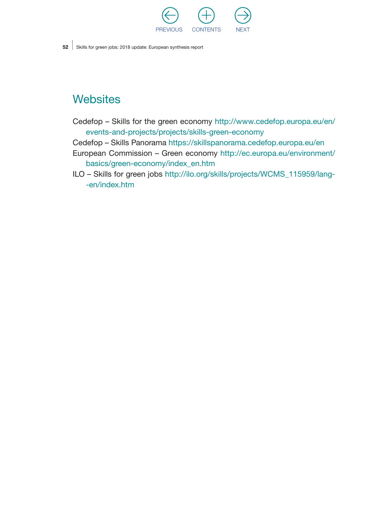

## **Websites**

- Cedefop Skills for the green economy [http://www.cedefop.europa.eu/en/](http://www.cedefop.europa.eu/en/events-and-projects/projects/skills-green-economy) [events-and-projects/projects/skills-green-economy](http://www.cedefop.europa.eu/en/events-and-projects/projects/skills-green-economy)
- Cedefop Skills Panorama <https://skillspanorama.cedefop.europa.eu/en>
- European Commission Green economy [http://ec.europa.eu/environment/](http://ec.europa.eu/environment/basics/green-economy/index_en.htm) [basics/green-economy/index\\_en.htm](http://ec.europa.eu/environment/basics/green-economy/index_en.htm)
- ILO Skills for green jobs [http://ilo.org/skills/projects/WCMS\\_115959/lang-](http://ilo.org/skills/projects/WCMS_115959/lang--en/index.htm) [-en/index.htm](http://ilo.org/skills/projects/WCMS_115959/lang--en/index.htm)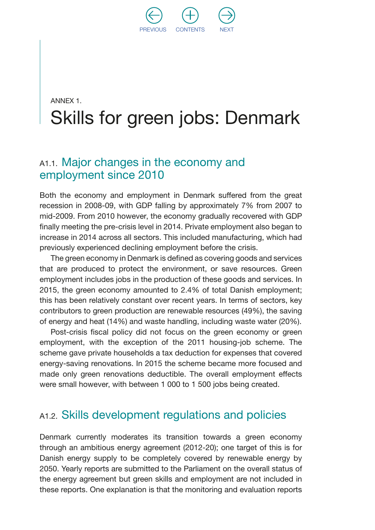

## ANNEX 1. Skills for green jobs: Denmark

### A1.1. Major changes in the economy and employment since 2010

Both the economy and employment in Denmark suffered from the great recession in 2008-09, with GDP falling by approximately 7% from 2007 to mid-2009. From 2010 however, the economy gradually recovered with GDP finally meeting the pre-crisis level in 2014. Private employment also began to increase in 2014 across all sectors. This included manufacturing, which had previously experienced declining employment before the crisis.

The green economy in Denmark is defined as covering goods and services that are produced to protect the environment, or save resources. Green employment includes jobs in the production of these goods and services. In 2015, the green economy amounted to 2.4% of total Danish employment; this has been relatively constant over recent years. In terms of sectors, key contributors to green production are renewable resources (49%), the saving of energy and heat (14%) and waste handling, including waste water (20%).

Post-crisis fiscal policy did not focus on the green economy or green employment, with the exception of the 2011 housing-job scheme. The scheme gave private households a tax deduction for expenses that covered energy-saving renovations. In 2015 the scheme became more focused and made only green renovations deductible. The overall employment effects were small however, with between 1 000 to 1 500 jobs being created.

### A1.2. Skills development regulations and policies

Denmark currently moderates its transition towards a green economy through an ambitious energy agreement (2012-20); one target of this is for Danish energy supply to be completely covered by renewable energy by 2050. Yearly reports are submitted to the Parliament on the overall status of the energy agreement but green skills and employment are not included in these reports. One explanation is that the monitoring and evaluation reports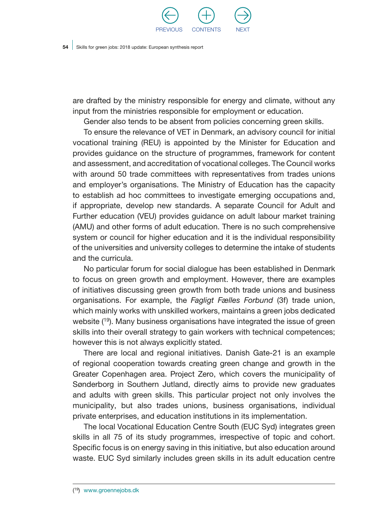

are drafted by the ministry responsible for energy and climate, without any input from the ministries responsible for employment or education.

Gender also tends to be absent from policies concerning green skills.

To ensure the relevance of VET in Denmark, an advisory council for initial vocational training (REU) is appointed by the Minister for Education and provides guidance on the structure of programmes, framework for content and assessment, and accreditation of vocational colleges. The Council works with around 50 trade committees with representatives from trades unions and employer's organisations. The Ministry of Education has the capacity to establish ad hoc committees to investigate emerging occupations and, if appropriate, develop new standards. A separate Council for Adult and Further education (VEU) provides guidance on adult labour market training (AMU) and other forms of adult education. There is no such comprehensive system or council for higher education and it is the individual responsibility of the universities and university colleges to determine the intake of students and the curricula.

No particular forum for social dialogue has been established in Denmark to focus on green growth and employment. However, there are examples of initiatives discussing green growth from both trade unions and business organisations. For example, the *Fagligt Fælles Forbund* (3f) trade union, which mainly works with unskilled workers, maintains a green jobs dedicated website (<sup>19</sup>). Many business organisations have integrated the issue of green skills into their overall strategy to gain workers with technical competences; however this is not always explicitly stated.

There are local and regional initiatives. Danish Gate-21 is an example of regional cooperation towards creating green change and growth in the Greater Copenhagen area. Project Zero, which covers the municipality of Sønderborg in Southern Jutland, directly aims to provide new graduates and adults with green skills. This particular project not only involves the municipality, but also trades unions, business organisations, individual private enterprises, and education institutions in its implementation.

The local Vocational Education Centre South (EUC Syd) integrates green skills in all 75 of its study programmes, irrespective of topic and cohort. Specific focus is on energy saving in this initiative, but also education around waste. EUC Syd similarly includes green skills in its adult education centre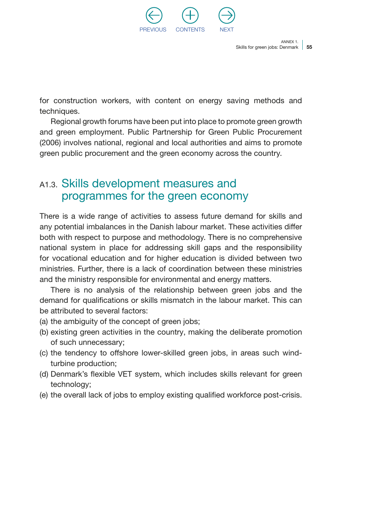

for construction workers, with content on energy saving methods and techniques.

Regional growth forums have been put into place to promote green growth and green employment. Public Partnership for Green Public Procurement (2006) involves national, regional and local authorities and aims to promote green public procurement and the green economy across the country.

### A1.3. Skills development measures and programmes for the green economy

There is a wide range of activities to assess future demand for skills and any potential imbalances in the Danish labour market. These activities differ both with respect to purpose and methodology. There is no comprehensive national system in place for addressing skill gaps and the responsibility for vocational education and for higher education is divided between two ministries. Further, there is a lack of coordination between these ministries and the ministry responsible for environmental and energy matters.

There is no analysis of the relationship between green jobs and the demand for qualifications or skills mismatch in the labour market. This can be attributed to several factors:

- (a) the ambiguity of the concept of green jobs;
- (b) existing green activities in the country, making the deliberate promotion of such unnecessary;
- (c) the tendency to offshore lower-skilled green jobs, in areas such windturbine production;
- (d) Denmark's flexible VET system, which includes skills relevant for green technology;
- (e) the overall lack of jobs to employ existing qualified workforce post-crisis.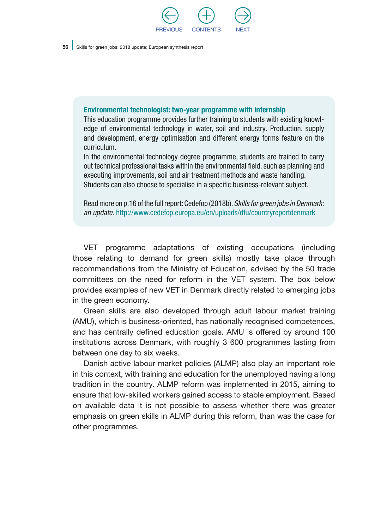

#### Environmental technologist: two-year programme with internship

This education programme provides further training to students with existing knowledge of environmental technology in water, soil and industry. Production, supply and development, energy optimisation and different energy forms feature on the curriculum.

In the environmental technology degree programme, students are trained to carry out technical professional tasks within the environmental field, such as planning and executing improvements, soil and air treatment methods and waste handling. Students can also choose to specialise in a specific business-relevant subject.

Read more on p.16 of the full report: Cedefop (2018b). *Skills for green jobs in Denmark: an update.* <http://www.cedefop.europa.eu/en/uploads/dfu/countryreportdenmark>

VET programme adaptations of existing occupations (including those relating to demand for green skills) mostly take place through recommendations from the Ministry of Education, advised by the 50 trade committees on the need for reform in the VET system. The box below provides examples of new VET in Denmark directly related to emerging jobs in the green economy.

Green skills are also developed through adult labour market training (AMU), which is business-oriented, has nationally recognised competences, and has centrally defined education goals. AMU is offered by around 100 institutions across Denmark, with roughly 3 600 programmes lasting from between one day to six weeks.

Danish active labour market policies (ALMP) also play an important role in this context, with training and education for the unemployed having a long tradition in the country. ALMP reform was implemented in 2015, aiming to ensure that low-skilled workers gained access to stable employment. Based on available data it is not possible to assess whether there was greater emphasis on green skills in ALMP during this reform, than was the case for other programmes.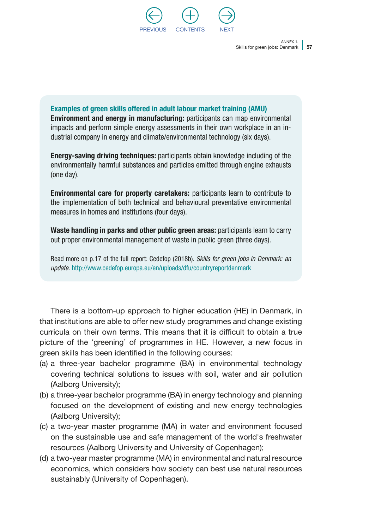

Examples of green skills offered in adult labour market training (AMU) Environment and energy in manufacturing: participants can map environmental impacts and perform simple energy assessments in their own workplace in an industrial company in energy and climate/environmental technology (six days).

Energy-saving driving techniques: participants obtain knowledge including of the environmentally harmful substances and particles emitted through engine exhausts (one day).

Environmental care for property caretakers: participants learn to contribute to the implementation of both technical and behavioural preventative environmental measures in homes and institutions (four days).

Waste handling in parks and other public green areas: participants learn to carry out proper environmental management of waste in public green (three days).

Read more on p.17 of the full report: Cedefop (2018b). *Skills for green jobs in Denmark: an update.* <http://www.cedefop.europa.eu/en/uploads/dfu/countryreportdenmark>

There is a bottom-up approach to higher education (HE) in Denmark, in that institutions are able to offer new study programmes and change existing curricula on their own terms. This means that it is difficult to obtain a true picture of the 'greening' of programmes in HE. However, a new focus in green skills has been identified in the following courses:

- (a) a three-year bachelor programme (BA) in environmental technology covering technical solutions to issues with soil, water and air pollution (Aalborg University);
- (b) a three-year bachelor programme (BA) in energy technology and planning focused on the development of existing and new energy technologies (Aalborg University);
- (c) a two-year master programme (MA) in water and environment focused on the sustainable use and safe management of the world's freshwater resources (Aalborg University and University of Copenhagen);
- (d) a two-year master programme (MA) in environmental and natural resource economics, which considers how society can best use natural resources sustainably (University of Copenhagen).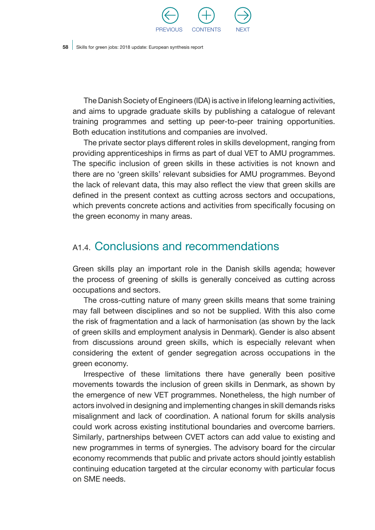

The Danish Society of Engineers (IDA) is active in lifelong learning activities, and aims to upgrade graduate skills by publishing a catalogue of relevant training programmes and setting up peer-to-peer training opportunities. Both education institutions and companies are involved.

The private sector plays different roles in skills development, ranging from providing apprenticeships in firms as part of dual VET to AMU programmes. The specific inclusion of green skills in these activities is not known and there are no 'green skills' relevant subsidies for AMU programmes. Beyond the lack of relevant data, this may also reflect the view that green skills are defined in the present context as cutting across sectors and occupations, which prevents concrete actions and activities from specifically focusing on the green economy in many areas.

## A<sub>1.4</sub> Conclusions and recommendations

Green skills play an important role in the Danish skills agenda; however the process of greening of skills is generally conceived as cutting across occupations and sectors.

The cross-cutting nature of many green skills means that some training may fall between disciplines and so not be supplied. With this also come the risk of fragmentation and a lack of harmonisation (as shown by the lack of green skills and employment analysis in Denmark). Gender is also absent from discussions around green skills, which is especially relevant when considering the extent of gender segregation across occupations in the green economy.

Irrespective of these limitations there have generally been positive movements towards the inclusion of green skills in Denmark, as shown by the emergence of new VET programmes. Nonetheless, the high number of actors involved in designing and implementing changes in skill demands risks misalignment and lack of coordination. A national forum for skills analysis could work across existing institutional boundaries and overcome barriers. Similarly, partnerships between CVET actors can add value to existing and new programmes in terms of synergies. The advisory board for the circular economy recommends that public and private actors should jointly establish continuing education targeted at the circular economy with particular focus on SME needs.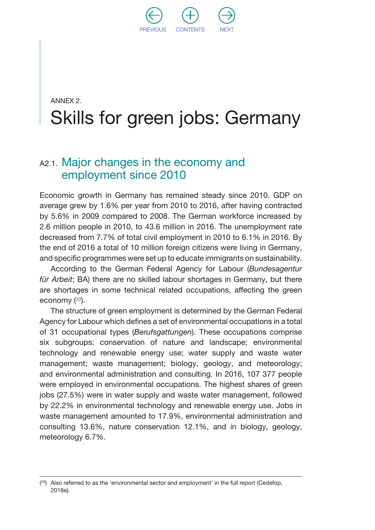

## ANNEX 2. Skills for green jobs: Germany

### A2.1. Major changes in the economy and employment since 2010

Economic growth in Germany has remained steady since 2010. GDP on average grew by 1.6% per year from 2010 to 2016, after having contracted by 5.6% in 2009 compared to 2008. The German workforce increased by 2.6 million people in 2010, to 43.6 million in 2016. The unemployment rate decreased from 7.7% of total civil employment in 2010 to 6.1% in 2016. By the end of 2016 a total of 10 million foreign citizens were living in Germany, and specific programmes were set up to educate immigrants on sustainability.

According to the German Federal Agency for Labour (*Bundesagentur für Arbeit*; BA) there are no skilled labour shortages in Germany, but there are shortages in some technical related occupations, affecting the green economy (<sup>20</sup>).

The structure of green employment is determined by the German Federal Agency for Labour which defines a set of environmental occupations in a total of 31 occupational types (*Berufsgattungen*). These occupations comprise six subgroups: conservation of nature and landscape; environmental technology and renewable energy use; water supply and waste water management; waste management; biology, geology, and meteorology; and environmental administration and consulting. In 2016, 107 377 people were employed in environmental occupations. The highest shares of green jobs (27.5%) were in water supply and waste water management, followed by 22.2% in environmental technology and renewable energy use. Jobs in waste management amounted to 17.9%, environmental administration and consulting 13.6%, nature conservation 12.1%, and in biology, geology, meteorology 6.7%.

 $(20)$  Also referred to as the 'environmental sector and employment' in the full report (Cedefop, 2018e).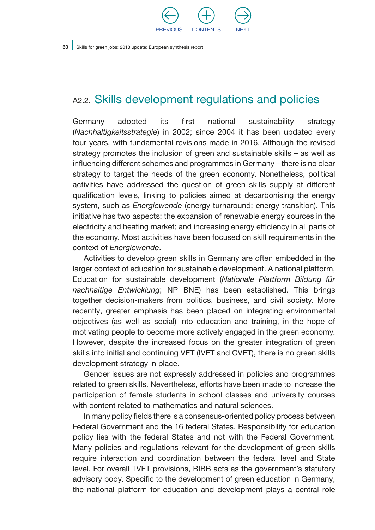

## A2.2. Skills development regulations and policies

Germany adopted its first national sustainability strategy (*Nachhaltigkeitsstrategie*) in 2002; since 2004 it has been updated every four years, with fundamental revisions made in 2016. Although the revised strategy promotes the inclusion of green and sustainable skills – as well as influencing different schemes and programmes in Germany – there is no clear strategy to target the needs of the green economy. Nonetheless, political activities have addressed the question of green skills supply at different qualification levels, linking to policies aimed at decarbonising the energy system, such as *Energiewende* (energy turnaround; energy transition). This initiative has two aspects: the expansion of renewable energy sources in the electricity and heating market; and increasing energy efficiency in all parts of the economy. Most activities have been focused on skill requirements in the context of *Energiewende*.

Activities to develop green skills in Germany are often embedded in the larger context of education for sustainable development. A national platform, Education for sustainable development (*Nationale Plattform Bildung für nachhaltige Entwicklung*; NP BNE) has been established. This brings together decision-makers from politics, business, and civil society. More recently, greater emphasis has been placed on integrating environmental objectives (as well as social) into education and training, in the hope of motivating people to become more actively engaged in the green economy. However, despite the increased focus on the greater integration of green skills into initial and continuing VET (IVET and CVET), there is no green skills development strategy in place.

Gender issues are not expressly addressed in policies and programmes related to green skills. Nevertheless, efforts have been made to increase the participation of female students in school classes and university courses with content related to mathematics and natural sciences.

In many policy fields there is a consensus-oriented policy process between Federal Government and the 16 federal States. Responsibility for education policy lies with the federal States and not with the Federal Government. Many policies and regulations relevant for the development of green skills require interaction and coordination between the federal level and State level. For overall TVET provisions, BIBB acts as the government's statutory advisory body. Specific to the development of green education in Germany, the national platform for education and development plays a central role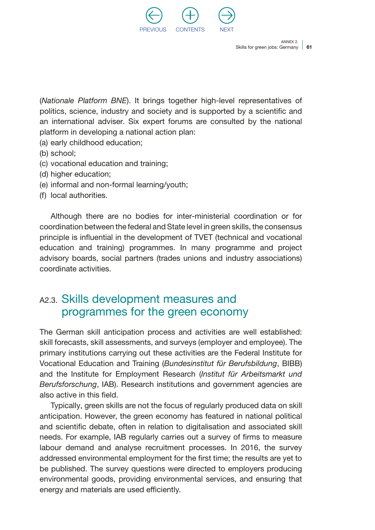

(*Nationale Platform BNE*). It brings together high-level representatives of politics, science, industry and society and is supported by a scientific and an international adviser. Six expert forums are consulted by the national platform in developing a national action plan:

- (a) early childhood education;
- (b) school;
- (c) vocational education and training;
- (d) higher education;
- (e) informal and non-formal learning/youth;
- (f) local authorities.

Although there are no bodies for inter-ministerial coordination or for coordination between the federal and State level in green skills, the consensus principle is influential in the development of TVET (technical and vocational education and training) programmes. In many programme and project advisory boards, social partners (trades unions and industry associations) coordinate activities.

## A2.3. Skills development measures and programmes for the green economy

The German skill anticipation process and activities are well established: skill forecasts, skill assessments, and surveys (employer and employee). The primary institutions carrying out these activities are the Federal Institute for Vocational Education and Training (*Bundesinstitut für Berufsbildung*, BIBB) and the Institute for Employment Research (*Institut für Arbeitsmarkt und Berufsforschung*, IAB). Research institutions and government agencies are also active in this field.

Typically, green skills are not the focus of regularly produced data on skill anticipation. However, the green economy has featured in national political and scientific debate, often in relation to digitalisation and associated skill needs. For example, IAB regularly carries out a survey of firms to measure labour demand and analyse recruitment processes. In 2016, the survey addressed environmental employment for the first time; the results are yet to be published. The survey questions were directed to employers producing environmental goods, providing environmental services, and ensuring that energy and materials are used efficiently.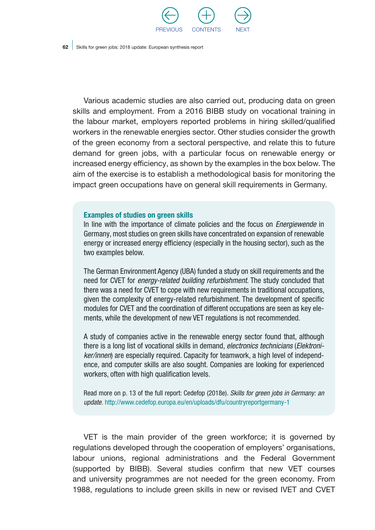

Various academic studies are also carried out, producing data on green skills and employment. From a 2016 BIBB study on vocational training in the labour market, employers reported problems in hiring skilled/qualified workers in the renewable energies sector. Other studies consider the growth of the green economy from a sectoral perspective, and relate this to future demand for green jobs, with a particular focus on renewable energy or increased energy efficiency, as shown by the examples in the box below. The aim of the exercise is to establish a methodological basis for monitoring the impact green occupations have on general skill requirements in Germany.

#### Examples of studies on green skills

In line with the importance of climate policies and the focus on *Energiewende* in Germany, most studies on green skills have concentrated on expansion of renewable energy or increased energy efficiency (especially in the housing sector), such as the two examples below.

The German Environment Agency (UBA) funded a study on skill requirements and the need for CVET for *energy-related building refurbishment*. The study concluded that there was a need for CVET to cope with new requirements in traditional occupations, given the complexity of energy-related refurbishment. The development of specific modules for CVET and the coordination of different occupations are seen as key elements, while the development of new VET regulations is not recommended.

A study of companies active in the renewable energy sector found that, although there is a long list of vocational skills in demand, *electronics technicians* (*Elektroniker/innen*) are especially required. Capacity for teamwork, a high level of independence, and computer skills are also sought. Companies are looking for experienced workers, often with high qualification levels.

Read more on p. 13 of the full report: Cedefop (2018e). *Skills for green jobs in Germany: an update.* <http://www.cedefop.europa.eu/en/uploads/dfu/countryreportgermany-1>

VET is the main provider of the green workforce; it is governed by regulations developed through the cooperation of employers' organisations, labour unions, regional administrations and the Federal Government (supported by BIBB). Several studies confirm that new VET courses and university programmes are not needed for the green economy. From 1988, regulations to include green skills in new or revised IVET and CVET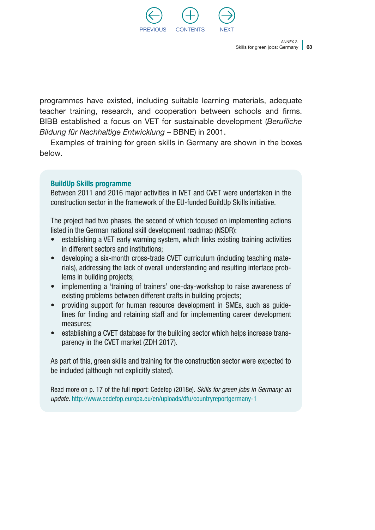

programmes have existed, including suitable learning materials, adequate teacher training, research, and cooperation between schools and firms. BIBB established a focus on VET for sustainable development (*Berufliche Bildung für Nachhaltige Entwicklung* – BBNE) in 2001.

Examples of training for green skills in Germany are shown in the boxes below.

### BuildUp Skills programme

Between 2011 and 2016 major activities in IVET and CVET were undertaken in the construction sector in the framework of the EU-funded BuildUp Skills initiative.

The project had two phases, the second of which focused on implementing actions listed in the German national skill development roadmap (NSDR):

- establishing a VET early warning system, which links existing training activities in different sectors and institutions;
- developing a six-month cross-trade CVET curriculum (including teaching materials), addressing the lack of overall understanding and resulting interface problems in building projects;
- implementing a 'training of trainers' one-day-workshop to raise awareness of existing problems between different crafts in building projects;
- providing support for human resource development in SMEs, such as guidelines for finding and retaining staff and for implementing career development measures;
- establishing a CVET database for the building sector which helps increase transparency in the CVET market (ZDH 2017).

As part of this, green skills and training for the construction sector were expected to be included (although not explicitly stated).

Read more on p. 17 of the full report: Cedefop (2018e). *Skills for green jobs in Germany: an update.* <http://www.cedefop.europa.eu/en/uploads/dfu/countryreportgermany-1>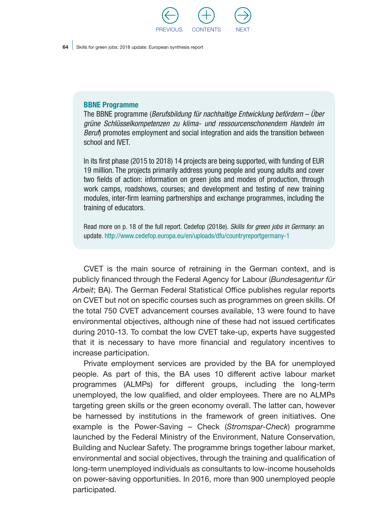

#### BBNE Programme

The BBNE programme (*Berufsbildung für nachhaltige Entwicklung befördern – Über grüne Schlüsselkompetenzen zu klima- und ressourcenschonendem Handeln im Beruf*) promotes employment and social integration and aids the transition between school and IVET.

In its first phase (2015 to 2018) 14 projects are being supported, with funding of EUR 19 million. The projects primarily address young people and young adults and cover two fields of action: information on green jobs and modes of production, through work camps, roadshows, courses; and development and testing of new training modules, inter-firm learning partnerships and exchange programmes, including the training of educators.

Read more on p. 18 of the full report. Cedefop (2018e). *Skills for green jobs in Germany*: an update. <http://www.cedefop.europa.eu/en/uploads/dfu/countryreportgermany-1>

CVET is the main source of retraining in the German context, and is publicly financed through the Federal Agency for Labour (*Bundesagentur für Arbeit*; BA). The German Federal Statistical Office publishes regular reports on CVET but not on specific courses such as programmes on green skills. Of the total 750 CVET advancement courses available, 13 were found to have environmental objectives, although nine of these had not issued certificates during 2010-13. To combat the low CVET take-up, experts have suggested that it is necessary to have more financial and regulatory incentives to increase participation.

Private employment services are provided by the BA for unemployed people. As part of this, the BA uses 10 different active labour market programmes (ALMPs) for different groups, including the long-term unemployed, the low qualified, and older employees. There are no ALMPs targeting green skills or the green economy overall. The latter can, however be harnessed by institutions in the framework of green initiatives. One example is the Power-Saving – Check (*Stromspar-Check*) programme launched by the Federal Ministry of the Environment, Nature Conservation, Building and Nuclear Safety. The programme brings together labour market, environmental and social objectives, through the training and qualification of long-term unemployed individuals as consultants to low-income households on power-saving opportunities. In 2016, more than 900 unemployed people participated.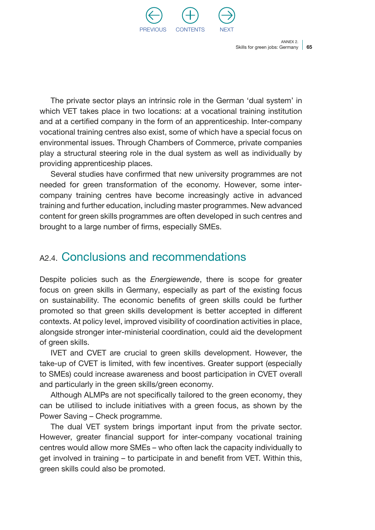

The private sector plays an intrinsic role in the German 'dual system' in which VET takes place in two locations: at a vocational training institution and at a certified company in the form of an apprenticeship. Inter-company vocational training centres also exist, some of which have a special focus on environmental issues. Through Chambers of Commerce, private companies play a structural steering role in the dual system as well as individually by providing apprenticeship places.

Several studies have confirmed that new university programmes are not needed for green transformation of the economy. However, some intercompany training centres have become increasingly active in advanced training and further education, including master programmes. New advanced content for green skills programmes are often developed in such centres and brought to a large number of firms, especially SMEs.

### A2.4. Conclusions and recommendations

Despite policies such as the *Energiewende*, there is scope for greater focus on green skills in Germany, especially as part of the existing focus on sustainability. The economic benefits of green skills could be further promoted so that green skills development is better accepted in different contexts. At policy level, improved visibility of coordination activities in place, alongside stronger inter-ministerial coordination, could aid the development of green skills.

IVET and CVET are crucial to green skills development. However, the take-up of CVET is limited, with few incentives. Greater support (especially to SMEs) could increase awareness and boost participation in CVET overall and particularly in the green skills/green economy.

Although ALMPs are not specifically tailored to the green economy, they can be utilised to include initiatives with a green focus, as shown by the Power Saving – Check programme.

The dual VET system brings important input from the private sector. However, greater financial support for inter-company vocational training centres would allow more SMEs – who often lack the capacity individually to get involved in training – to participate in and benefit from VET. Within this, green skills could also be promoted.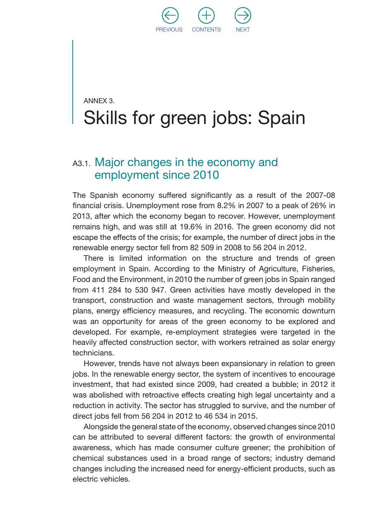

## ANNEX 3. Skills for green jobs: Spain

### A3.1. Major changes in the economy and employment since 2010

The Spanish economy suffered significantly as a result of the 2007-08 financial crisis. Unemployment rose from 8.2% in 2007 to a peak of 26% in 2013, after which the economy began to recover. However, unemployment remains high, and was still at 19.6% in 2016. The green economy did not escape the effects of the crisis; for example, the number of direct jobs in the renewable energy sector fell from 82 509 in 2008 to 56 204 in 2012.

There is limited information on the structure and trends of green employment in Spain. According to the Ministry of Agriculture, Fisheries, Food and the Environment, in 2010 the number of green jobs in Spain ranged from 411 284 to 530 947. Green activities have mostly developed in the transport, construction and waste management sectors, through mobility plans, energy efficiency measures, and recycling. The economic downturn was an opportunity for areas of the green economy to be explored and developed. For example, re-employment strategies were targeted in the heavily affected construction sector, with workers retrained as solar energy technicians.

However, trends have not always been expansionary in relation to green jobs. In the renewable energy sector, the system of incentives to encourage investment, that had existed since 2009, had created a bubble; in 2012 it was abolished with retroactive effects creating high legal uncertainty and a reduction in activity. The sector has struggled to survive, and the number of direct jobs fell from 56 204 in 2012 to 46 534 in 2015.

Alongside the general state of the economy, observed changes since 2010 can be attributed to several different factors: the growth of environmental awareness, which has made consumer culture greener; the prohibition of chemical substances used in a broad range of sectors; industry demand changes including the increased need for energy-efficient products, such as electric vehicles.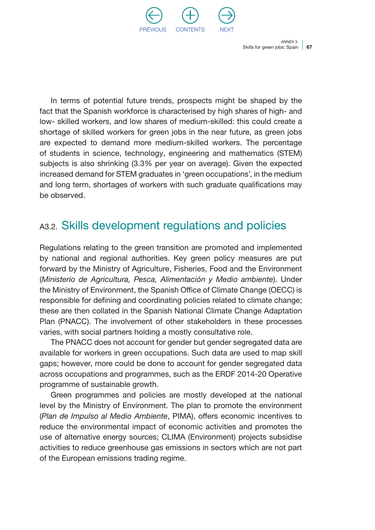

In terms of potential future trends, prospects might be shaped by the fact that the Spanish workforce is characterised by high shares of high- and low- skilled workers, and low shares of medium-skilled: this could create a shortage of skilled workers for green jobs in the near future, as green jobs are expected to demand more medium-skilled workers. The percentage of students in science, technology, engineering and mathematics (STEM) subjects is also shrinking (3.3% per year on average). Given the expected increased demand for STEM graduates in 'green occupations', in the medium and long term, shortages of workers with such graduate qualifications may be observed.

## A3.2. Skills development regulations and policies

Regulations relating to the green transition are promoted and implemented by national and regional authorities. Key green policy measures are put forward by the Ministry of Agriculture, Fisheries, Food and the Environment (*Ministerio de Agricultura, Pesca, Alimentación y Medio ambiente*). Under the Ministry of Environment, the Spanish Office of Climate Change (OECC) is responsible for defining and coordinating policies related to climate change; these are then collated in the Spanish National Climate Change Adaptation Plan (PNACC). The involvement of other stakeholders in these processes varies, with social partners holding a mostly consultative role.

The PNACC does not account for gender but gender segregated data are available for workers in green occupations. Such data are used to map skill gaps; however, more could be done to account for gender segregated data across occupations and programmes, such as the ERDF 2014-20 Operative programme of sustainable growth.

Green programmes and policies are mostly developed at the national level by the Ministry of Environment. The plan to promote the environment (*Plan de Impulso al Medio Ambiente*, PIMA), offers economic incentives to reduce the environmental impact of economic activities and promotes the use of alternative energy sources; CLIMA (Environment) projects subsidise activities to reduce greenhouse gas emissions in sectors which are not part of the European emissions trading regime.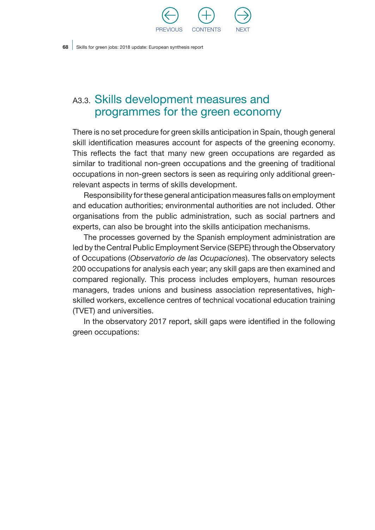

## A3.3. Skills development measures and programmes for the green economy

There is no set procedure for green skills anticipation in Spain, though general skill identification measures account for aspects of the greening economy. This reflects the fact that many new green occupations are regarded as similar to traditional non-green occupations and the greening of traditional occupations in non-green sectors is seen as requiring only additional greenrelevant aspects in terms of skills development.

Responsibility for these general anticipation measures falls on employment and education authorities; environmental authorities are not included. Other organisations from the public administration, such as social partners and experts, can also be brought into the skills anticipation mechanisms.

The processes governed by the Spanish employment administration are led by the Central Public Employment Service (SEPE) through the Observatory of Occupations (*Observatorio de las Ocupaciones*). The observatory selects 200 occupations for analysis each year; any skill gaps are then examined and compared regionally. This process includes employers, human resources managers, trades unions and business association representatives, highskilled workers, excellence centres of technical vocational education training (TVET) and universities.

In the observatory 2017 report, skill gaps were identified in the following green occupations: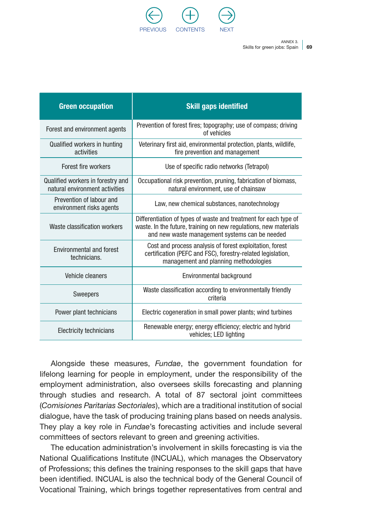

| <b>Green occupation</b>                                             | <b>Skill gaps identified</b>                                                                                                                                                           |
|---------------------------------------------------------------------|----------------------------------------------------------------------------------------------------------------------------------------------------------------------------------------|
| Forest and environment agents                                       | Prevention of forest fires; topography; use of compass; driving<br>of vehicles                                                                                                         |
| Qualified workers in hunting<br>activities                          | Veterinary first aid, environmental protection, plants, wildlife,<br>fire prevention and management                                                                                    |
| Forest fire workers                                                 | Use of specific radio networks (Tetrapol)                                                                                                                                              |
| Qualified workers in forestry and<br>natural environment activities | Occupational risk prevention, pruning, fabrication of biomass,<br>natural environment, use of chainsaw                                                                                 |
| Prevention of labour and<br>environment risks agents                | Law, new chemical substances, nanotechnology                                                                                                                                           |
| Waste classification workers                                        | Differentiation of types of waste and treatment for each type of<br>waste. In the future, training on new regulations, new materials<br>and new waste management systems can be needed |
| Environmental and forest<br>technicians.                            | Cost and process analysis of forest exploitation, forest<br>certification (PEFC and FSC), forestry-related legislation,<br>management and planning methodologies                       |
| Vehicle cleaners                                                    | Environmental background                                                                                                                                                               |
| <b>Sweepers</b>                                                     | Waste classification according to environmentally friendly<br>criteria                                                                                                                 |
| Power plant technicians                                             | Electric cogeneration in small power plants; wind turbines                                                                                                                             |
| Electricity technicians                                             | Renewable energy; energy efficiency; electric and hybrid<br>vehicles; LED lighting                                                                                                     |

Alongside these measures, *Fundae*, the government foundation for lifelong learning for people in employment, under the responsibility of the employment administration, also oversees skills forecasting and planning through studies and research. A total of 87 sectoral joint committees (*Comisiones Paritarias Sectoriales*), which are a traditional institution of social dialogue, have the task of producing training plans based on needs analysis. They play a key role in *Fundae*'s forecasting activities and include several committees of sectors relevant to green and greening activities.

The education administration's involvement in skills forecasting is via the National Qualifications Institute (INCUAL), which manages the Observatory of Professions; this defines the training responses to the skill gaps that have been identified. INCUAL is also the technical body of the General Council of Vocational Training, which brings together representatives from central and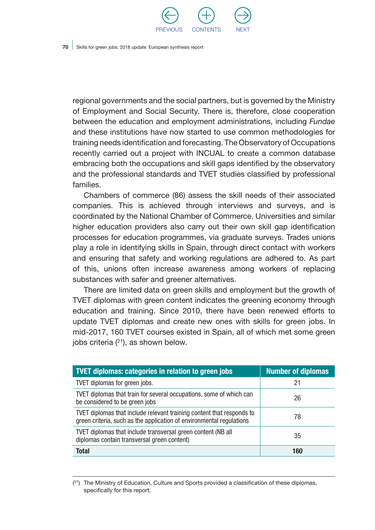

regional governments and the social partners, but is governed by the Ministry of Employment and Social Security. There is, therefore, close cooperation between the education and employment administrations, including *Fundae* and these institutions have now started to use common methodologies for training needs identification and forecasting. The Observatory of Occupations recently carried out a project with INCUAL to create a common database embracing both the occupations and skill gaps identified by the observatory and the professional standards and TVET studies classified by professional families.

Chambers of commerce (86) assess the skill needs of their associated companies. This is achieved through interviews and surveys, and is coordinated by the National Chamber of Commerce. Universities and similar higher education providers also carry out their own skill gap identification processes for education programmes, via graduate surveys. Trades unions play a role in identifying skills in Spain, through direct contact with workers and ensuring that safety and working regulations are adhered to. As part of this, unions often increase awareness among workers of replacing substances with safer and greener alternatives.

There are limited data on green skills and employment but the growth of TVET diplomas with green content indicates the greening economy through education and training. Since 2010, there have been renewed efforts to update TVET diplomas and create new ones with skills for green jobs. In mid-2017, 160 TVET courses existed in Spain, all of which met some green jobs criteria  $(21)$ , as shown below.

| <b>TVET diplomas: categories in relation to green jobs</b>                                                                                    | <b>Number of diplomas</b> |
|-----------------------------------------------------------------------------------------------------------------------------------------------|---------------------------|
| TVET diplomas for green jobs.                                                                                                                 | 21                        |
| TVET diplomas that train for several occupations, some of which can<br>be considered to be green jobs                                         | 26                        |
| TVET diplomas that include relevant training content that responds to<br>green criteria, such as the application of environmental regulations | 78                        |
| TVET diplomas that include transversal green content (NB all<br>diplomas contain transversal green content)                                   | 35                        |
| <b>Total</b>                                                                                                                                  | 160                       |

 $(2<sup>1</sup>)$  The Ministry of Education, Culture and Sports provided a classification of these diplomas, specifically for this report.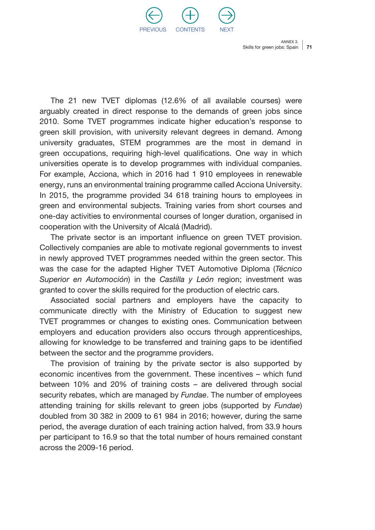

The 21 new TVET diplomas (12.6% of all available courses) were arguably created in direct response to the demands of green jobs since 2010. Some TVET programmes indicate higher education's response to green skill provision, with university relevant degrees in demand. Among university graduates, STEM programmes are the most in demand in green occupations, requiring high-level qualifications. One way in which universities operate is to develop programmes with individual companies. For example, Acciona, which in 2016 had 1 910 employees in renewable energy, runs an environmental training programme called Acciona University. In 2015, the programme provided 34 618 training hours to employees in green and environmental subjects. Training varies from short courses and one-day activities to environmental courses of longer duration, organised in cooperation with the University of Alcalá (Madrid).

The private sector is an important influence on green TVET provision. Collectively companies are able to motivate regional governments to invest in newly approved TVET programmes needed within the green sector. This was the case for the adapted Higher TVET Automotive Diploma (*Técnico Superior en Automoción*) in the *Castilla y León* region; investment was granted to cover the skills required for the production of electric cars.

Associated social partners and employers have the capacity to communicate directly with the Ministry of Education to suggest new TVET programmes or changes to existing ones. Communication between employers and education providers also occurs through apprenticeships, allowing for knowledge to be transferred and training gaps to be identified between the sector and the programme providers.

The provision of training by the private sector is also supported by economic incentives from the government. These incentives – which fund between 10% and 20% of training costs – are delivered through social security rebates, which are managed by *Fundae*. The number of employees attending training for skills relevant to green jobs (supported by *Fundae*) doubled from 30 382 in 2009 to 61 984 in 2016; however, during the same period, the average duration of each training action halved, from 33.9 hours per participant to 16.9 so that the total number of hours remained constant across the 2009-16 period.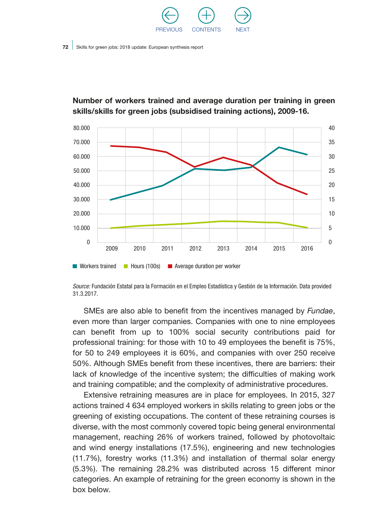



#### Number of workers trained and average duration per training in green skills/skills for green jobs (subsidised training actions), 2009-16.

*Source:* Fundación Estatal para la Formación en el Empleo Estadística y Gestión de la Información. Data provided 31.3.2017.

SMEs are also able to benefit from the incentives managed by *Fundae*, even more than larger companies. Companies with one to nine employees can benefit from up to 100% social security contributions paid for professional training: for those with 10 to 49 employees the benefit is 75%, for 50 to 249 employees it is 60%, and companies with over 250 receive 50%. Although SMEs benefit from these incentives, there are barriers: their lack of knowledge of the incentive system; the difficulties of making work and training compatible; and the complexity of administrative procedures.

Extensive retraining measures are in place for employees. In 2015, 327 actions trained 4 634 employed workers in skills relating to green jobs or the greening of existing occupations. The content of these retraining courses is diverse, with the most commonly covered topic being general environmental management, reaching 26% of workers trained, followed by photovoltaic and wind energy installations (17.5%), engineering and new technologies (11.7%), forestry works (11.3%) and installation of thermal solar energy (5.3%). The remaining 28.2% was distributed across 15 different minor categories. An example of retraining for the green economy is shown in the box below.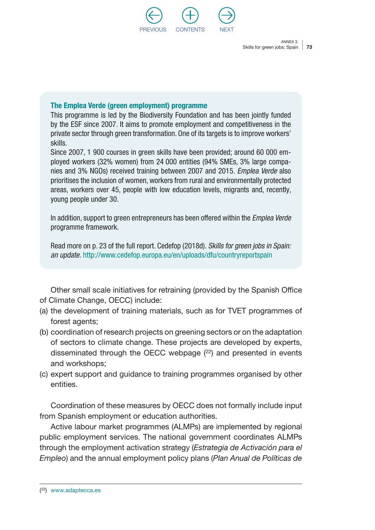

#### The Emplea Verde (green employment) programme

This programme is led by the Biodiversity Foundation and has been jointly funded by the ESF since 2007. It aims to promote employment and competitiveness in the private sector through green transformation. One of its targets is to improve workers' skills.

Since 2007, 1 900 courses in green skills have been provided; around 60 000 employed workers (32% women) from 24 000 entities (94% SMEs, 3% large companies and 3% NGOs) received training between 2007 and 2015. *Emplea Verde* also prioritises the inclusion of women, workers from rural and environmentally protected areas, workers over 45, people with low education levels, migrants and, recently, young people under 30.

In addition, support to green entrepreneurs has been offered within the *Emplea Verde* programme framework.

Read more on p. 23 of the full report. Cedefop (2018d). *Skills for green jobs in Spain: an update.* <http://www.cedefop.europa.eu/en/uploads/dfu/countryreportspain>

Other small scale initiatives for retraining (provided by the Spanish Office of Climate Change, OECC) include:

- (a) the development of training materials, such as for TVET programmes of forest agents;
- (b) coordination of research projects on greening sectors or on the adaptation of sectors to climate change. These projects are developed by experts, disseminated through the OECC webpage  $(22)$  and presented in events and workshops;
- (c) expert support and guidance to training programmes organised by other entities.

Coordination of these measures by OECC does not formally include input from Spanish employment or education authorities.

Active labour market programmes (ALMPs) are implemented by regional public employment services. The national government coordinates ALMPs through the employment activation strategy (*Estrategia de Activación para el Empleo*) and the annual employment policy plans (*Plan Anual de Políticas de*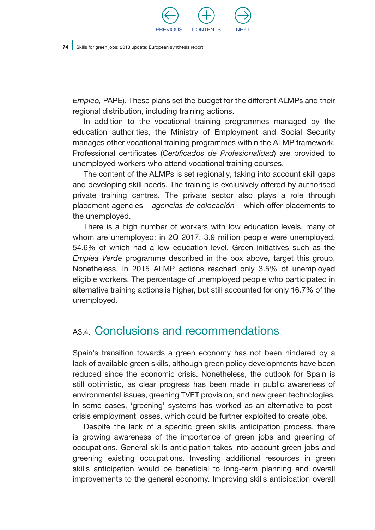

*Empleo,* PAPE). These plans set the budget for the different ALMPs and their regional distribution, including training actions.

In addition to the vocational training programmes managed by the education authorities, the Ministry of Employment and Social Security manages other vocational training programmes within the ALMP framework. Professional certificates (*Certificados de Profesionalidad*) are provided to unemployed workers who attend vocational training courses.

The content of the ALMPs is set regionally, taking into account skill gaps and developing skill needs. The training is exclusively offered by authorised private training centres. The private sector also plays a role through placement agencies – *agencias de colocación –* which offer placements to the unemployed.

There is a high number of workers with low education levels, many of whom are unemployed: in 2Q 2017, 3.9 million people were unemployed, 54.6% of which had a low education level. Green initiatives such as the *Emplea Verde* programme described in the box above, target this group. Nonetheless, in 2015 ALMP actions reached only 3.5% of unemployed eligible workers. The percentage of unemployed people who participated in alternative training actions is higher, but still accounted for only 16.7% of the unemployed.

### A<sub>3.4</sub>. Conclusions and recommendations

Spain's transition towards a green economy has not been hindered by a lack of available green skills, although green policy developments have been reduced since the economic crisis. Nonetheless, the outlook for Spain is still optimistic, as clear progress has been made in public awareness of environmental issues, greening TVET provision, and new green technologies. In some cases, 'greening' systems has worked as an alternative to postcrisis employment losses, which could be further exploited to create jobs.

Despite the lack of a specific green skills anticipation process, there is growing awareness of the importance of green jobs and greening of occupations. General skills anticipation takes into account green jobs and greening existing occupations. Investing additional resources in green skills anticipation would be beneficial to long-term planning and overall improvements to the general economy. Improving skills anticipation overall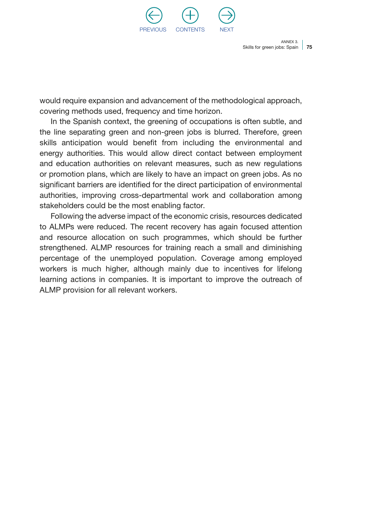

would require expansion and advancement of the methodological approach, covering methods used, frequency and time horizon.

In the Spanish context, the greening of occupations is often subtle, and the line separating green and non-green jobs is blurred. Therefore, green skills anticipation would benefit from including the environmental and energy authorities. This would allow direct contact between employment and education authorities on relevant measures, such as new regulations or promotion plans, which are likely to have an impact on green jobs. As no significant barriers are identified for the direct participation of environmental authorities, improving cross-departmental work and collaboration among stakeholders could be the most enabling factor.

Following the adverse impact of the economic crisis, resources dedicated to ALMPs were reduced. The recent recovery has again focused attention and resource allocation on such programmes, which should be further strengthened. ALMP resources for training reach a small and diminishing percentage of the unemployed population. Coverage among employed workers is much higher, although mainly due to incentives for lifelong learning actions in companies. It is important to improve the outreach of ALMP provision for all relevant workers.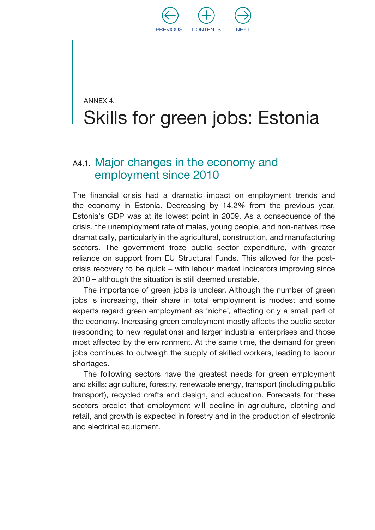

## ANNEX 4. Skills for green jobs: Estonia

### A4.1. Major changes in the economy and employment since 2010

The financial crisis had a dramatic impact on employment trends and the economy in Estonia. Decreasing by 14.2% from the previous year, Estonia's GDP was at its lowest point in 2009. As a consequence of the crisis, the unemployment rate of males, young people, and non-natives rose dramatically, particularly in the agricultural, construction, and manufacturing sectors. The government froze public sector expenditure, with greater reliance on support from EU Structural Funds. This allowed for the postcrisis recovery to be quick – with labour market indicators improving since 2010 – although the situation is still deemed unstable.

The importance of green jobs is unclear. Although the number of green jobs is increasing, their share in total employment is modest and some experts regard green employment as 'niche', affecting only a small part of the economy. Increasing green employment mostly affects the public sector (responding to new regulations) and larger industrial enterprises and those most affected by the environment. At the same time, the demand for green jobs continues to outweigh the supply of skilled workers, leading to labour shortages.

The following sectors have the greatest needs for green employment and skills: agriculture, forestry, renewable energy, transport (including public transport), recycled crafts and design, and education. Forecasts for these sectors predict that employment will decline in agriculture, clothing and retail, and growth is expected in forestry and in the production of electronic and electrical equipment.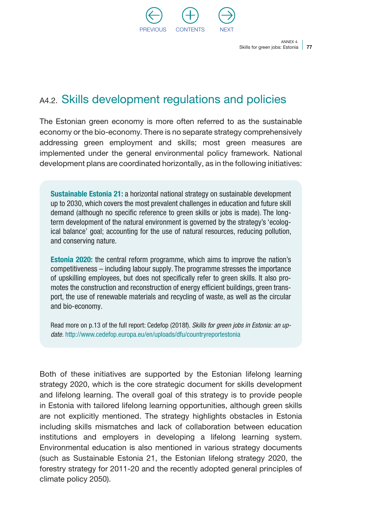

### A4.2. Skills development regulations and policies

The Estonian green economy is more often referred to as the sustainable economy or the bio-economy. There is no separate strategy comprehensively addressing green employment and skills; most green measures are implemented under the general environmental policy framework. National development plans are coordinated horizontally, as in the following initiatives:

Sustainable Estonia 21: a horizontal national strategy on sustainable development up to 2030, which covers the most prevalent challenges in education and future skill demand (although no specific reference to green skills or jobs is made). The longterm development of the natural environment is governed by the strategy's 'ecological balance' goal; accounting for the use of natural resources, reducing pollution, and conserving nature.

Estonia 2020: the central reform programme, which aims to improve the nation's competitiveness – including labour supply. The programme stresses the importance of upskilling employees, but does not specifically refer to green skills. It also promotes the construction and reconstruction of energy efficient buildings, green transport, the use of renewable materials and recycling of waste, as well as the circular and bio-economy.

Read more on p.13 of the full report: Cedefop (2018f). *Skills for green jobs in Estonia: an update.* <http://www.cedefop.europa.eu/en/uploads/dfu/countryreportestonia>

Both of these initiatives are supported by the Estonian lifelong learning strategy 2020, which is the core strategic document for skills development and lifelong learning. The overall goal of this strategy is to provide people in Estonia with tailored lifelong learning opportunities, although green skills are not explicitly mentioned. The strategy highlights obstacles in Estonia including skills mismatches and lack of collaboration between education institutions and employers in developing a lifelong learning system. Environmental education is also mentioned in various strategy documents (such as Sustainable Estonia 21, the Estonian lifelong strategy 2020, the forestry strategy for 2011-20 and the recently adopted general principles of climate policy 2050).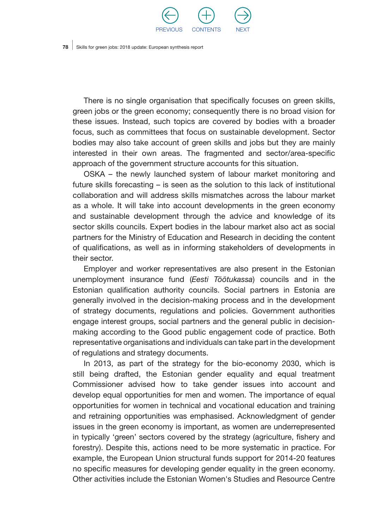

There is no single organisation that specifically focuses on green skills, green jobs or the green economy; consequently there is no broad vision for these issues. Instead, such topics are covered by bodies with a broader focus, such as committees that focus on sustainable development. Sector bodies may also take account of green skills and jobs but they are mainly interested in their own areas. The fragmented and sector/area-specific approach of the government structure accounts for this situation.

OSKA – the newly launched system of labour market monitoring and future skills forecasting – is seen as the solution to this lack of institutional collaboration and will address skills mismatches across the labour market as a whole. It will take into account developments in the green economy and sustainable development through the advice and knowledge of its sector skills councils. Expert bodies in the labour market also act as social partners for the Ministry of Education and Research in deciding the content of qualifications, as well as in informing stakeholders of developments in their sector.

Employer and worker representatives are also present in the Estonian unemployment insurance fund (*Eesti Töötukassa*) councils and in the Estonian qualification authority councils. Social partners in Estonia are generally involved in the decision-making process and in the development of strategy documents, regulations and policies. Government authorities engage interest groups, social partners and the general public in decisionmaking according to the Good public engagement code of practice. Both representative organisations and individuals can take part in the development of regulations and strategy documents.

In 2013, as part of the strategy for the bio-economy 2030, which is still being drafted, the Estonian gender equality and equal treatment Commissioner advised how to take gender issues into account and develop equal opportunities for men and women. The importance of equal opportunities for women in technical and vocational education and training and retraining opportunities was emphasised. Acknowledgment of gender issues in the green economy is important, as women are underrepresented in typically 'green' sectors covered by the strategy (agriculture, fishery and forestry). Despite this, actions need to be more systematic in practice. For example, the European Union structural funds support for 2014-20 features no specific measures for developing gender equality in the green economy. Other activities include the Estonian Women's Studies and Resource Centre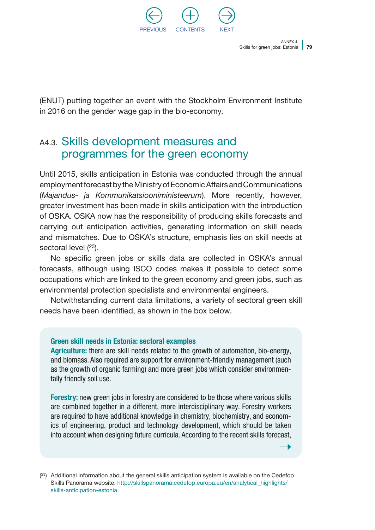

(ENUT) putting together an event with the Stockholm Environment Institute in 2016 on the gender wage gap in the bio-economy.

### A4.3. Skills development measures and programmes for the green economy

Until 2015, skills anticipation in Estonia was conducted through the annual employment forecast by the Ministry of Economic Affairs and Communications (*Majandus- ja Kommunikatsiooniministeerum*). More recently, however, greater investment has been made in skills anticipation with the introduction of OSKA. OSKA now has the responsibility of producing skills forecasts and carrying out anticipation activities, generating information on skill needs and mismatches. Due to OSKA's structure, emphasis lies on skill needs at sectoral level  $(^{23})$ .

No specific green jobs or skills data are collected in OSKA's annual forecasts, although using ISCO codes makes it possible to detect some occupations which are linked to the green economy and green jobs, such as environmental protection specialists and environmental engineers.

Notwithstanding current data limitations, a variety of sectoral green skill needs have been identified, as shown in the box below.

#### Green skill needs in Estonia: sectoral examples

Agriculture: there are skill needs related to the growth of automation, bio-energy, and biomass. Also required are support for environment-friendly management (such as the growth of organic farming) and more green jobs which consider environmentally friendly soil use.

Forestry: new green jobs in forestry are considered to be those where various skills are combined together in a different, more interdisciplinary way. Forestry workers are required to have additional knowledge in chemistry, biochemistry, and economics of engineering, product and technology development, which should be taken into account when designing future curricula. According to the recent skills forecast,

 $(23)$  Additional information about the general skills anticipation system is available on the Cedefop Skills Panorama website. [http://skillspanorama.cedefop.europa.eu/en/analytical\\_highlights/](http://skillspanorama.cedefop.europa.eu/en/analytical_highlights/skills-anticipation-estonia) [skills-anticipation-estonia](http://skillspanorama.cedefop.europa.eu/en/analytical_highlights/skills-anticipation-estonia)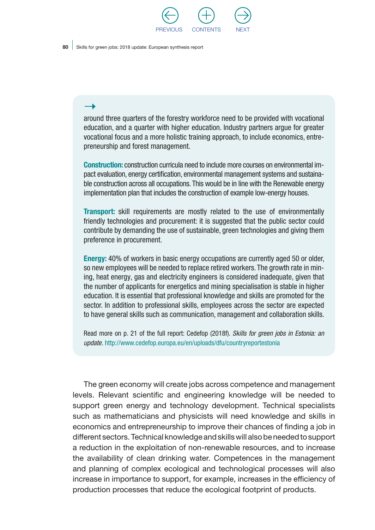

around three quarters of the forestry workforce need to be provided with vocational education, and a quarter with higher education. Industry partners argue for greater vocational focus and a more holistic training approach, to include economics, entrepreneurship and forest management.

Construction: construction curricula need to include more courses on environmental impact evaluation, energy certification, environmental management systems and sustainable construction across all occupations. This would be in line with the Renewable energy implementation plan that includes the construction of example low-energy houses.

**Transport:** skill requirements are mostly related to the use of environmentally friendly technologies and procurement: it is suggested that the public sector could contribute by demanding the use of sustainable, green technologies and giving them preference in procurement.

Energy: 40% of workers in basic energy occupations are currently aged 50 or older, so new employees will be needed to replace retired workers. The growth rate in mining, heat energy, gas and electricity engineers is considered inadequate, given that the number of applicants for energetics and mining specialisation is stable in higher education. It is essential that professional knowledge and skills are promoted for the sector. In addition to professional skills, employees across the sector are expected to have general skills such as communication, management and collaboration skills.

Read more on p. 21 of the full report: Cedefop (2018f). *Skills for green jobs in Estonia: an update.* <http://www.cedefop.europa.eu/en/uploads/dfu/countryreportestonia>

The green economy will create jobs across competence and management levels. Relevant scientific and engineering knowledge will be needed to support green energy and technology development. Technical specialists such as mathematicians and physicists will need knowledge and skills in economics and entrepreneurship to improve their chances of finding a job in different sectors. Technical knowledge and skills will also be needed to support a reduction in the exploitation of non-renewable resources, and to increase the availability of clean drinking water. Competences in the management and planning of complex ecological and technological processes will also increase in importance to support, for example, increases in the efficiency of production processes that reduce the ecological footprint of products.

#### $\rightarrow$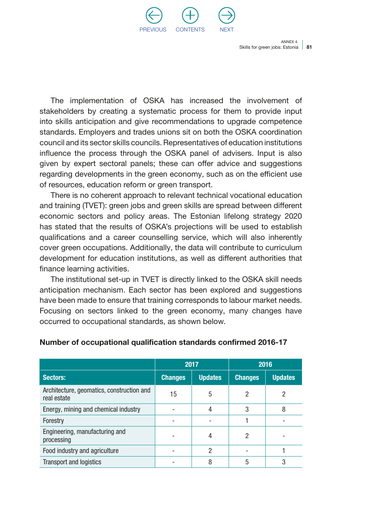

The implementation of OSKA has increased the involvement of stakeholders by creating a systematic process for them to provide input into skills anticipation and give recommendations to upgrade competence standards. Employers and trades unions sit on both the OSKA coordination council and its sector skills councils. Representatives of education institutions influence the process through the OSKA panel of advisers. Input is also given by expert sectoral panels; these can offer advice and suggestions regarding developments in the green economy, such as on the efficient use of resources, education reform or green transport.

There is no coherent approach to relevant technical vocational education and training (TVET): green jobs and green skills are spread between different economic sectors and policy areas. The Estonian lifelong strategy 2020 has stated that the results of OSKA's projections will be used to establish qualifications and a career counselling service, which will also inherently cover green occupations. Additionally, the data will contribute to curriculum development for education institutions, as well as different authorities that finance learning activities.

The institutional set-up in TVET is directly linked to the OSKA skill needs anticipation mechanism. Each sector has been explored and suggestions have been made to ensure that training corresponds to labour market needs. Focusing on sectors linked to the green economy, many changes have occurred to occupational standards, as shown below.

|                                                          | 2017           |                | 2016           |                |
|----------------------------------------------------------|----------------|----------------|----------------|----------------|
| Sectors:                                                 | <b>Changes</b> | <b>Updates</b> | <b>Changes</b> | <b>Updates</b> |
| Architecture, geomatics, construction and<br>real estate | 15             | 5              | 2              |                |
| Energy, mining and chemical industry                     |                | 4              | 3              | 8              |
| Forestry                                                 |                |                |                |                |
| Engineering, manufacturing and<br>processing             |                | 4              |                |                |
| Food industry and agriculture                            |                | 2              |                |                |
| <b>Transport and logistics</b>                           |                | 8              | 5              |                |

#### Number of occupational qualification standards confirmed 2016-17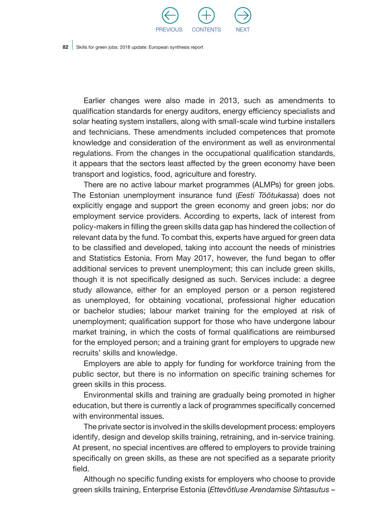

Earlier changes were also made in 2013, such as amendments to qualification standards for energy auditors, energy efficiency specialists and solar heating system installers, along with small-scale wind turbine installers and technicians. These amendments included competences that promote knowledge and consideration of the environment as well as environmental regulations. From the changes in the occupational qualification standards, it appears that the sectors least affected by the green economy have been transport and logistics, food, agriculture and forestry.

There are no active labour market programmes (ALMPs) for green jobs. The Estonian unemployment insurance fund (*Eesti Töötukassa*) does not explicitly engage and support the green economy and green jobs; nor do employment service providers. According to experts, lack of interest from policy-makers in filling the green skills data gap has hindered the collection of relevant data by the fund. To combat this, experts have argued for green data to be classified and developed, taking into account the needs of ministries and Statistics Estonia. From May 2017, however, the fund began to offer additional services to prevent unemployment; this can include green skills, though it is not specifically designed as such. Services include: a degree study allowance, either for an employed person or a person registered as unemployed, for obtaining vocational, professional higher education or bachelor studies; labour market training for the employed at risk of unemployment; qualification support for those who have undergone labour market training, in which the costs of formal qualifications are reimbursed for the employed person; and a training grant for employers to upgrade new recruits' skills and knowledge.

Employers are able to apply for funding for workforce training from the public sector, but there is no information on specific training schemes for green skills in this process.

Environmental skills and training are gradually being promoted in higher education, but there is currently a lack of programmes specifically concerned with environmental issues.

The private sector is involved in the skills development process: employers identify, design and develop skills training, retraining, and in-service training. At present, no special incentives are offered to employers to provide training specifically on green skills, as these are not specified as a separate priority field.

Although no specific funding exists for employers who choose to provide green skills training, Enterprise Estonia (*Ettevõtluse Arendamise Sihtasutus* –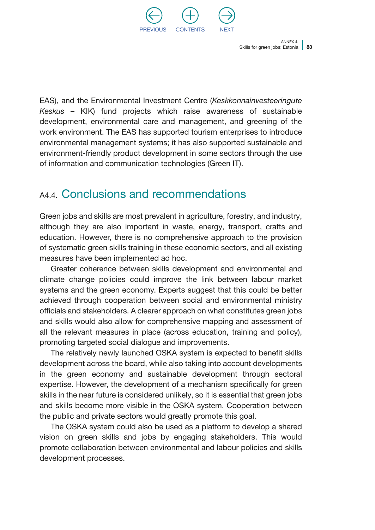

EAS), and the Environmental Investment Centre (*Keskkonnainvesteeringute Keskus* – KIK) fund projects which raise awareness of sustainable development, environmental care and management, and greening of the work environment. The EAS has supported tourism enterprises to introduce environmental management systems; it has also supported sustainable and environment-friendly product development in some sectors through the use of information and communication technologies (Green IT).

### A4.4. Conclusions and recommendations

Green jobs and skills are most prevalent in agriculture, forestry, and industry, although they are also important in waste, energy, transport, crafts and education. However, there is no comprehensive approach to the provision of systematic green skills training in these economic sectors, and all existing measures have been implemented ad hoc.

Greater coherence between skills development and environmental and climate change policies could improve the link between labour market systems and the green economy. Experts suggest that this could be better achieved through cooperation between social and environmental ministry officials and stakeholders. A clearer approach on what constitutes green jobs and skills would also allow for comprehensive mapping and assessment of all the relevant measures in place (across education, training and policy), promoting targeted social dialogue and improvements.

The relatively newly launched OSKA system is expected to benefit skills development across the board, while also taking into account developments in the green economy and sustainable development through sectoral expertise. However, the development of a mechanism specifically for green skills in the near future is considered unlikely, so it is essential that green jobs and skills become more visible in the OSKA system. Cooperation between the public and private sectors would greatly promote this goal.

The OSKA system could also be used as a platform to develop a shared vision on green skills and jobs by engaging stakeholders. This would promote collaboration between environmental and labour policies and skills development processes.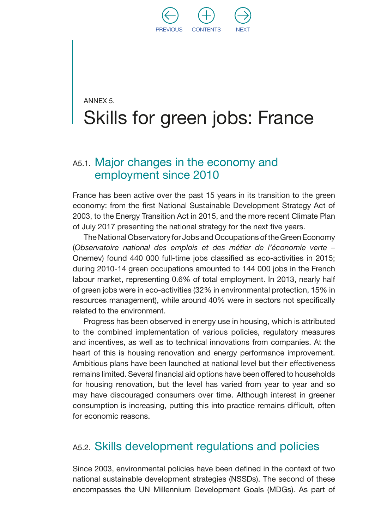

## ANNEX 5. Skills for green jobs: France

### A5.1. Major changes in the economy and employment since 2010

France has been active over the past 15 years in its transition to the green economy: from the first National Sustainable Development Strategy Act of 2003, to the Energy Transition Act in 2015, and the more recent Climate Plan of July 2017 presenting the national strategy for the next five years.

The National Observatory for Jobs and Occupations of the Green Economy (*Observatoire national des emplois et des métier de l'économie verte* – Onemev) found 440 000 full-time jobs classified as eco-activities in 2015; during 2010-14 green occupations amounted to 144 000 jobs in the French labour market, representing 0.6% of total employment. In 2013, nearly half of green jobs were in eco-activities (32% in environmental protection, 15% in resources management), while around 40% were in sectors not specifically related to the environment.

Progress has been observed in energy use in housing, which is attributed to the combined implementation of various policies, regulatory measures and incentives, as well as to technical innovations from companies. At the heart of this is housing renovation and energy performance improvement. Ambitious plans have been launched at national level but their effectiveness remains limited. Several financial aid options have been offered to households for housing renovation, but the level has varied from year to year and so may have discouraged consumers over time. Although interest in greener consumption is increasing, putting this into practice remains difficult, often for economic reasons.

### A5.2. Skills development regulations and policies

Since 2003, environmental policies have been defined in the context of two national sustainable development strategies (NSSDs). The second of these encompasses the UN Millennium Development Goals (MDGs). As part of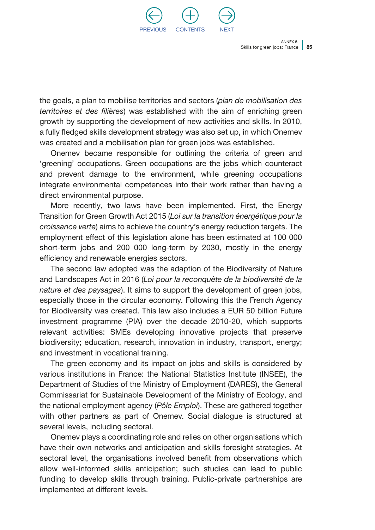

the goals, a plan to mobilise territories and sectors (*plan de mobilisation des territoires et des filières*) was established with the aim of enriching green growth by supporting the development of new activities and skills. In 2010, a fully fledged skills development strategy was also set up, in which Onemev was created and a mobilisation plan for green jobs was established.

Onemev became responsible for outlining the criteria of green and 'greening' occupations. Green occupations are the jobs which counteract and prevent damage to the environment, while greening occupations integrate environmental competences into their work rather than having a direct environmental purpose.

More recently, two laws have been implemented. First, the Energy Transition for Green Growth Act 2015 (*Loi sur la transition énergétique pour la croissance verte*) aims to achieve the country's energy reduction targets. The employment effect of this legislation alone has been estimated at 100 000 short-term jobs and 200 000 long-term by 2030, mostly in the energy efficiency and renewable energies sectors.

The second law adopted was the adaption of the Biodiversity of Nature and Landscapes Act in 2016 (*Loi pour la reconquête de la biodiversité de la nature et des paysages*). It aims to support the development of green jobs, especially those in the circular economy. Following this the French Agency for Biodiversity was created. This law also includes a EUR 50 billion Future investment programme (PIA) over the decade 2010-20, which supports relevant activities: SMEs developing innovative projects that preserve biodiversity; education, research, innovation in industry, transport, energy; and investment in vocational training.

The green economy and its impact on jobs and skills is considered by various institutions in France: the National Statistics Institute (INSEE), the Department of Studies of the Ministry of Employment (DARES), the General Commissariat for Sustainable Development of the Ministry of Ecology, and the national employment agency (*Pôle Emploi*). These are gathered together with other partners as part of Onemev. Social dialogue is structured at several levels, including sectoral.

Onemev plays a coordinating role and relies on other organisations which have their own networks and anticipation and skills foresight strategies. At sectoral level, the organisations involved benefit from observations which allow well-informed skills anticipation; such studies can lead to public funding to develop skills through training. Public-private partnerships are implemented at different levels.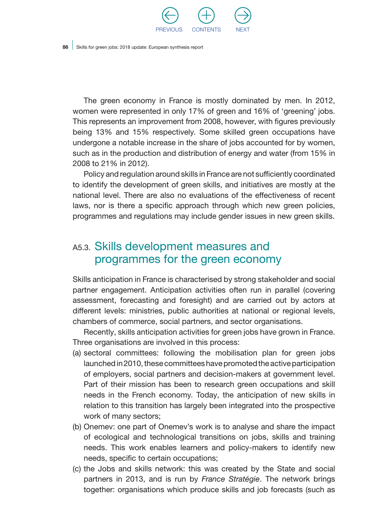

The green economy in France is mostly dominated by men. In 2012, women were represented in only 17% of green and 16% of 'greening' jobs. This represents an improvement from 2008, however, with figures previously being 13% and 15% respectively. Some skilled green occupations have undergone a notable increase in the share of jobs accounted for by women, such as in the production and distribution of energy and water (from 15% in 2008 to 21% in 2012).

Policy and regulation around skills in France are not sufficiently coordinated to identify the development of green skills, and initiatives are mostly at the national level. There are also no evaluations of the effectiveness of recent laws, nor is there a specific approach through which new green policies, programmes and regulations may include gender issues in new green skills.

### A5.3. Skills development measures and programmes for the green economy

Skills anticipation in France is characterised by strong stakeholder and social partner engagement. Anticipation activities often run in parallel (covering assessment, forecasting and foresight) and are carried out by actors at different levels: ministries, public authorities at national or regional levels, chambers of commerce, social partners, and sector organisations.

Recently, skills anticipation activities for green jobs have grown in France. Three organisations are involved in this process:

- (a) sectoral committees: following the mobilisation plan for green jobs launched in 2010, these committees have promoted the active participation of employers, social partners and decision-makers at government level. Part of their mission has been to research green occupations and skill needs in the French economy. Today, the anticipation of new skills in relation to this transition has largely been integrated into the prospective work of many sectors;
- (b) Onemev: one part of Onemev's work is to analyse and share the impact of ecological and technological transitions on jobs, skills and training needs. This work enables learners and policy-makers to identify new needs, specific to certain occupations;
- (c) the Jobs and skills network: this was created by the State and social partners in 2013, and is run by *France Stratégie*. The network brings together: organisations which produce skills and job forecasts (such as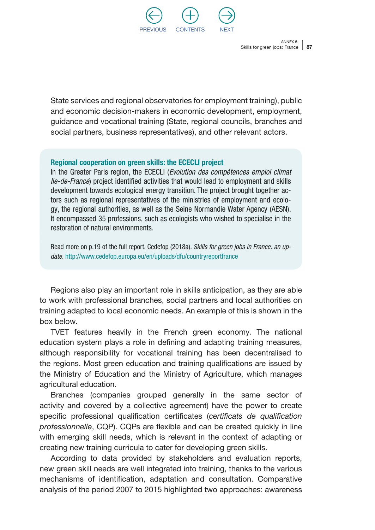

State services and regional observatories for employment training), public and economic decision-makers in economic development, employment, guidance and vocational training (State, regional councils, branches and social partners, business representatives), and other relevant actors.

#### Regional cooperation on green skills: the ECECLI project

In the Greater Paris region, the ECECLI (*Evolution des compétences emploi climat Ile-de-France*) project identified activities that would lead to employment and skills development towards ecological energy transition. The project brought together actors such as regional representatives of the ministries of employment and ecology, the regional authorities, as well as the Seine Normandie Water Agency (AESN). It encompassed 35 professions, such as ecologists who wished to specialise in the restoration of natural environments.

Read more on p.19 of the full report. Cedefop (2018a). *Skills for green jobs in France: an update.* <http://www.cedefop.europa.eu/en/uploads/dfu/countryreportfrance>

Regions also play an important role in skills anticipation, as they are able to work with professional branches, social partners and local authorities on training adapted to local economic needs. An example of this is shown in the box below.

TVET features heavily in the French green economy. The national education system plays a role in defining and adapting training measures, although responsibility for vocational training has been decentralised to the regions. Most green education and training qualifications are issued by the Ministry of Education and the Ministry of Agriculture, which manages agricultural education.

Branches (companies grouped generally in the same sector of activity and covered by a collective agreement) have the power to create specific professional qualification certificates (*certificats de qualification professionnelle*, CQP). CQPs are flexible and can be created quickly in line with emerging skill needs, which is relevant in the context of adapting or creating new training curricula to cater for developing green skills.

According to data provided by stakeholders and evaluation reports, new green skill needs are well integrated into training, thanks to the various mechanisms of identification, adaptation and consultation. Comparative analysis of the period 2007 to 2015 highlighted two approaches: awareness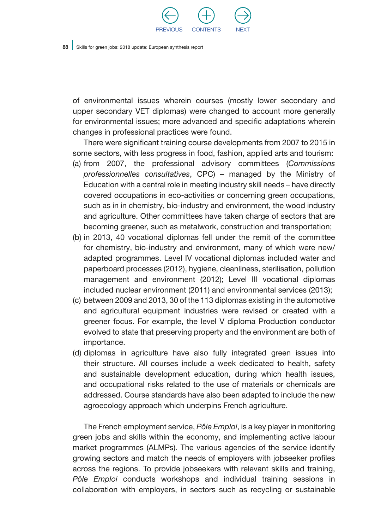

of environmental issues wherein courses (mostly lower secondary and upper secondary VET diplomas) were changed to account more generally for environmental issues; more advanced and specific adaptations wherein changes in professional practices were found.

There were significant training course developments from 2007 to 2015 in some sectors, with less progress in food, fashion, applied arts and tourism:

- (a) from 2007, the professional advisory committees (*Commissions professionnelles consultatives*, CPC) – managed by the Ministry of Education with a central role in meeting industry skill needs – have directly covered occupations in eco-activities or concerning green occupations, such as in in chemistry, bio-industry and environment, the wood industry and agriculture. Other committees have taken charge of sectors that are becoming greener, such as metalwork, construction and transportation;
- (b) in 2013, 40 vocational diplomas fell under the remit of the committee for chemistry, bio-industry and environment, many of which were new/ adapted programmes. Level IV vocational diplomas included water and paperboard processes (2012), hygiene, cleanliness, sterilisation, pollution management and environment (2012); Level III vocational diplomas included nuclear environment (2011) and environmental services (2013);
- (c) between 2009 and 2013, 30 of the 113 diplomas existing in the automotive and agricultural equipment industries were revised or created with a greener focus. For example, the level V diploma Production conductor evolved to state that preserving property and the environment are both of importance.
- (d) diplomas in agriculture have also fully integrated green issues into their structure. All courses include a week dedicated to health, safety and sustainable development education, during which health issues, and occupational risks related to the use of materials or chemicals are addressed. Course standards have also been adapted to include the new agroecology approach which underpins French agriculture.

The French employment service, *Pôle Emploi*, is a key player in monitoring green jobs and skills within the economy, and implementing active labour market programmes (ALMPs). The various agencies of the service identify growing sectors and match the needs of employers with jobseeker profiles across the regions. To provide jobseekers with relevant skills and training, *Pôle Emploi* conducts workshops and individual training sessions in collaboration with employers, in sectors such as recycling or sustainable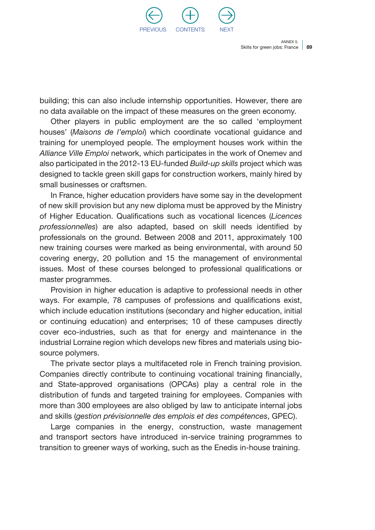

building; this can also include internship opportunities. However, there are no data available on the impact of these measures on the green economy.

Other players in public employment are the so called 'employment houses' (*Maisons de l'emploi*) which coordinate vocational guidance and training for unemployed people. The employment houses work within the *Alliance Ville Emploi* network, which participates in the work of Onemev and also participated in the 2012-13 EU-funded *Build-up skills* project which was designed to tackle green skill gaps for construction workers, mainly hired by small businesses or craftsmen.

In France, higher education providers have some say in the development of new skill provision but any new diploma must be approved by the Ministry of Higher Education. Qualifications such as vocational licences (*Licences professionnelles*) are also adapted, based on skill needs identified by professionals on the ground. Between 2008 and 2011, approximately 100 new training courses were marked as being environmental, with around 50 covering energy, 20 pollution and 15 the management of environmental issues. Most of these courses belonged to professional qualifications or master programmes.

Provision in higher education is adaptive to professional needs in other ways. For example, 78 campuses of professions and qualifications exist, which include education institutions (secondary and higher education, initial or continuing education) and enterprises; 10 of these campuses directly cover eco-industries, such as that for energy and maintenance in the industrial Lorraine region which develops new fibres and materials using biosource polymers.

The private sector plays a multifaceted role in French training provision. Companies directly contribute to continuing vocational training financially, and State-approved organisations (OPCAs) play a central role in the distribution of funds and targeted training for employees. Companies with more than 300 employees are also obliged by law to anticipate internal jobs and skills (*gestion prévisionnelle des emplois et des compétences*, GPEC).

Large companies in the energy, construction, waste management and transport sectors have introduced in-service training programmes to transition to greener ways of working, such as the Enedis in-house training.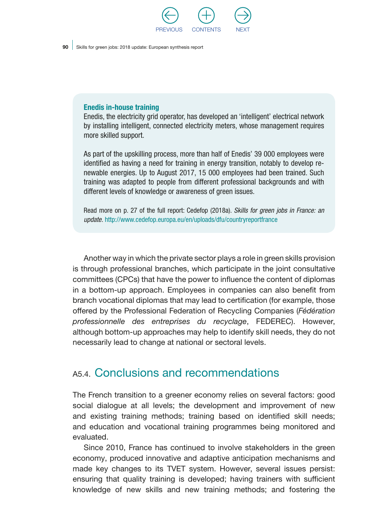

#### Enedis in-house training

Enedis, the electricity grid operator, has developed an 'intelligent' electrical network by installing intelligent, connected electricity meters, whose management requires more skilled support.

As part of the upskilling process, more than half of Enedis' 39 000 employees were identified as having a need for training in energy transition, notably to develop renewable energies. Up to August 2017, 15 000 employees had been trained. Such training was adapted to people from different professional backgrounds and with different levels of knowledge or awareness of green issues.

Read more on p. 27 of the full report: Cedefop (2018a). *Skills for green jobs in France: an update.* <http://www.cedefop.europa.eu/en/uploads/dfu/countryreportfrance>

Another way in which the private sector plays a role in green skills provision is through professional branches, which participate in the joint consultative committees (CPCs) that have the power to influence the content of diplomas in a bottom-up approach. Employees in companies can also benefit from branch vocational diplomas that may lead to certification (for example, those offered by the Professional Federation of Recycling Companies (*Fédération professionnelle des entreprises du recyclage*, FEDEREC). However, although bottom-up approaches may help to identify skill needs, they do not necessarily lead to change at national or sectoral levels.

### A5.4. Conclusions and recommendations

The French transition to a greener economy relies on several factors: good social dialogue at all levels; the development and improvement of new and existing training methods; training based on identified skill needs; and education and vocational training programmes being monitored and evaluated.

Since 2010, France has continued to involve stakeholders in the green economy, produced innovative and adaptive anticipation mechanisms and made key changes to its TVET system. However, several issues persist: ensuring that quality training is developed; having trainers with sufficient knowledge of new skills and new training methods; and fostering the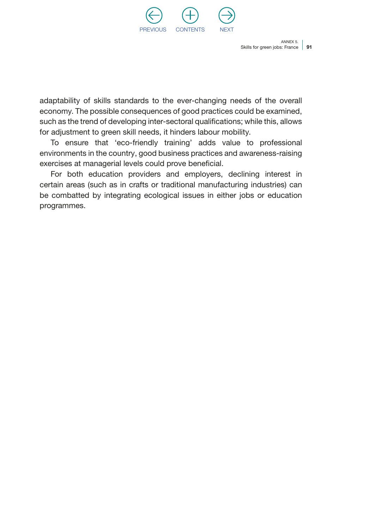

adaptability of skills standards to the ever-changing needs of the overall economy. The possible consequences of good practices could be examined, such as the trend of developing inter-sectoral qualifications; while this, allows for adjustment to green skill needs, it hinders labour mobility.

To ensure that 'eco-friendly training' adds value to professional environments in the country, good business practices and awareness-raising exercises at managerial levels could prove beneficial.

For both education providers and employers, declining interest in certain areas (such as in crafts or traditional manufacturing industries) can be combatted by integrating ecological issues in either jobs or education programmes.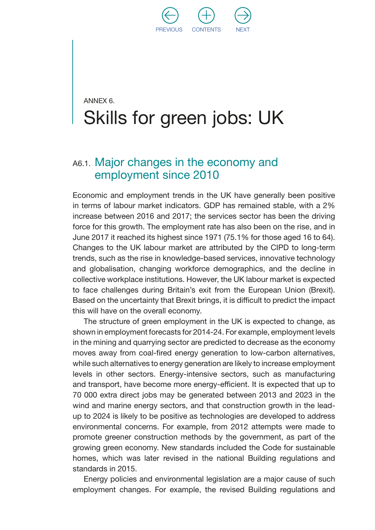

## ANNEX 6. Skills for green jobs: UK

### A6.1. Major changes in the economy and employment since 2010

Economic and employment trends in the UK have generally been positive in terms of labour market indicators. GDP has remained stable, with a 2% increase between 2016 and 2017; the services sector has been the driving force for this growth. The employment rate has also been on the rise, and in June 2017 it reached its highest since 1971 (75.1% for those aged 16 to 64). Changes to the UK labour market are attributed by the CIPD to long-term trends, such as the rise in knowledge-based services, innovative technology and globalisation, changing workforce demographics, and the decline in collective workplace institutions. However, the UK labour market is expected to face challenges during Britain's exit from the European Union (Brexit). Based on the uncertainty that Brexit brings, it is difficult to predict the impact this will have on the overall economy.

The structure of green employment in the UK is expected to change, as shown in employment forecasts for 2014-24. For example, employment levels in the mining and quarrying sector are predicted to decrease as the economy moves away from coal-fired energy generation to low-carbon alternatives, while such alternatives to energy generation are likely to increase employment levels in other sectors. Energy-intensive sectors, such as manufacturing and transport, have become more energy-efficient. It is expected that up to 70 000 extra direct jobs may be generated between 2013 and 2023 in the wind and marine energy sectors, and that construction growth in the leadup to 2024 is likely to be positive as technologies are developed to address environmental concerns. For example, from 2012 attempts were made to promote greener construction methods by the government, as part of the growing green economy. New standards included the Code for sustainable homes, which was later revised in the national Building regulations and standards in 2015.

Energy policies and environmental legislation are a major cause of such employment changes. For example, the revised Building regulations and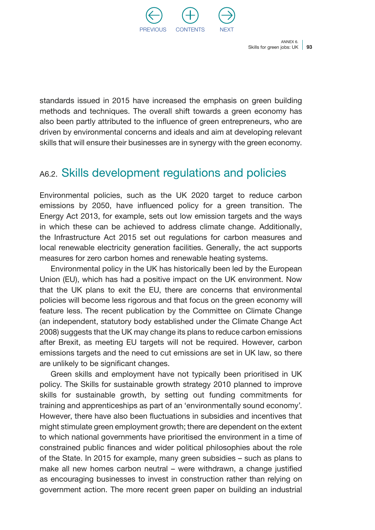

standards issued in 2015 have increased the emphasis on green building methods and techniques. The overall shift towards a green economy has also been partly attributed to the influence of green entrepreneurs, who are driven by environmental concerns and ideals and aim at developing relevant skills that will ensure their businesses are in synergy with the green economy.

### A6.2. Skills development regulations and policies

Environmental policies, such as the UK 2020 target to reduce carbon emissions by 2050, have influenced policy for a green transition. The Energy Act 2013, for example, sets out low emission targets and the ways in which these can be achieved to address climate change. Additionally, the Infrastructure Act 2015 set out regulations for carbon measures and local renewable electricity generation facilities. Generally, the act supports measures for zero carbon homes and renewable heating systems.

Environmental policy in the UK has historically been led by the European Union (EU), which has had a positive impact on the UK environment. Now that the UK plans to exit the EU, there are concerns that environmental policies will become less rigorous and that focus on the green economy will feature less. The recent publication by the Committee on Climate Change (an independent, statutory body established under the Climate Change Act 2008) suggests that the UK may change its plans to reduce carbon emissions after Brexit, as meeting EU targets will not be required. However, carbon emissions targets and the need to cut emissions are set in UK law, so there are unlikely to be significant changes.

Green skills and employment have not typically been prioritised in UK policy. The Skills for sustainable growth strategy 2010 planned to improve skills for sustainable growth, by setting out funding commitments for training and apprenticeships as part of an 'environmentally sound economy'. However, there have also been fluctuations in subsidies and incentives that might stimulate green employment growth; there are dependent on the extent to which national governments have prioritised the environment in a time of constrained public finances and wider political philosophies about the role of the State. In 2015 for example, many green subsidies – such as plans to make all new homes carbon neutral – were withdrawn, a change justified as encouraging businesses to invest in construction rather than relying on government action. The more recent green paper on building an industrial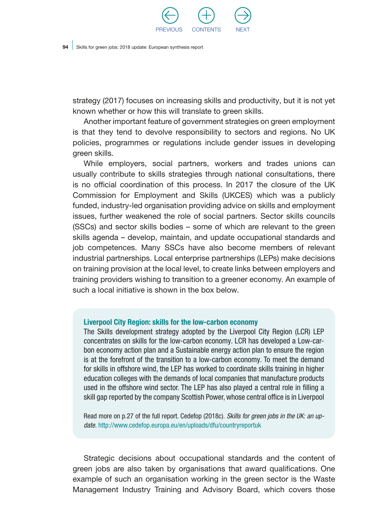

strategy (2017) focuses on increasing skills and productivity, but it is not yet known whether or how this will translate to green skills.

Another important feature of government strategies on green employment is that they tend to devolve responsibility to sectors and regions. No UK policies, programmes or regulations include gender issues in developing green skills.

While employers, social partners, workers and trades unions can usually contribute to skills strategies through national consultations, there is no official coordination of this process. In 2017 the closure of the UK Commission for Employment and Skills (UKCES) which was a publicly funded, industry-led organisation providing advice on skills and employment issues, further weakened the role of social partners. Sector skills councils (SSCs) and sector skills bodies – some of which are relevant to the green skills agenda – develop, maintain, and update occupational standards and job competences. Many SSCs have also become members of relevant industrial partnerships. Local enterprise partnerships (LEPs) make decisions on training provision at the local level, to create links between employers and training providers wishing to transition to a greener economy. An example of such a local initiative is shown in the box below.

#### Liverpool City Region: skills for the low-carbon economy

The Skills development strategy adopted by the Liverpool City Region (LCR) LEP concentrates on skills for the low-carbon economy. LCR has developed a Low-carbon economy action plan and a Sustainable energy action plan to ensure the region is at the forefront of the transition to a low-carbon economy. To meet the demand for skills in offshore wind, the LEP has worked to coordinate skills training in higher education colleges with the demands of local companies that manufacture products used in the offshore wind sector. The LEP has also played a central role in filling a skill gap reported by the company Scottish Power, whose central office is in Liverpool

Read more on p.27 of the full report. Cedefop (2018c). *Skills for green jobs in the UK: an update.* <http://www.cedefop.europa.eu/en/uploads/dfu/countryreportuk>

Strategic decisions about occupational standards and the content of green jobs are also taken by organisations that award qualifications. One example of such an organisation working in the green sector is the Waste Management Industry Training and Advisory Board, which covers those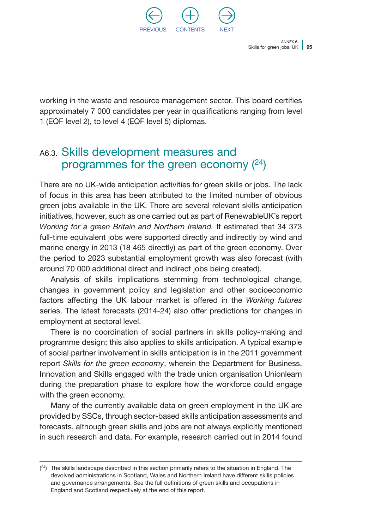

working in the waste and resource management sector. This board certifies approximately 7 000 candidates per year in qualifications ranging from level 1 (EQF level 2), to level 4 (EQF level 5) diplomas.

### A6.3. Skills development measures and programmes for the green economy (24)

There are no UK-wide anticipation activities for green skills or jobs. The lack of focus in this area has been attributed to the limited number of obvious green jobs available in the UK. There are several relevant skills anticipation initiatives, however, such as one carried out as part of RenewableUK's report *Working for a green Britain and Northern Ireland.* It estimated that 34 373 full-time equivalent jobs were supported directly and indirectly by wind and marine energy in 2013 (18 465 directly) as part of the green economy. Over the period to 2023 substantial employment growth was also forecast (with around 70 000 additional direct and indirect jobs being created).

Analysis of skills implications stemming from technological change, changes in government policy and legislation and other socioeconomic factors affecting the UK labour market is offered in the *Working futures*  series. The latest forecasts (2014-24) also offer predictions for changes in employment at sectoral level.

There is no coordination of social partners in skills policy-making and programme design; this also applies to skills anticipation. A typical example of social partner involvement in skills anticipation is in the 2011 government report *Skills for the green economy*, wherein the Department for Business, Innovation and Skills engaged with the trade union organisation Unionlearn during the preparation phase to explore how the workforce could engage with the green economy.

Many of the currently available data on green employment in the UK are provided by SSCs, through sector-based skills anticipation assessments and forecasts, although green skills and jobs are not always explicitly mentioned in such research and data. For example, research carried out in 2014 found

 $(24)$  The skills landscape described in this section primarily refers to the situation in England. The devolved administrations in Scotland, Wales and Northern Ireland have different skills policies and governance arrangements. See the full definitions of green skills and occupations in England and Scotland respectively at the end of this report.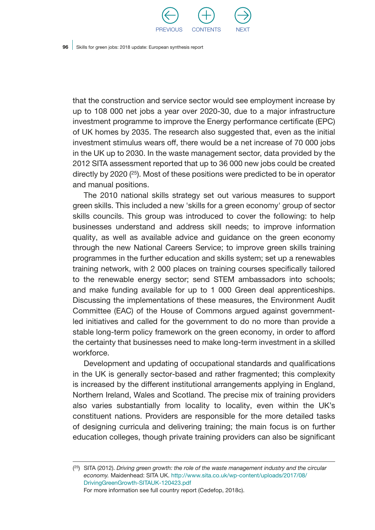

that the construction and service sector would see employment increase by up to 108 000 net jobs a year over 2020-30, due to a major infrastructure investment programme to improve the Energy performance certificate (EPC) of UK homes by 2035. The research also suggested that, even as the initial investment stimulus wears off, there would be a net increase of 70 000 jobs in the UK up to 2030. In the waste management sector, data provided by the 2012 SITA assessment reported that up to 36 000 new jobs could be created directly by 2020 (25). Most of these positions were predicted to be in operator and manual positions.

The 2010 national skills strategy set out various measures to support green skills. This included a new 'skills for a green economy' group of sector skills councils. This group was introduced to cover the following: to help businesses understand and address skill needs; to improve information quality, as well as available advice and guidance on the green economy through the new National Careers Service; to improve green skills training programmes in the further education and skills system; set up a renewables training network, with 2 000 places on training courses specifically tailored to the renewable energy sector; send STEM ambassadors into schools; and make funding available for up to 1 000 Green deal apprenticeships. Discussing the implementations of these measures, the Environment Audit Committee (EAC) of the House of Commons argued against governmentled initiatives and called for the government to do no more than provide a stable long-term policy framework on the green economy, in order to afford the certainty that businesses need to make long-term investment in a skilled workforce.

Development and updating of occupational standards and qualifications in the UK is generally sector-based and rather fragmented; this complexity is increased by the different institutional arrangements applying in England, Northern Ireland, Wales and Scotland. The precise mix of training providers also varies substantially from locality to locality, even within the UK's constituent nations. Providers are responsible for the more detailed tasks of designing curricula and delivering training; the main focus is on further education colleges, though private training providers can also be significant

<sup>(</sup> 25) SITA (2012). *Driving green growth: the role of the waste management industry and the circular economy.* Maidenhead: SITA UK. [http://www.sita.co.uk/wp-content/uploads/2017/08/](http://www.sita.co.uk/wp-content/uploads/2017/08/DrivingGreenGrowth-SITAUK-120423.pdf) [DrivingGreenGrowth-SITAUK-120423.pdf](http://www.sita.co.uk/wp-content/uploads/2017/08/DrivingGreenGrowth-SITAUK-120423.pdf) For more information see full country report (Cedefop, 2018c).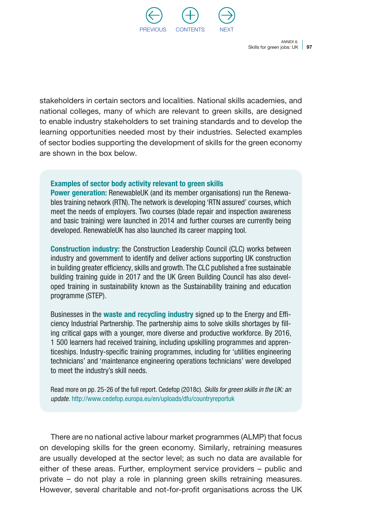

stakeholders in certain sectors and localities. National skills academies, and national colleges, many of which are relevant to green skills, are designed to enable industry stakeholders to set training standards and to develop the learning opportunities needed most by their industries. Selected examples of sector bodies supporting the development of skills for the green economy are shown in the box below.

#### Examples of sector body activity relevant to green skills

**Power generation:** RenewableUK (and its member organisations) run the Renewables training network (RTN). The network is developing 'RTN assured' courses, which meet the needs of employers. Two courses (blade repair and inspection awareness and basic training) were launched in 2014 and further courses are currently being developed. RenewableUK has also launched its career mapping tool.

Construction industry: the Construction Leadership Council (CLC) works between industry and government to identify and deliver actions supporting UK construction in building greater efficiency, skills and growth. The CLC published a free sustainable building training guide in 2017 and the UK Green Building Council has also developed training in sustainability known as the Sustainability training and education programme (STEP).

Businesses in the waste and recycling industry signed up to the Energy and Efficiency Industrial Partnership. The partnership aims to solve skills shortages by filling critical gaps with a younger, more diverse and productive workforce. By 2016, 1 500 learners had received training, including upskilling programmes and apprenticeships. Industry-specific training programmes, including for 'utilities engineering technicians' and 'maintenance engineering operations technicians' were developed to meet the industry's skill needs.

Read more on pp. 25-26 of the full report. Cedefop (2018c). *Skills for green skills in the UK: an update.* <http://www.cedefop.europa.eu/en/uploads/dfu/countryreportuk>

There are no national active labour market programmes (ALMP) that focus on developing skills for the green economy. Similarly, retraining measures are usually developed at the sector level; as such no data are available for either of these areas. Further, employment service providers – public and private – do not play a role in planning green skills retraining measures. However, several charitable and not-for-profit organisations across the UK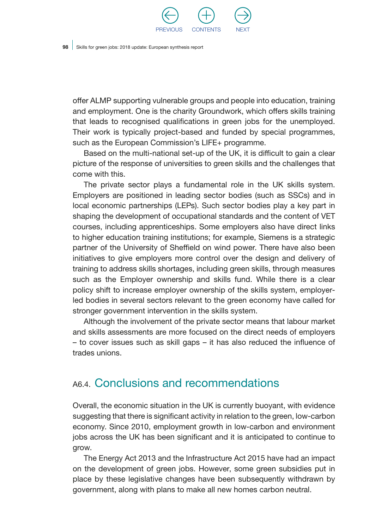

offer ALMP supporting vulnerable groups and people into education, training and employment. One is the charity Groundwork, which offers skills training that leads to recognised qualifications in green jobs for the unemployed. Their work is typically project-based and funded by special programmes, such as the European Commission's LIFE+ programme.

Based on the multi-national set-up of the UK, it is difficult to gain a clear picture of the response of universities to green skills and the challenges that come with this.

The private sector plays a fundamental role in the UK skills system. Employers are positioned in leading sector bodies (such as SSCs) and in local economic partnerships (LEPs). Such sector bodies play a key part in shaping the development of occupational standards and the content of VET courses, including apprenticeships. Some employers also have direct links to higher education training institutions; for example, Siemens is a strategic partner of the University of Sheffield on wind power. There have also been initiatives to give employers more control over the design and delivery of training to address skills shortages, including green skills, through measures such as the Employer ownership and skills fund. While there is a clear policy shift to increase employer ownership of the skills system, employerled bodies in several sectors relevant to the green economy have called for stronger government intervention in the skills system.

Although the involvement of the private sector means that labour market and skills assessments are more focused on the direct needs of employers – to cover issues such as skill gaps – it has also reduced the influence of trades unions.

### A6.4. Conclusions and recommendations

Overall, the economic situation in the UK is currently buoyant, with evidence suggesting that there is significant activity in relation to the green, low-carbon economy. Since 2010, employment growth in low-carbon and environment jobs across the UK has been significant and it is anticipated to continue to grow.

The Energy Act 2013 and the Infrastructure Act 2015 have had an impact on the development of green jobs. However, some green subsidies put in place by these legislative changes have been subsequently withdrawn by government, along with plans to make all new homes carbon neutral.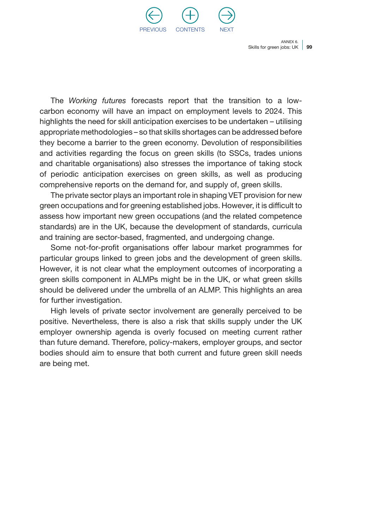

The *Working futures* forecasts report that the transition to a lowcarbon economy will have an impact on employment levels to 2024. This highlights the need for skill anticipation exercises to be undertaken – utilising appropriate methodologies – so that skills shortages can be addressed before they become a barrier to the green economy. Devolution of responsibilities and activities regarding the focus on green skills (to SSCs, trades unions and charitable organisations) also stresses the importance of taking stock of periodic anticipation exercises on green skills, as well as producing comprehensive reports on the demand for, and supply of, green skills.

The private sector plays an important role in shaping VET provision for new green occupations and for greening established jobs. However, it is difficult to assess how important new green occupations (and the related competence standards) are in the UK, because the development of standards, curricula and training are sector-based, fragmented, and undergoing change.

Some not-for-profit organisations offer labour market programmes for particular groups linked to green jobs and the development of green skills. However, it is not clear what the employment outcomes of incorporating a green skills component in ALMPs might be in the UK, or what green skills should be delivered under the umbrella of an ALMP. This highlights an area for further investigation.

High levels of private sector involvement are generally perceived to be positive. Nevertheless, there is also a risk that skills supply under the UK employer ownership agenda is overly focused on meeting current rather than future demand. Therefore, policy-makers, employer groups, and sector bodies should aim to ensure that both current and future green skill needs are being met.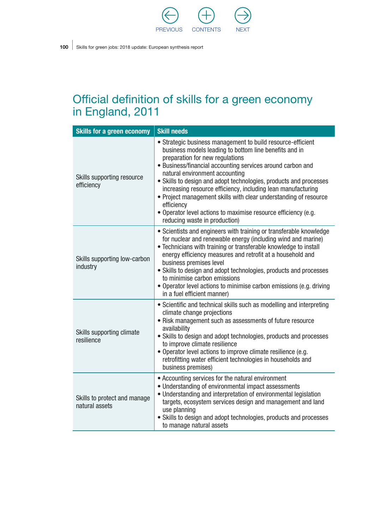

### Official definition of skills for a green economy in England, 2011

| <b>Skills for a green economy</b>              | <b>Skill needs</b>                                                                                                                                                                                                                                                                                                                                                                                                                                                                                                                                                                 |
|------------------------------------------------|------------------------------------------------------------------------------------------------------------------------------------------------------------------------------------------------------------------------------------------------------------------------------------------------------------------------------------------------------------------------------------------------------------------------------------------------------------------------------------------------------------------------------------------------------------------------------------|
| Skills supporting resource<br>efficiency       | • Strategic business management to build resource-efficient<br>business models leading to bottom line benefits and in<br>preparation for new regulations<br>· Business/financial accounting services around carbon and<br>natural environment accounting<br>• Skills to design and adopt technologies, products and processes<br>increasing resource efficiency, including lean manufacturing<br>• Project management skills with clear understanding of resource<br>efficiency<br>· Operator level actions to maximise resource efficiency (e.g.<br>reducing waste in production) |
| Skills supporting low-carbon<br>industry       | • Scientists and engineers with training or transferable knowledge<br>for nuclear and renewable energy (including wind and marine)<br>• Technicians with training or transferable knowledge to install<br>energy efficiency measures and retrofit at a household and<br>business premises level<br>• Skills to design and adopt technologies, products and processes<br>to minimise carbon emissions<br>• Operator level actions to minimise carbon emissions (e.g. driving<br>in a fuel efficient manner)                                                                         |
| Skills supporting climate<br>resilience        | • Scientific and technical skills such as modelling and interpreting<br>climate change projections<br>• Risk management such as assessments of future resource<br>availability<br>• Skills to design and adopt technologies, products and processes<br>to improve climate resilience<br>• Operator level actions to improve climate resilience (e.g.<br>retrofitting water efficient technologies in households and<br>business premises)                                                                                                                                          |
| Skills to protect and manage<br>natural assets | • Accounting services for the natural environment<br>• Understanding of environmental impact assessments<br>• Understanding and interpretation of environmental legislation<br>targets, ecosystem services design and management and land<br>use planning<br>• Skills to design and adopt technologies, products and processes<br>to manage natural assets                                                                                                                                                                                                                         |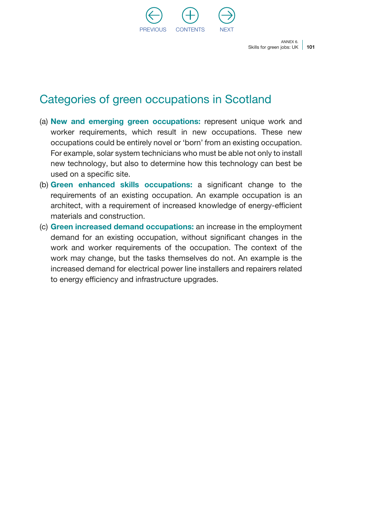

### Categories of green occupations in Scotland

- (a) New and emerging green occupations: represent unique work and worker requirements, which result in new occupations. These new occupations could be entirely novel or 'born' from an existing occupation. For example, solar system technicians who must be able not only to install new technology, but also to determine how this technology can best be used on a specific site.
- (b) Green enhanced skills occupations: a significant change to the requirements of an existing occupation. An example occupation is an architect, with a requirement of increased knowledge of energy-efficient materials and construction.
- (c) Green increased demand occupations: an increase in the employment demand for an existing occupation, without significant changes in the work and worker requirements of the occupation. The context of the work may change, but the tasks themselves do not. An example is the increased demand for electrical power line installers and repairers related to energy efficiency and infrastructure upgrades.